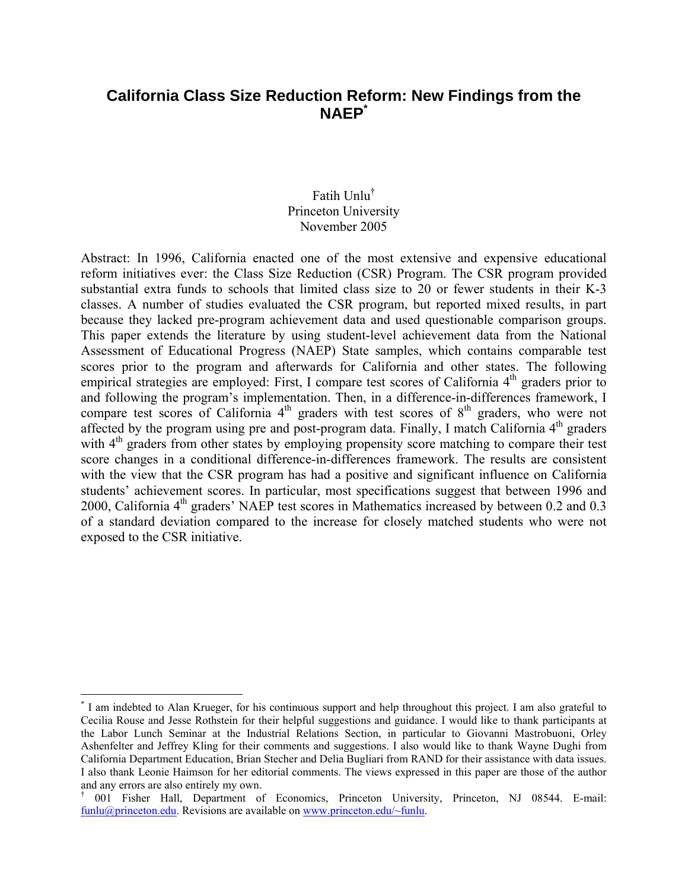# **California Class Size Reduction Reform: New Findings from the NAEP\***

# Fatih Unlu† Princeton University November 2005

Abstract: In 1996, California enacted one of the most extensive and expensive educational reform initiatives ever: the Class Size Reduction (CSR) Program. The CSR program provided substantial extra funds to schools that limited class size to 20 or fewer students in their K-3 classes. A number of studies evaluated the CSR program, but reported mixed results, in part because they lacked pre-program achievement data and used questionable comparison groups. This paper extends the literature by using student-level achievement data from the National Assessment of Educational Progress (NAEP) State samples, which contains comparable test scores prior to the program and afterwards for California and other states. The following empirical strategies are employed: First, I compare test scores of California  $4<sup>th</sup>$  graders prior to and following the program's implementation. Then, in a difference-in-differences framework, I compare test scores of California  $4<sup>th</sup>$  graders with test scores of  $8<sup>th</sup>$  graders, who were not affected by the program using pre and post-program data. Finally, I match California  $4<sup>th</sup>$  graders with  $4<sup>th</sup>$  graders from other states by employing propensity score matching to compare their test score changes in a conditional difference-in-differences framework. The results are consistent with the view that the CSR program has had a positive and significant influence on California students' achievement scores. In particular, most specifications suggest that between 1996 and 2000, California  $4<sup>th</sup>$  graders' NAEP test scores in Mathematics increased by between 0.2 and 0.3 of a standard deviation compared to the increase for closely matched students who were not exposed to the CSR initiative.

 $\overline{a}$ 

<sup>\*</sup> I am indebted to Alan Krueger, for his continuous support and help throughout this project. I am also grateful to Cecilia Rouse and Jesse Rothstein for their helpful suggestions and guidance. I would like to thank participants at the Labor Lunch Seminar at the Industrial Relations Section, in particular to Giovanni Mastrobuoni, Orley Ashenfelter and Jeffrey Kling for their comments and suggestions. I also would like to thank Wayne Dughi from California Department Education, Brian Stecher and Delia Bugliari from RAND for their assistance with data issues. I also thank Leonie Haimson for her editorial comments. The views expressed in this paper are those of the author and any errors are also entirely my own.

<sup>†</sup> 001 Fisher Hall, Department of Economics, Princeton University, Princeton, NJ 08544. E-mail: funlu@princeton.edu. Revisions are available on www.princeton.edu/~funlu.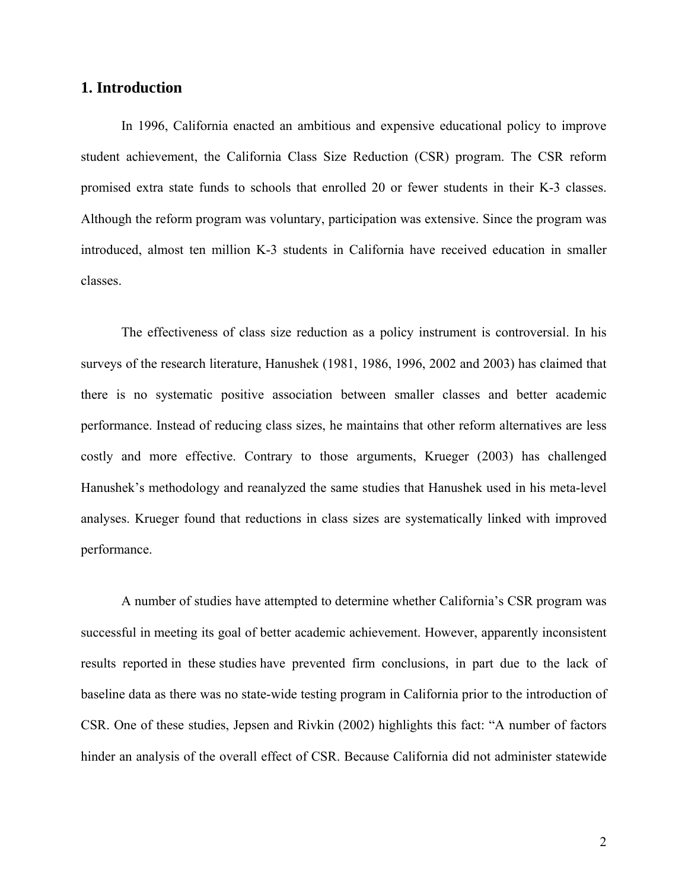# **1. Introduction**

In 1996, California enacted an ambitious and expensive educational policy to improve student achievement, the California Class Size Reduction (CSR) program. The CSR reform promised extra state funds to schools that enrolled 20 or fewer students in their K-3 classes. Although the reform program was voluntary, participation was extensive. Since the program was introduced, almost ten million K-3 students in California have received education in smaller classes.

The effectiveness of class size reduction as a policy instrument is controversial. In his surveys of the research literature, Hanushek (1981, 1986, 1996, 2002 and 2003) has claimed that there is no systematic positive association between smaller classes and better academic performance. Instead of reducing class sizes, he maintains that other reform alternatives are less costly and more effective. Contrary to those arguments, Krueger (2003) has challenged Hanushek's methodology and reanalyzed the same studies that Hanushek used in his meta-level analyses. Krueger found that reductions in class sizes are systematically linked with improved performance.

A number of studies have attempted to determine whether California's CSR program was successful in meeting its goal of better academic achievement. However, apparently inconsistent results reported in these studies have prevented firm conclusions, in part due to the lack of baseline data as there was no state-wide testing program in California prior to the introduction of CSR. One of these studies, Jepsen and Rivkin (2002) highlights this fact: "A number of factors hinder an analysis of the overall effect of CSR. Because California did not administer statewide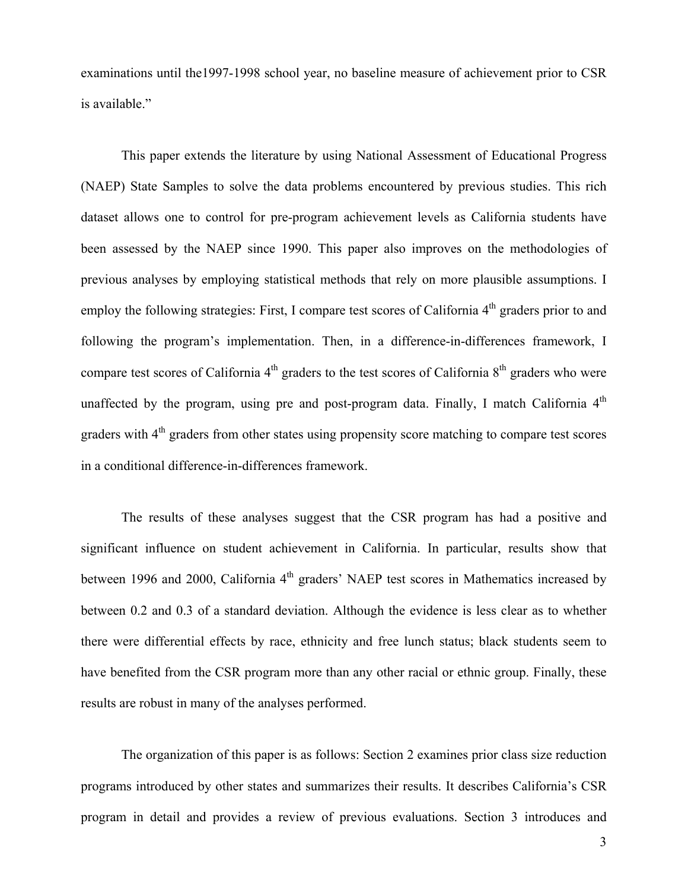examinations until the1997-1998 school year, no baseline measure of achievement prior to CSR is available."

This paper extends the literature by using National Assessment of Educational Progress (NAEP) State Samples to solve the data problems encountered by previous studies. This rich dataset allows one to control for pre-program achievement levels as California students have been assessed by the NAEP since 1990. This paper also improves on the methodologies of previous analyses by employing statistical methods that rely on more plausible assumptions. I employ the following strategies: First, I compare test scores of California  $4<sup>th</sup>$  graders prior to and following the program's implementation. Then, in a difference-in-differences framework, I compare test scores of California  $4<sup>th</sup>$  graders to the test scores of California  $8<sup>th</sup>$  graders who were unaffected by the program, using pre and post-program data. Finally, I match California  $4<sup>th</sup>$ graders with 4<sup>th</sup> graders from other states using propensity score matching to compare test scores in a conditional difference-in-differences framework.

The results of these analyses suggest that the CSR program has had a positive and significant influence on student achievement in California. In particular, results show that between 1996 and 2000, California 4<sup>th</sup> graders' NAEP test scores in Mathematics increased by between 0.2 and 0.3 of a standard deviation. Although the evidence is less clear as to whether there were differential effects by race, ethnicity and free lunch status; black students seem to have benefited from the CSR program more than any other racial or ethnic group. Finally, these results are robust in many of the analyses performed.

The organization of this paper is as follows: Section 2 examines prior class size reduction programs introduced by other states and summarizes their results. It describes California's CSR program in detail and provides a review of previous evaluations. Section 3 introduces and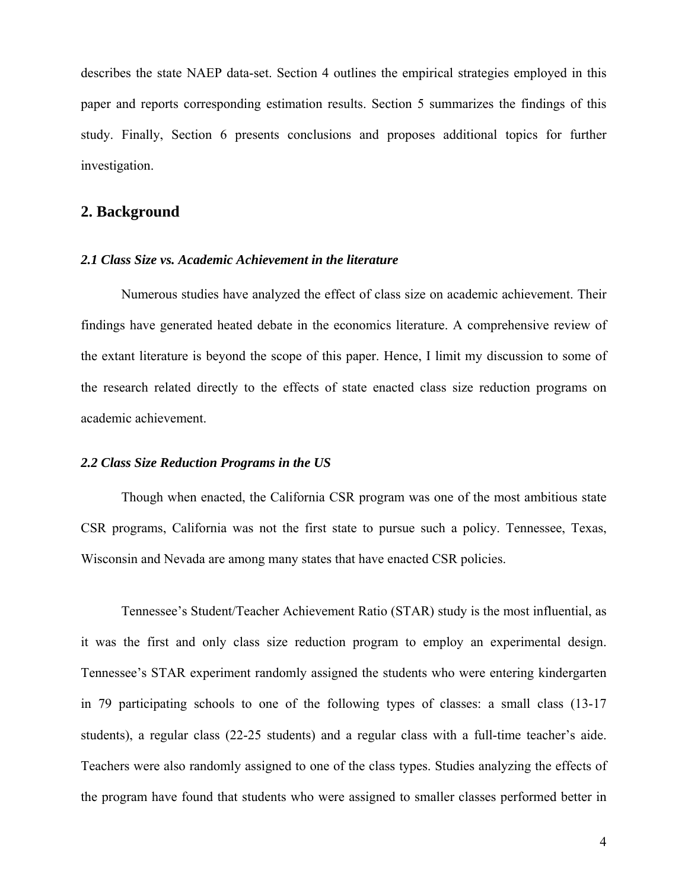describes the state NAEP data-set. Section 4 outlines the empirical strategies employed in this paper and reports corresponding estimation results. Section 5 summarizes the findings of this study. Finally, Section 6 presents conclusions and proposes additional topics for further investigation.

# **2. Background**

## *2.1 Class Size vs. Academic Achievement in the literature*

Numerous studies have analyzed the effect of class size on academic achievement. Their findings have generated heated debate in the economics literature. A comprehensive review of the extant literature is beyond the scope of this paper. Hence, I limit my discussion to some of the research related directly to the effects of state enacted class size reduction programs on academic achievement.

#### *2.2 Class Size Reduction Programs in the US*

Though when enacted, the California CSR program was one of the most ambitious state CSR programs, California was not the first state to pursue such a policy. Tennessee, Texas, Wisconsin and Nevada are among many states that have enacted CSR policies.

Tennessee's Student/Teacher Achievement Ratio (STAR) study is the most influential, as it was the first and only class size reduction program to employ an experimental design. Tennessee's STAR experiment randomly assigned the students who were entering kindergarten in 79 participating schools to one of the following types of classes: a small class (13-17 students), a regular class (22-25 students) and a regular class with a full-time teacher's aide. Teachers were also randomly assigned to one of the class types. Studies analyzing the effects of the program have found that students who were assigned to smaller classes performed better in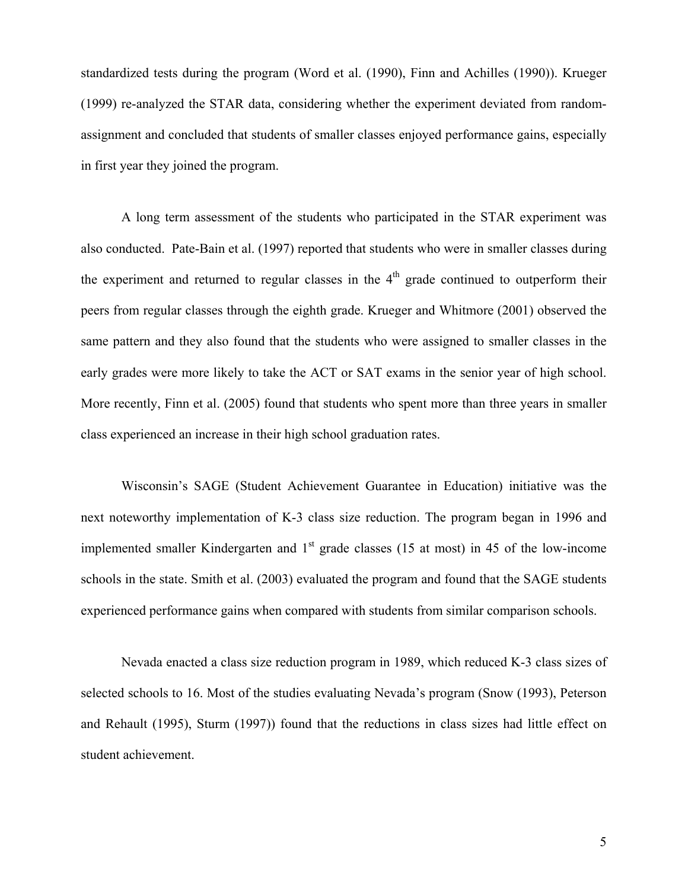standardized tests during the program (Word et al. (1990), Finn and Achilles (1990)). Krueger (1999) re-analyzed the STAR data, considering whether the experiment deviated from randomassignment and concluded that students of smaller classes enjoyed performance gains, especially in first year they joined the program.

A long term assessment of the students who participated in the STAR experiment was also conducted. Pate-Bain et al. (1997) reported that students who were in smaller classes during the experiment and returned to regular classes in the  $4<sup>th</sup>$  grade continued to outperform their peers from regular classes through the eighth grade. Krueger and Whitmore (2001) observed the same pattern and they also found that the students who were assigned to smaller classes in the early grades were more likely to take the ACT or SAT exams in the senior year of high school. More recently, Finn et al. (2005) found that students who spent more than three years in smaller class experienced an increase in their high school graduation rates.

Wisconsin's SAGE (Student Achievement Guarantee in Education) initiative was the next noteworthy implementation of K-3 class size reduction. The program began in 1996 and implemented smaller Kindergarten and  $1<sup>st</sup>$  grade classes (15 at most) in 45 of the low-income schools in the state. Smith et al. (2003) evaluated the program and found that the SAGE students experienced performance gains when compared with students from similar comparison schools.

Nevada enacted a class size reduction program in 1989, which reduced K-3 class sizes of selected schools to 16. Most of the studies evaluating Nevada's program (Snow (1993), Peterson and Rehault (1995), Sturm (1997)) found that the reductions in class sizes had little effect on student achievement.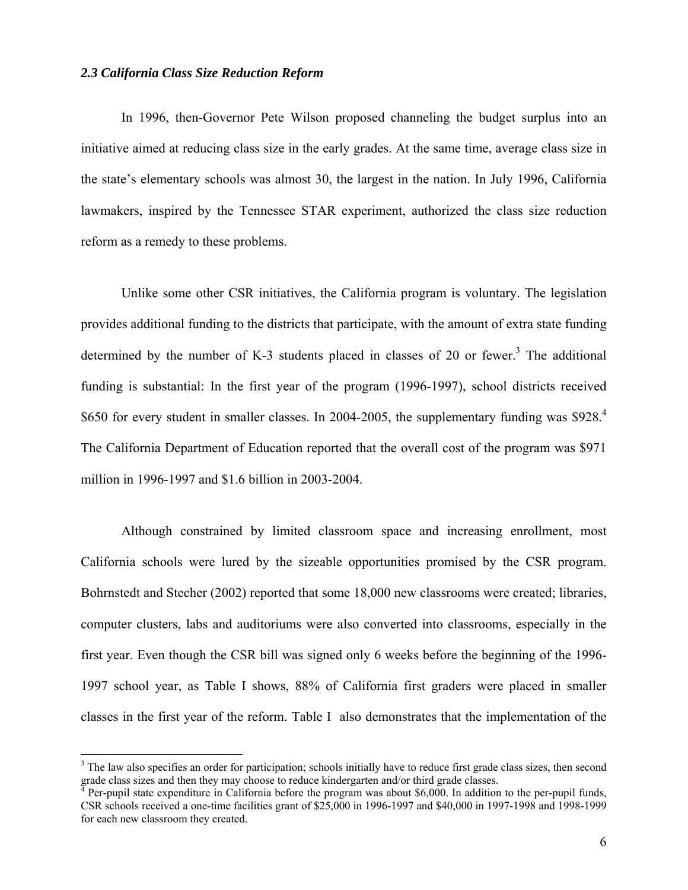## *2.3 California Class Size Reduction Reform*

 $\overline{a}$ 

In 1996, then-Governor Pete Wilson proposed channeling the budget surplus into an initiative aimed at reducing class size in the early grades. At the same time, average class size in the state's elementary schools was almost 30, the largest in the nation. In July 1996, California lawmakers, inspired by the Tennessee STAR experiment, authorized the class size reduction reform as a remedy to these problems.

Unlike some other CSR initiatives, the California program is voluntary. The legislation provides additional funding to the districts that participate, with the amount of extra state funding determined by the number of K-3 students placed in classes of 20 or fewer.<sup>3</sup> The additional funding is substantial: In the first year of the program (1996-1997), school districts received \$650 for every student in smaller classes. In 2004-2005, the supplementary funding was \$928.<sup>4</sup> The California Department of Education reported that the overall cost of the program was \$971 million in 1996-1997 and \$1.6 billion in 2003-2004.

Although constrained by limited classroom space and increasing enrollment, most California schools were lured by the sizeable opportunities promised by the CSR program. Bohrnstedt and Stecher (2002) reported that some 18,000 new classrooms were created; libraries, computer clusters, labs and auditoriums were also converted into classrooms, especially in the first year. Even though the CSR bill was signed only 6 weeks before the beginning of the 1996- 1997 school year, as Table I shows, 88% of California first graders were placed in smaller classes in the first year of the reform. Table I also demonstrates that the implementation of the

 $3$  The law also specifies an order for participation; schools initially have to reduce first grade class sizes, then second grade class sizes and then they may choose to reduce kindergarten and/or third grade classes.

Per-pupil state expenditure in California before the program was about \$6,000. In addition to the per-pupil funds, CSR schools received a one-time facilities grant of \$25,000 in 1996-1997 and \$40,000 in 1997-1998 and 1998-1999 for each new classroom they created.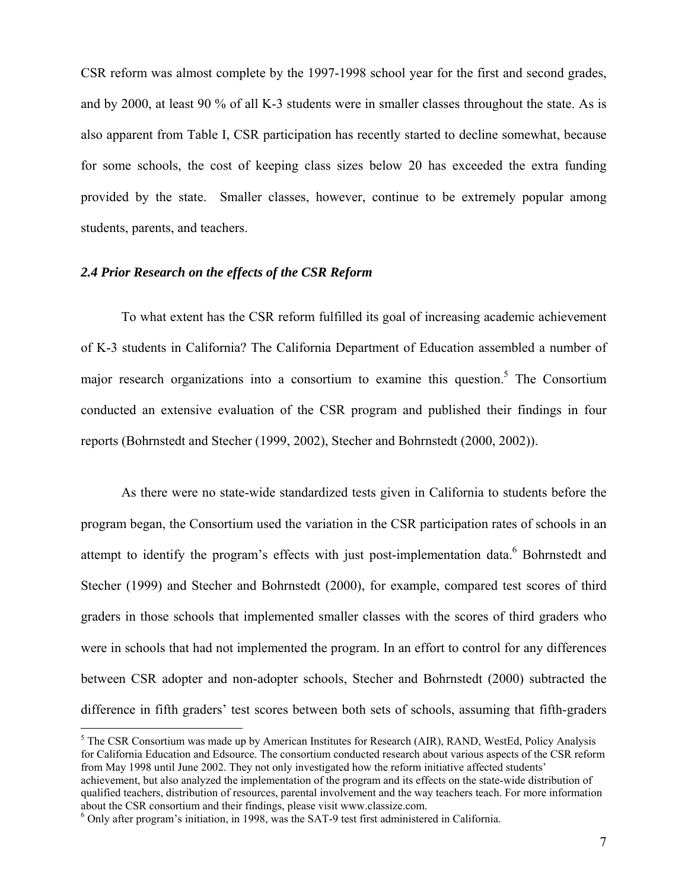CSR reform was almost complete by the 1997-1998 school year for the first and second grades, and by 2000, at least 90 % of all K-3 students were in smaller classes throughout the state. As is also apparent from Table I, CSR participation has recently started to decline somewhat, because for some schools, the cost of keeping class sizes below 20 has exceeded the extra funding provided by the state. Smaller classes, however, continue to be extremely popular among students, parents, and teachers.

## *2.4 Prior Research on the effects of the CSR Reform*

To what extent has the CSR reform fulfilled its goal of increasing academic achievement of K-3 students in California? The California Department of Education assembled a number of major research organizations into a consortium to examine this question.<sup>5</sup> The Consortium conducted an extensive evaluation of the CSR program and published their findings in four reports (Bohrnstedt and Stecher (1999, 2002), Stecher and Bohrnstedt (2000, 2002)).

As there were no state-wide standardized tests given in California to students before the program began, the Consortium used the variation in the CSR participation rates of schools in an attempt to identify the program's effects with just post-implementation data.<sup>6</sup> Bohrnstedt and Stecher (1999) and Stecher and Bohrnstedt (2000), for example, compared test scores of third graders in those schools that implemented smaller classes with the scores of third graders who were in schools that had not implemented the program. In an effort to control for any differences between CSR adopter and non-adopter schools, Stecher and Bohrnstedt (2000) subtracted the difference in fifth graders' test scores between both sets of schools, assuming that fifth-graders

 $\overline{a}$ 

 $<sup>5</sup>$  The CSR Consortium was made up by American Institutes for Research (AIR), RAND, WestEd, Policy Analysis</sup> for California Education and Edsource. The consortium conducted research about various aspects of the CSR reform from May 1998 until June 2002. They not only investigated how the reform initiative affected students' achievement, but also analyzed the implementation of the program and its effects on the state-wide distribution of qualified teachers, distribution of resources, parental involvement and the way teachers teach. For more information about the CSR consortium and their findings, please visit www.classize.com. 6

 $6$  Only after program's initiation, in 1998, was the SAT-9 test first administered in California.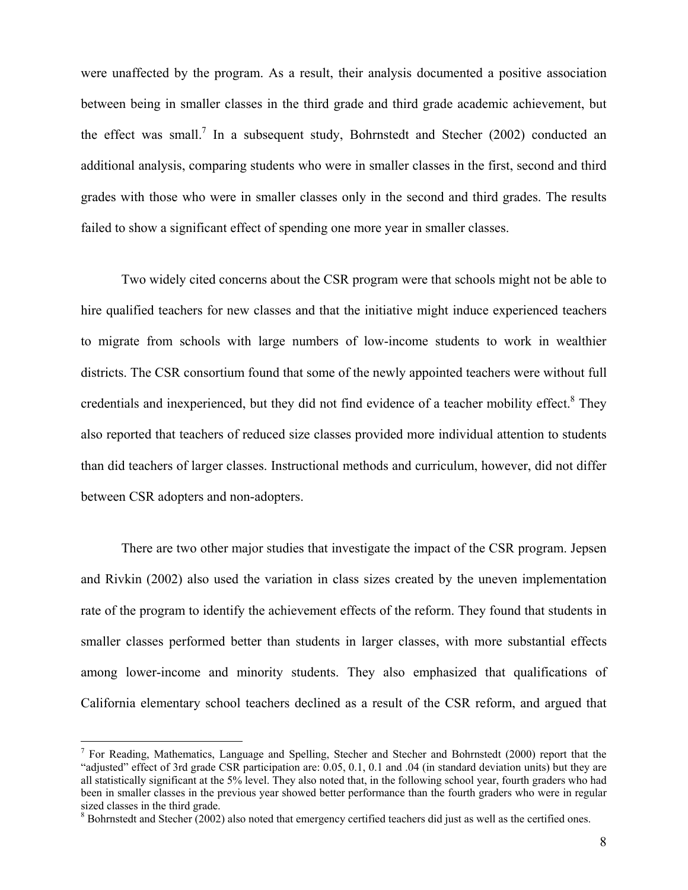were unaffected by the program. As a result, their analysis documented a positive association between being in smaller classes in the third grade and third grade academic achievement, but the effect was small.<sup>7</sup> In a subsequent study, Bohrnstedt and Stecher (2002) conducted an additional analysis, comparing students who were in smaller classes in the first, second and third grades with those who were in smaller classes only in the second and third grades. The results failed to show a significant effect of spending one more year in smaller classes.

Two widely cited concerns about the CSR program were that schools might not be able to hire qualified teachers for new classes and that the initiative might induce experienced teachers to migrate from schools with large numbers of low-income students to work in wealthier districts. The CSR consortium found that some of the newly appointed teachers were without full credentials and inexperienced, but they did not find evidence of a teacher mobility effect.<sup>8</sup> They also reported that teachers of reduced size classes provided more individual attention to students than did teachers of larger classes. Instructional methods and curriculum, however, did not differ between CSR adopters and non-adopters.

There are two other major studies that investigate the impact of the CSR program. Jepsen and Rivkin (2002) also used the variation in class sizes created by the uneven implementation rate of the program to identify the achievement effects of the reform. They found that students in smaller classes performed better than students in larger classes, with more substantial effects among lower-income and minority students. They also emphasized that qualifications of California elementary school teachers declined as a result of the CSR reform, and argued that

 $\overline{a}$ 

<sup>&</sup>lt;sup>7</sup> For Reading, Mathematics, Language and Spelling, Stecher and Stecher and Bohrnstedt (2000) report that the "adjusted" effect of 3rd grade CSR participation are: 0.05, 0.1, 0.1 and .04 (in standard deviation units) but they are all statistically significant at the 5% level. They also noted that, in the following school year, fourth graders who had been in smaller classes in the previous year showed better performance than the fourth graders who were in regular sized classes in the third grade.

 $8$  Bohrnstedt and Stecher (2002) also noted that emergency certified teachers did just as well as the certified ones.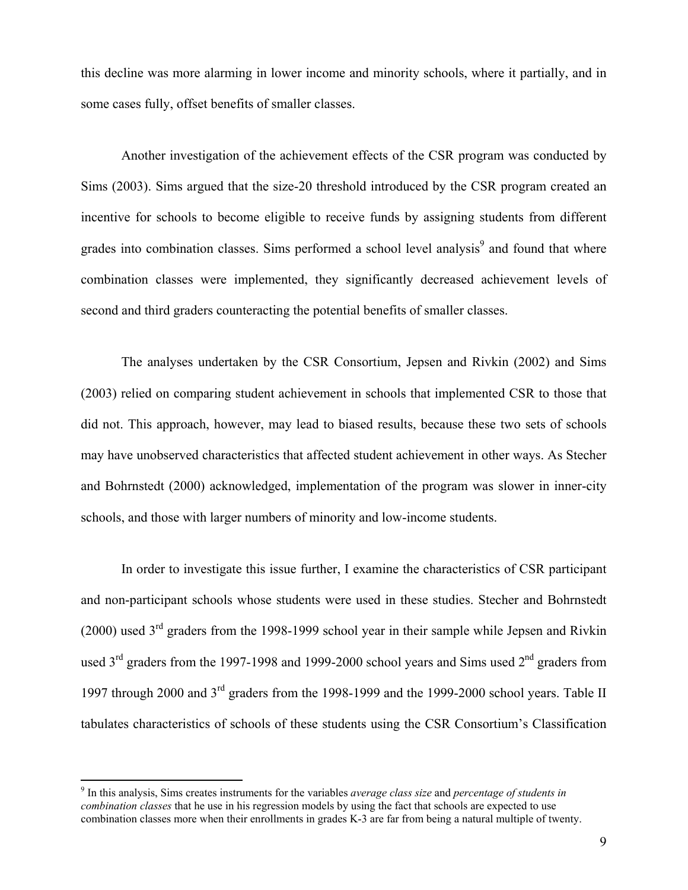this decline was more alarming in lower income and minority schools, where it partially, and in some cases fully, offset benefits of smaller classes.

Another investigation of the achievement effects of the CSR program was conducted by Sims (2003). Sims argued that the size-20 threshold introduced by the CSR program created an incentive for schools to become eligible to receive funds by assigning students from different grades into combination classes. Sims performed a school level analysis<sup>9</sup> and found that where combination classes were implemented, they significantly decreased achievement levels of second and third graders counteracting the potential benefits of smaller classes.

The analyses undertaken by the CSR Consortium, Jepsen and Rivkin (2002) and Sims (2003) relied on comparing student achievement in schools that implemented CSR to those that did not. This approach, however, may lead to biased results, because these two sets of schools may have unobserved characteristics that affected student achievement in other ways. As Stecher and Bohrnstedt (2000) acknowledged, implementation of the program was slower in inner-city schools, and those with larger numbers of minority and low-income students.

In order to investigate this issue further, I examine the characteristics of CSR participant and non-participant schools whose students were used in these studies. Stecher and Bohrnstedt (2000) used  $3<sup>rd</sup>$  graders from the 1998-1999 school year in their sample while Jepsen and Rivkin used 3<sup>rd</sup> graders from the 1997-1998 and 1999-2000 school years and Sims used 2<sup>nd</sup> graders from 1997 through 2000 and 3<sup>rd</sup> graders from the 1998-1999 and the 1999-2000 school years. Table II tabulates characteristics of schools of these students using the CSR Consortium's Classification

 9 In this analysis, Sims creates instruments for the variables *average class size* and *percentage of students in combination classes* that he use in his regression models by using the fact that schools are expected to use combination classes more when their enrollments in grades K-3 are far from being a natural multiple of twenty.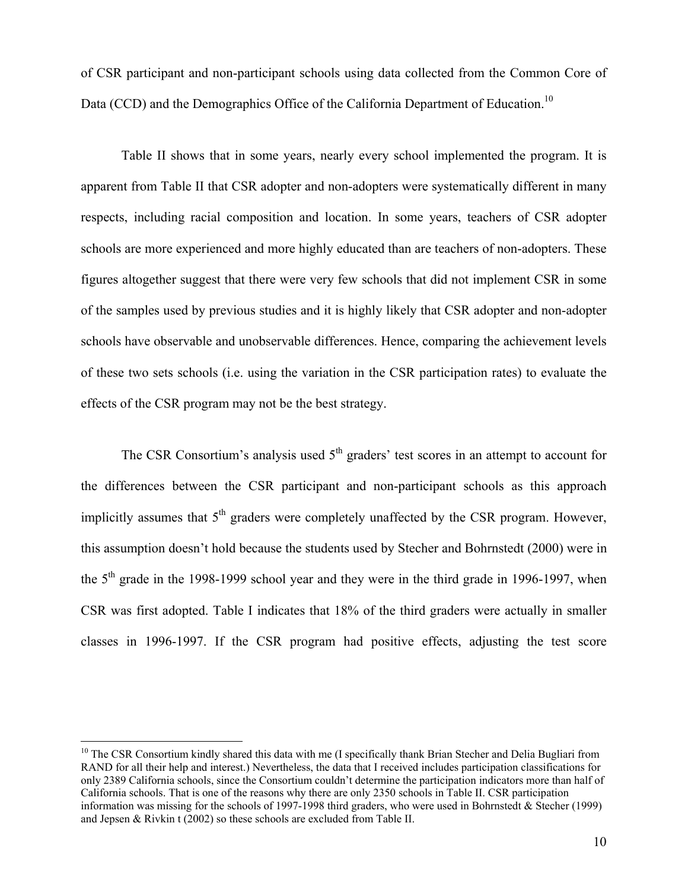of CSR participant and non-participant schools using data collected from the Common Core of Data (CCD) and the Demographics Office of the California Department of Education.<sup>10</sup>

Table II shows that in some years, nearly every school implemented the program. It is apparent from Table II that CSR adopter and non-adopters were systematically different in many respects, including racial composition and location. In some years, teachers of CSR adopter schools are more experienced and more highly educated than are teachers of non-adopters. These figures altogether suggest that there were very few schools that did not implement CSR in some of the samples used by previous studies and it is highly likely that CSR adopter and non-adopter schools have observable and unobservable differences. Hence, comparing the achievement levels of these two sets schools (i.e. using the variation in the CSR participation rates) to evaluate the effects of the CSR program may not be the best strategy.

The CSR Consortium's analysis used  $5<sup>th</sup>$  graders' test scores in an attempt to account for the differences between the CSR participant and non-participant schools as this approach implicitly assumes that  $5<sup>th</sup>$  graders were completely unaffected by the CSR program. However, this assumption doesn't hold because the students used by Stecher and Bohrnstedt (2000) were in the  $5<sup>th</sup>$  grade in the 1998-1999 school year and they were in the third grade in 1996-1997, when CSR was first adopted. Table I indicates that 18% of the third graders were actually in smaller classes in 1996-1997. If the CSR program had positive effects, adjusting the test score

 $\overline{a}$ 

 $10$  The CSR Consortium kindly shared this data with me (I specifically thank Brian Stecher and Delia Bugliari from RAND for all their help and interest.) Nevertheless, the data that I received includes participation classifications for only 2389 California schools, since the Consortium couldn't determine the participation indicators more than half of California schools. That is one of the reasons why there are only 2350 schools in Table II. CSR participation information was missing for the schools of 1997-1998 third graders, who were used in Bohrnstedt & Stecher (1999) and Jepsen & Rivkin t (2002) so these schools are excluded from Table II.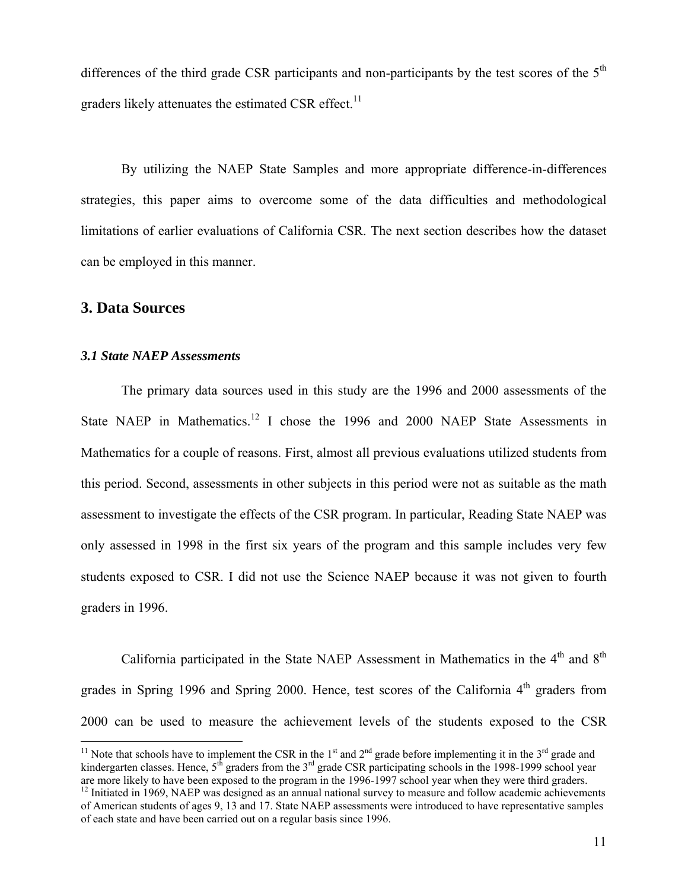differences of the third grade CSR participants and non-participants by the test scores of the  $5<sup>th</sup>$ graders likely attenuates the estimated CSR effect. $^{11}$ 

By utilizing the NAEP State Samples and more appropriate difference-in-differences strategies, this paper aims to overcome some of the data difficulties and methodological limitations of earlier evaluations of California CSR. The next section describes how the dataset can be employed in this manner.

## **3. Data Sources**

 $\overline{a}$ 

#### *3.1 State NAEP Assessments*

The primary data sources used in this study are the 1996 and 2000 assessments of the State NAEP in Mathematics.<sup>12</sup> I chose the 1996 and 2000 NAEP State Assessments in Mathematics for a couple of reasons. First, almost all previous evaluations utilized students from this period. Second, assessments in other subjects in this period were not as suitable as the math assessment to investigate the effects of the CSR program. In particular, Reading State NAEP was only assessed in 1998 in the first six years of the program and this sample includes very few students exposed to CSR. I did not use the Science NAEP because it was not given to fourth graders in 1996.

California participated in the State NAEP Assessment in Mathematics in the  $4<sup>th</sup>$  and  $8<sup>th</sup>$ grades in Spring 1996 and Spring 2000. Hence, test scores of the California  $4<sup>th</sup>$  graders from 2000 can be used to measure the achievement levels of the students exposed to the CSR

<sup>&</sup>lt;sup>11</sup> Note that schools have to implement the CSR in the 1<sup>st</sup> and  $2<sup>nd</sup>$  grade before implementing it in the 3<sup>rd</sup> grade and kindergarten classes. Hence,  $5<sup>th</sup>$  graders from the  $3<sup>rd</sup>$  grade CSR participating schools in the 1998-1999 school year are more likely to have been exposed to the program in the 1996-1997 school year when they were third graders.

<sup>&</sup>lt;sup>12</sup> Initiated in 1969, NAEP was designed as an annual national survey to measure and follow academic achievements of American students of ages 9, 13 and 17. State NAEP assessments were introduced to have representative samples of each state and have been carried out on a regular basis since 1996.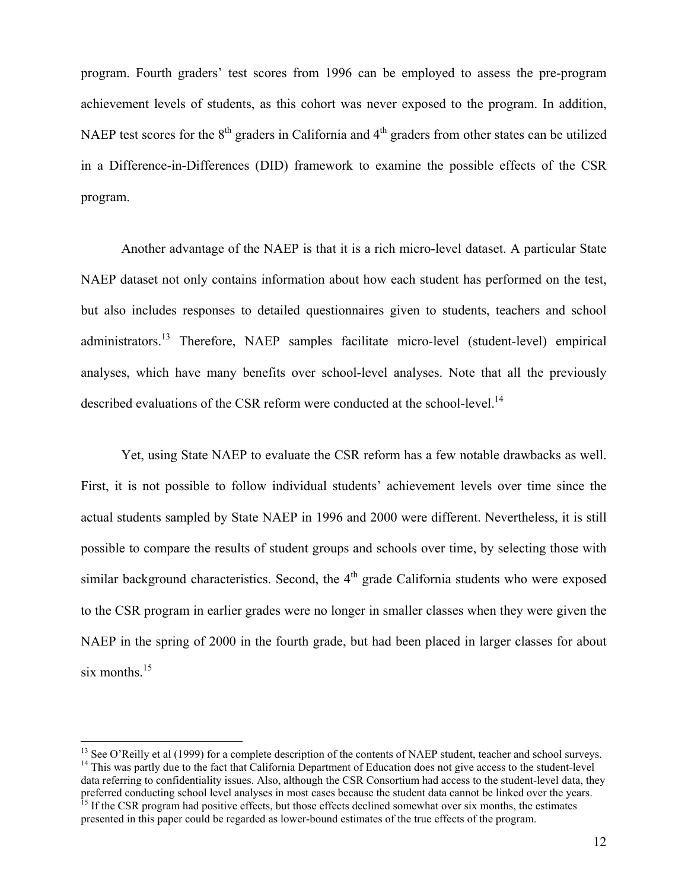program. Fourth graders' test scores from 1996 can be employed to assess the pre-program achievement levels of students, as this cohort was never exposed to the program. In addition, NAEP test scores for the 8<sup>th</sup> graders in California and 4<sup>th</sup> graders from other states can be utilized in a Difference-in-Differences (DID) framework to examine the possible effects of the CSR program.

Another advantage of the NAEP is that it is a rich micro-level dataset. A particular State NAEP dataset not only contains information about how each student has performed on the test, but also includes responses to detailed questionnaires given to students, teachers and school administrators.<sup>13</sup> Therefore, NAEP samples facilitate micro-level (student-level) empirical analyses, which have many benefits over school-level analyses. Note that all the previously described evaluations of the CSR reform were conducted at the school-level.<sup>14</sup>

Yet, using State NAEP to evaluate the CSR reform has a few notable drawbacks as well. First, it is not possible to follow individual students' achievement levels over time since the actual students sampled by State NAEP in 1996 and 2000 were different. Nevertheless, it is still possible to compare the results of student groups and schools over time, by selecting those with similar background characteristics. Second, the  $4<sup>th</sup>$  grade California students who were exposed to the CSR program in earlier grades were no longer in smaller classes when they were given the NAEP in the spring of 2000 in the fourth grade, but had been placed in larger classes for about six months. $^{15}$ 

 $\overline{a}$ 

<sup>&</sup>lt;sup>13</sup> See O'Reilly et al (1999) for a complete description of the contents of NAEP student, teacher and school surveys.<br><sup>14</sup> This was partly due to the fact that California Department of Education does not give access to t data referring to confidentiality issues. Also, although the CSR Consortium had access to the student-level data, they preferred conducting school level analyses in most cases because the student data cannot be linked over <sup>15</sup> If the CSR program had positive effects, but those effects declined somewhat over six months, the estimates

presented in this paper could be regarded as lower-bound estimates of the true effects of the program.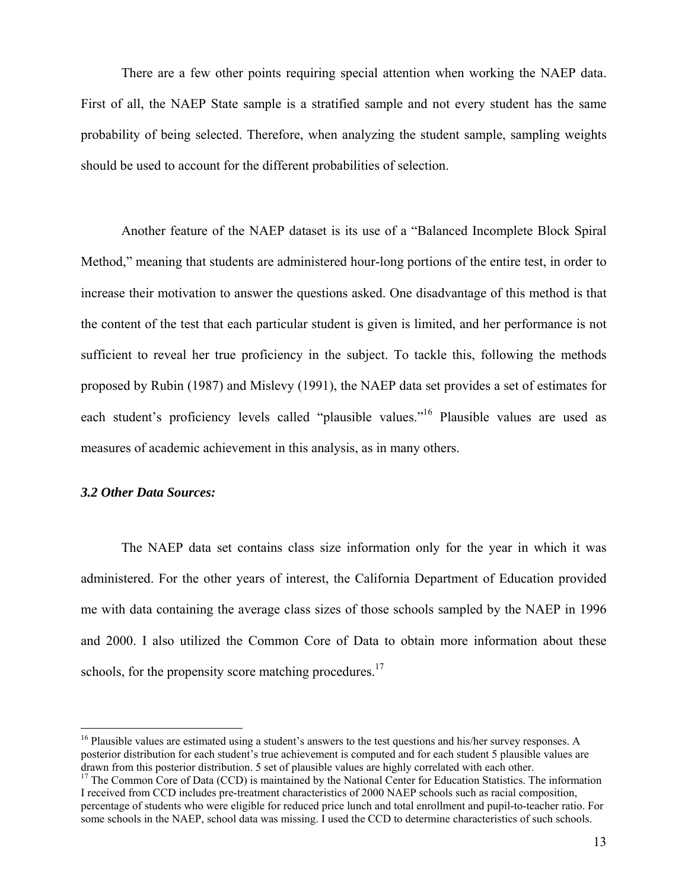There are a few other points requiring special attention when working the NAEP data. First of all, the NAEP State sample is a stratified sample and not every student has the same probability of being selected. Therefore, when analyzing the student sample, sampling weights should be used to account for the different probabilities of selection.

Another feature of the NAEP dataset is its use of a "Balanced Incomplete Block Spiral Method," meaning that students are administered hour-long portions of the entire test, in order to increase their motivation to answer the questions asked. One disadvantage of this method is that the content of the test that each particular student is given is limited, and her performance is not sufficient to reveal her true proficiency in the subject. To tackle this, following the methods proposed by Rubin (1987) and Mislevy (1991), the NAEP data set provides a set of estimates for each student's proficiency levels called "plausible values."<sup>16</sup> Plausible values are used as measures of academic achievement in this analysis, as in many others.

## *3.2 Other Data Sources:*

1

The NAEP data set contains class size information only for the year in which it was administered. For the other years of interest, the California Department of Education provided me with data containing the average class sizes of those schools sampled by the NAEP in 1996 and 2000. I also utilized the Common Core of Data to obtain more information about these schools, for the propensity score matching procedures.<sup>17</sup>

<sup>&</sup>lt;sup>16</sup> Plausible values are estimated using a student's answers to the test questions and his/her survey responses. A posterior distribution for each student's true achievement is computed and for each student 5 plausible values are drawn from this posterior distribution. 5 set of plausible values are highly correlated with each other.

 $\frac{17}{17}$  The Common Core of Data (CCD) is maintained by the National Center for Education Statistics. The information I received from CCD includes pre-treatment characteristics of 2000 NAEP schools such as racial composition, percentage of students who were eligible for reduced price lunch and total enrollment and pupil-to-teacher ratio. For some schools in the NAEP, school data was missing. I used the CCD to determine characteristics of such schools.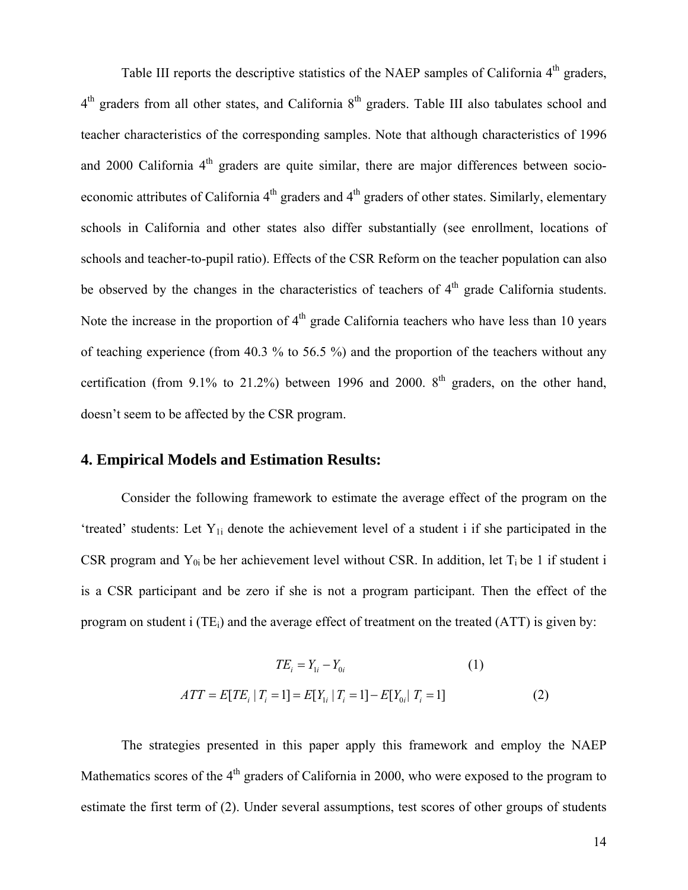Table III reports the descriptive statistics of the NAEP samples of California 4<sup>th</sup> graders,  $4<sup>th</sup>$  graders from all other states, and California  $8<sup>th</sup>$  graders. Table III also tabulates school and teacher characteristics of the corresponding samples. Note that although characteristics of 1996 and 2000 California  $4<sup>th</sup>$  graders are quite similar, there are major differences between socioeconomic attributes of California  $4<sup>th</sup>$  graders and  $4<sup>th</sup>$  graders of other states. Similarly, elementary schools in California and other states also differ substantially (see enrollment, locations of schools and teacher-to-pupil ratio). Effects of the CSR Reform on the teacher population can also be observed by the changes in the characteristics of teachers of  $4<sup>th</sup>$  grade California students. Note the increase in the proportion of  $4<sup>th</sup>$  grade California teachers who have less than 10 years of teaching experience (from 40.3 % to 56.5 %) and the proportion of the teachers without any certification (from 9.1% to 21.2%) between 1996 and 2000.  $8<sup>th</sup>$  graders, on the other hand, doesn't seem to be affected by the CSR program.

## **4. Empirical Models and Estimation Results:**

Consider the following framework to estimate the average effect of the program on the 'treated' students: Let  $Y_{1i}$  denote the achievement level of a student i if she participated in the CSR program and  $Y_{0i}$  be her achievement level without CSR. In addition, let  $T_i$  be 1 if student i is a CSR participant and be zero if she is not a program participant. Then the effect of the program on student i (TE<sub>i</sub>) and the average effect of treatment on the treated (ATT) is given by:

$$
TE_{i} = Y_{1i} - Y_{0i}
$$
(1)  

$$
ATT = E[TE_{i} | T_{i} = 1] = E[Y_{1i} | T_{i} = 1] - E[Y_{0i} | T_{i} = 1]
$$
(2)

The strategies presented in this paper apply this framework and employ the NAEP Mathematics scores of the  $4<sup>th</sup>$  graders of California in 2000, who were exposed to the program to estimate the first term of (2). Under several assumptions, test scores of other groups of students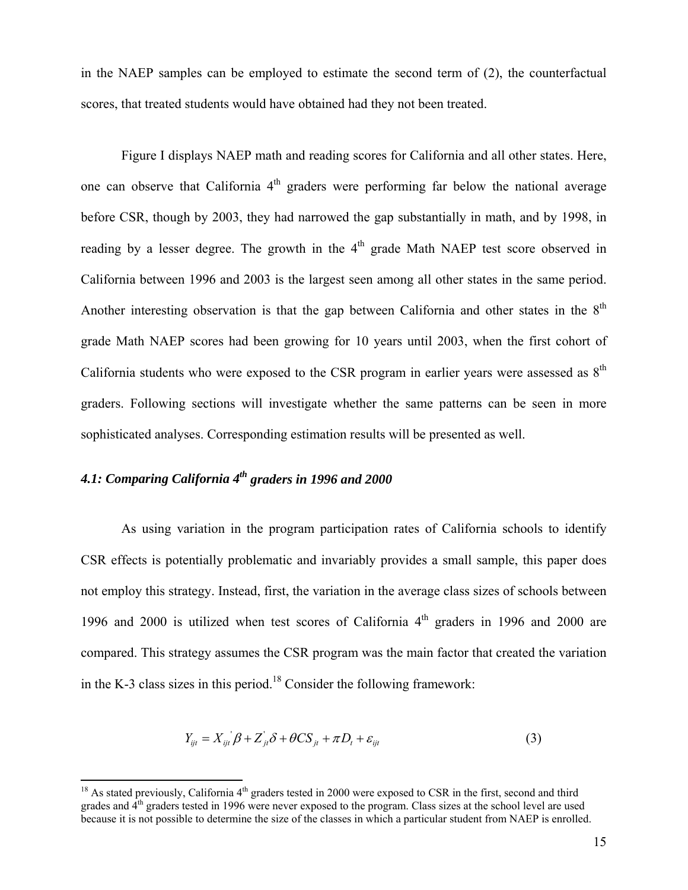in the NAEP samples can be employed to estimate the second term of (2), the counterfactual scores, that treated students would have obtained had they not been treated.

Figure I displays NAEP math and reading scores for California and all other states. Here, one can observe that California  $4<sup>th</sup>$  graders were performing far below the national average before CSR, though by 2003, they had narrowed the gap substantially in math, and by 1998, in reading by a lesser degree. The growth in the  $4<sup>th</sup>$  grade Math NAEP test score observed in California between 1996 and 2003 is the largest seen among all other states in the same period. Another interesting observation is that the gap between California and other states in the  $8<sup>th</sup>$ grade Math NAEP scores had been growing for 10 years until 2003, when the first cohort of California students who were exposed to the CSR program in earlier years were assessed as  $8<sup>th</sup>$ graders. Following sections will investigate whether the same patterns can be seen in more sophisticated analyses. Corresponding estimation results will be presented as well.

# *4.1: Comparing California 4th graders in 1996 and 2000*

 $\overline{a}$ 

As using variation in the program participation rates of California schools to identify CSR effects is potentially problematic and invariably provides a small sample, this paper does not employ this strategy. Instead, first, the variation in the average class sizes of schools between 1996 and 2000 is utilized when test scores of California  $4<sup>th</sup>$  graders in 1996 and 2000 are compared. This strategy assumes the CSR program was the main factor that created the variation in the K-3 class sizes in this period.<sup>18</sup> Consider the following framework:

$$
Y_{ijt} = X_{ijt} \beta + Z_{jt} \delta + \theta C S_{jt} + \pi D_t + \varepsilon_{ijt}
$$
\n(3)

 $18$  As stated previously, California  $4<sup>th</sup>$  graders tested in 2000 were exposed to CSR in the first, second and third grades and 4th graders tested in 1996 were never exposed to the program. Class sizes at the school level are used because it is not possible to determine the size of the classes in which a particular student from NAEP is enrolled.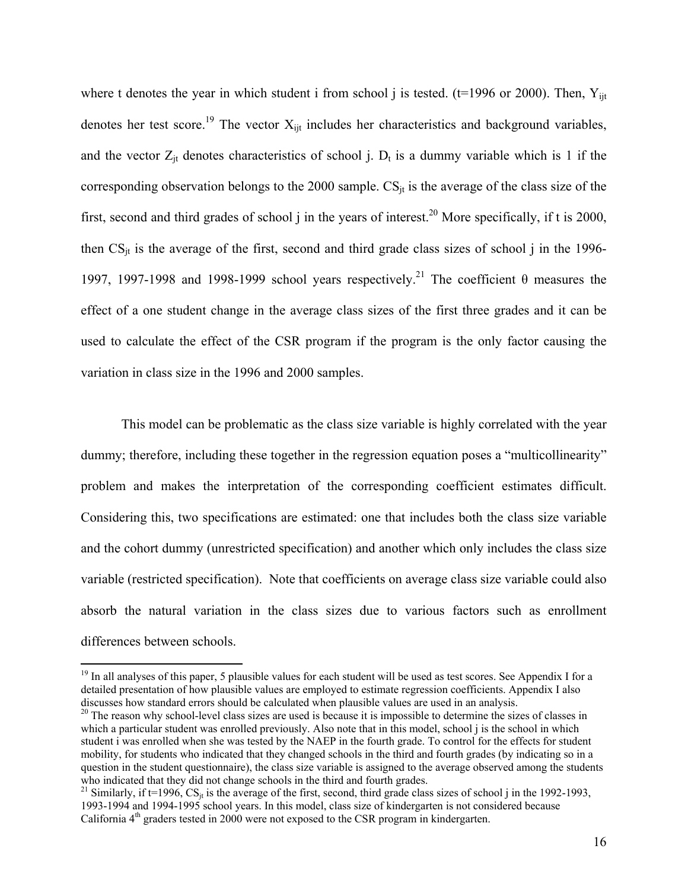where t denotes the year in which student i from school j is tested. ( $t=1996$  or 2000). Then,  $Y_{\text{lit}}$ denotes her test score.<sup>19</sup> The vector  $X_{ijt}$  includes her characteristics and background variables, and the vector  $Z_{jt}$  denotes characteristics of school j.  $D_t$  is a dummy variable which is 1 if the corresponding observation belongs to the 2000 sample.  $CS_{it}$  is the average of the class size of the first, second and third grades of school j in the years of interest.<sup>20</sup> More specifically, if t is 2000, then  $CS_{it}$  is the average of the first, second and third grade class sizes of school j in the 1996-1997, 1997-1998 and 1998-1999 school years respectively.<sup>21</sup> The coefficient θ measures the effect of a one student change in the average class sizes of the first three grades and it can be used to calculate the effect of the CSR program if the program is the only factor causing the variation in class size in the 1996 and 2000 samples.

This model can be problematic as the class size variable is highly correlated with the year dummy; therefore, including these together in the regression equation poses a "multicollinearity" problem and makes the interpretation of the corresponding coefficient estimates difficult. Considering this, two specifications are estimated: one that includes both the class size variable and the cohort dummy (unrestricted specification) and another which only includes the class size variable (restricted specification). Note that coefficients on average class size variable could also absorb the natural variation in the class sizes due to various factors such as enrollment differences between schools.

1

<sup>&</sup>lt;sup>19</sup> In all analyses of this paper, 5 plausible values for each student will be used as test scores. See Appendix I for a detailed presentation of how plausible values are employed to estimate regression coefficients. Appendix I also discusses how standard errors should be calculated when plausible values are used in an analysis.

<sup>&</sup>lt;sup>20</sup> The reason why school-level class sizes are used is because it is impossible to determine the sizes of classes in which a particular student was enrolled previously. Also note that in this model, school j is the school in which student i was enrolled when she was tested by the NAEP in the fourth grade. To control for the effects for student mobility, for students who indicated that they changed schools in the third and fourth grades (by indicating so in a question in the student questionnaire), the class size variable is assigned to the average observed among the students who indicated that they did not change schools in the third and fourth grades.

<sup>&</sup>lt;sup>21</sup> Similarly, if t=1996,  $CS_{jt}$  is the average of the first, second, third grade class sizes of school j in the 1992-1993, 1993-1994 and 1994-1995 school years. In this model, class size of kindergarten is not considered because California 4<sup>th</sup> graders tested in 2000 were not exposed to the CSR program in kindergarten.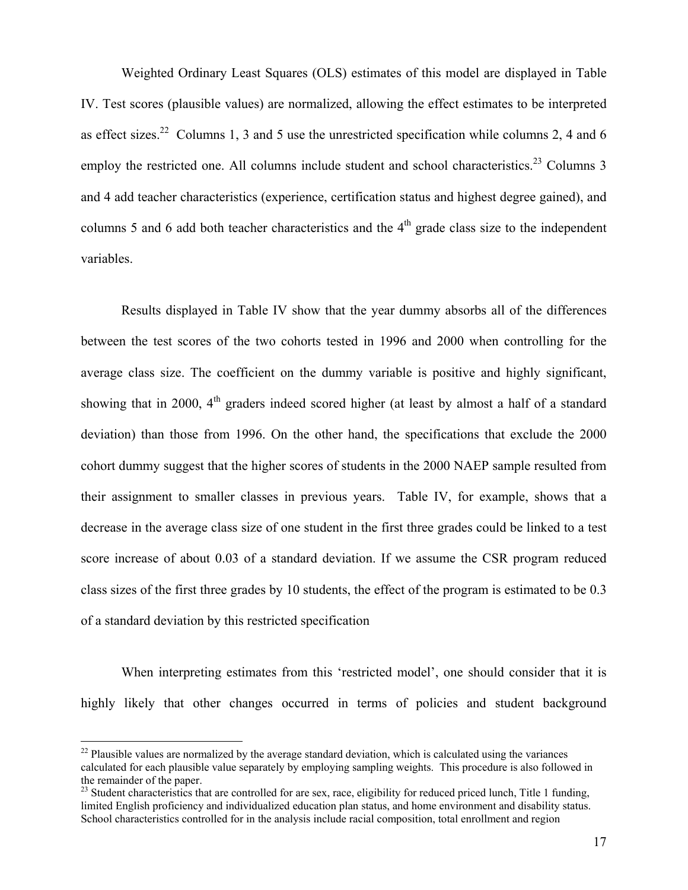Weighted Ordinary Least Squares (OLS) estimates of this model are displayed in Table IV. Test scores (plausible values) are normalized, allowing the effect estimates to be interpreted as effect sizes.<sup>22</sup> Columns 1, 3 and 5 use the unrestricted specification while columns 2, 4 and 6 employ the restricted one. All columns include student and school characteristics.<sup>23</sup> Columns 3 and 4 add teacher characteristics (experience, certification status and highest degree gained), and columns 5 and 6 add both teacher characteristics and the  $4<sup>th</sup>$  grade class size to the independent variables.

Results displayed in Table IV show that the year dummy absorbs all of the differences between the test scores of the two cohorts tested in 1996 and 2000 when controlling for the average class size. The coefficient on the dummy variable is positive and highly significant, showing that in 2000,  $4<sup>th</sup>$  graders indeed scored higher (at least by almost a half of a standard deviation) than those from 1996. On the other hand, the specifications that exclude the 2000 cohort dummy suggest that the higher scores of students in the 2000 NAEP sample resulted from their assignment to smaller classes in previous years. Table IV, for example, shows that a decrease in the average class size of one student in the first three grades could be linked to a test score increase of about 0.03 of a standard deviation. If we assume the CSR program reduced class sizes of the first three grades by 10 students, the effect of the program is estimated to be 0.3 of a standard deviation by this restricted specification

When interpreting estimates from this 'restricted model', one should consider that it is highly likely that other changes occurred in terms of policies and student background

1

 $22$  Plausible values are normalized by the average standard deviation, which is calculated using the variances calculated for each plausible value separately by employing sampling weights. This procedure is also followed in the remainder of the paper.

<sup>&</sup>lt;sup>23</sup> Student characteristics that are controlled for are sex, race, eligibility for reduced priced lunch, Title 1 funding, limited English proficiency and individualized education plan status, and home environment and disability status. School characteristics controlled for in the analysis include racial composition, total enrollment and region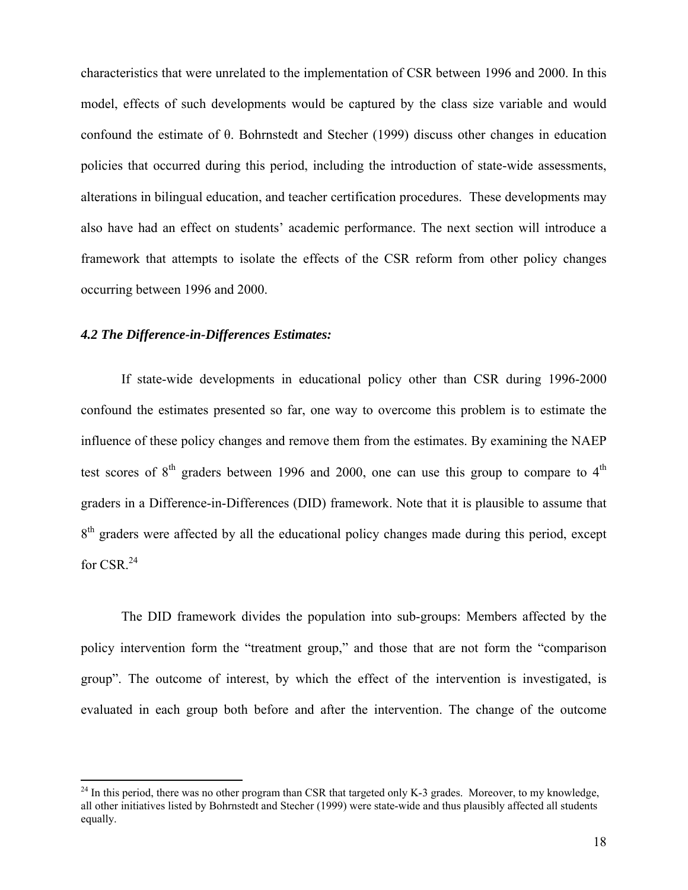characteristics that were unrelated to the implementation of CSR between 1996 and 2000. In this model, effects of such developments would be captured by the class size variable and would confound the estimate of θ. Bohrnstedt and Stecher (1999) discuss other changes in education policies that occurred during this period, including the introduction of state-wide assessments, alterations in bilingual education, and teacher certification procedures. These developments may also have had an effect on students' academic performance. The next section will introduce a framework that attempts to isolate the effects of the CSR reform from other policy changes occurring between 1996 and 2000.

## *4.2 The Difference-in-Differences Estimates:*

 $\overline{a}$ 

If state-wide developments in educational policy other than CSR during 1996-2000 confound the estimates presented so far, one way to overcome this problem is to estimate the influence of these policy changes and remove them from the estimates. By examining the NAEP test scores of  $8<sup>th</sup>$  graders between 1996 and 2000, one can use this group to compare to  $4<sup>th</sup>$ graders in a Difference-in-Differences (DID) framework. Note that it is plausible to assume that 8<sup>th</sup> graders were affected by all the educational policy changes made during this period, except for CSR.<sup>24</sup>

The DID framework divides the population into sub-groups: Members affected by the policy intervention form the "treatment group," and those that are not form the "comparison group". The outcome of interest, by which the effect of the intervention is investigated, is evaluated in each group both before and after the intervention. The change of the outcome

 $24$  In this period, there was no other program than CSR that targeted only K-3 grades. Moreover, to my knowledge, all other initiatives listed by Bohrnstedt and Stecher (1999) were state-wide and thus plausibly affected all students equally.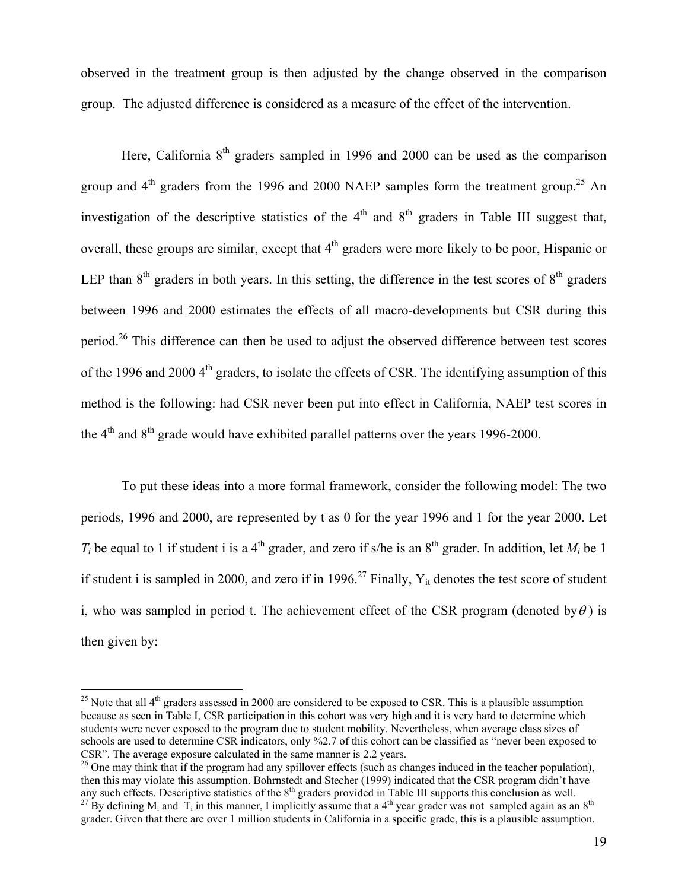observed in the treatment group is then adjusted by the change observed in the comparison group. The adjusted difference is considered as a measure of the effect of the intervention.

Here, California  $8<sup>th</sup>$  graders sampled in 1996 and 2000 can be used as the comparison group and  $4<sup>th</sup>$  graders from the 1996 and 2000 NAEP samples form the treatment group.<sup>25</sup> An investigation of the descriptive statistics of the  $4<sup>th</sup>$  and  $8<sup>th</sup>$  graders in Table III suggest that, overall, these groups are similar, except that  $4<sup>th</sup>$  graders were more likely to be poor, Hispanic or LEP than  $8<sup>th</sup>$  graders in both years. In this setting, the difference in the test scores of  $8<sup>th</sup>$  graders between 1996 and 2000 estimates the effects of all macro-developments but CSR during this period.<sup>26</sup> This difference can then be used to adjust the observed difference between test scores of the 1996 and 2000 4<sup>th</sup> graders, to isolate the effects of CSR. The identifying assumption of this method is the following: had CSR never been put into effect in California, NAEP test scores in the  $4<sup>th</sup>$  and  $8<sup>th</sup>$  grade would have exhibited parallel patterns over the years 1996-2000.

To put these ideas into a more formal framework, consider the following model: The two periods, 1996 and 2000, are represented by t as 0 for the year 1996 and 1 for the year 2000. Let  $T_i$  be equal to 1 if student i is a 4<sup>th</sup> grader, and zero if s/he is an 8<sup>th</sup> grader. In addition, let  $M_i$  be 1 if student i is sampled in 2000, and zero if in 1996.<sup>27</sup> Finally,  $Y_{it}$  denotes the test score of student i, who was sampled in period t. The achievement effect of the CSR program (denoted by $\theta$ ) is then given by:

 $\overline{a}$ 

<sup>&</sup>lt;sup>25</sup> Note that all  $4<sup>th</sup>$  graders assessed in 2000 are considered to be exposed to CSR. This is a plausible assumption because as seen in Table I, CSR participation in this cohort was very high and it is very hard to determine which students were never exposed to the program due to student mobility. Nevertheless, when average class sizes of schools are used to determine CSR indicators, only %2.7 of this cohort can be classified as "never been exposed to CSR". The average exposure calculated in the same manner is 2.2 years.

<sup>&</sup>lt;sup>26</sup> One may think that if the program had any spillover effects (such as changes induced in the teacher population), then this may violate this assumption. Bohrnstedt and Stecher (1999) indicated that the CSR program didn't have<br>any such effects. Descriptive statistics of the  $8<sup>th</sup>$  graders provided in Table III supports this conclu <sup>27</sup> By defining M<sub>i</sub> and  $T_i$  in this manner, I implicitly assume that a 4<sup>th</sup> year grader was not sampled again as an 8<sup>th</sup>

grader. Given that there are over 1 million students in California in a specific grade, this is a plausible assumption.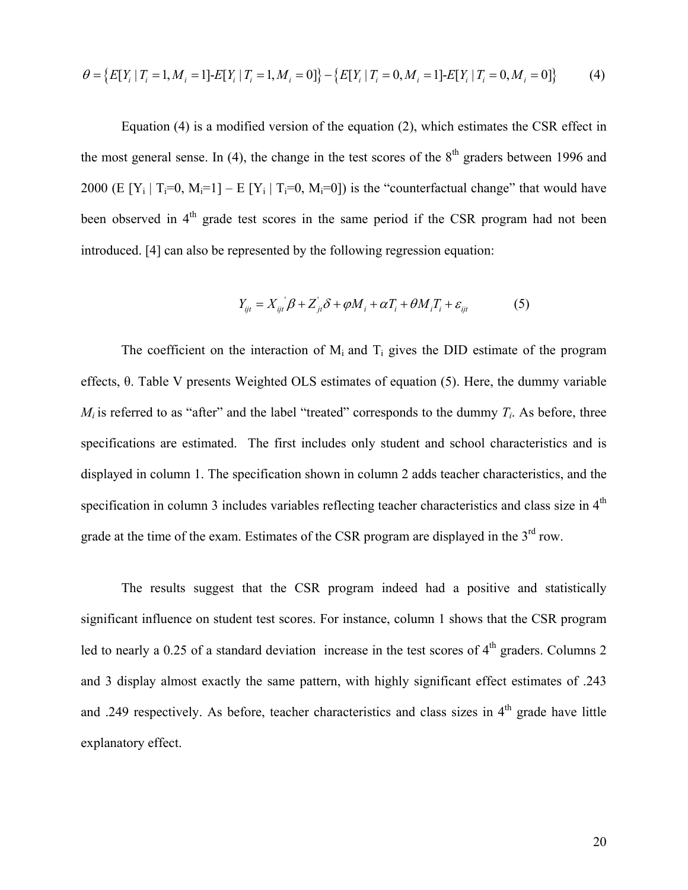$$
\theta = \{E[Y_i | T_i = 1, M_i = 1] - E[Y_i | T_i = 1, M_i = 0]\} - \{E[Y_i | T_i = 0, M_i = 1] - E[Y_i | T_i = 0, M_i = 0]\}
$$
(4)

Equation (4) is a modified version of the equation (2), which estimates the CSR effect in the most general sense. In (4), the change in the test scores of the  $8<sup>th</sup>$  graders between 1996 and 2000 (E  $[Y_i | T_i=0, M_i=1] - E[Y_i | T_i=0, M_i=0]$ ) is the "counterfactual change" that would have been observed in  $4<sup>th</sup>$  grade test scores in the same period if the CSR program had not been introduced. [4] can also be represented by the following regression equation:

$$
Y_{ijt} = X_{ijt} \beta + Z_{jt} \delta + \varphi M_i + \alpha T_i + \theta M_i T_i + \varepsilon_{ijt}
$$
(5)

The coefficient on the interaction of  $M_i$  and  $T_i$  gives the DID estimate of the program effects, θ. Table V presents Weighted OLS estimates of equation (5). Here, the dummy variable  $M_i$  is referred to as "after" and the label "treated" corresponds to the dummy  $T_i$ . As before, three specifications are estimated. The first includes only student and school characteristics and is displayed in column 1. The specification shown in column 2 adds teacher characteristics, and the specification in column 3 includes variables reflecting teacher characteristics and class size in  $4<sup>th</sup>$ grade at the time of the exam. Estimates of the CSR program are displayed in the  $3<sup>rd</sup>$  row.

The results suggest that the CSR program indeed had a positive and statistically significant influence on student test scores. For instance, column 1 shows that the CSR program led to nearly a 0.25 of a standard deviation increase in the test scores of  $4<sup>th</sup>$  graders. Columns 2 and 3 display almost exactly the same pattern, with highly significant effect estimates of .243 and .249 respectively. As before, teacher characteristics and class sizes in 4<sup>th</sup> grade have little explanatory effect.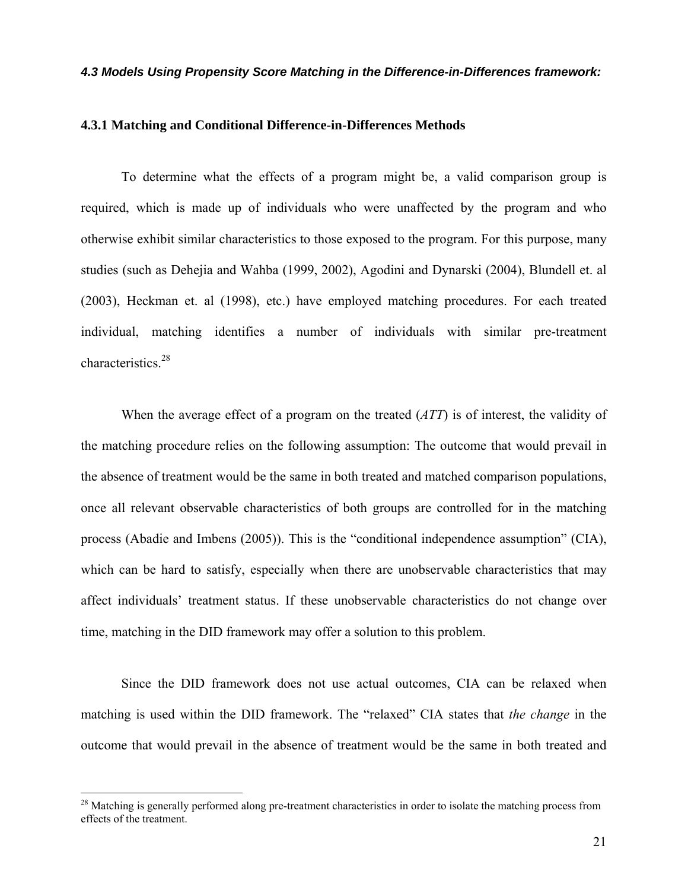#### *4.3 Models Using Propensity Score Matching in the Difference-in-Differences framework:*

## **4.3.1 Matching and Conditional Difference-in-Differences Methods**

To determine what the effects of a program might be, a valid comparison group is required, which is made up of individuals who were unaffected by the program and who otherwise exhibit similar characteristics to those exposed to the program. For this purpose, many studies (such as Dehejia and Wahba (1999, 2002), Agodini and Dynarski (2004), Blundell et. al (2003), Heckman et. al (1998), etc.) have employed matching procedures. For each treated individual, matching identifies a number of individuals with similar pre-treatment characteristics.28

When the average effect of a program on the treated (*ATT*) is of interest, the validity of the matching procedure relies on the following assumption: The outcome that would prevail in the absence of treatment would be the same in both treated and matched comparison populations, once all relevant observable characteristics of both groups are controlled for in the matching process (Abadie and Imbens (2005)). This is the "conditional independence assumption" (CIA), which can be hard to satisfy, especially when there are unobservable characteristics that may affect individuals' treatment status. If these unobservable characteristics do not change over time, matching in the DID framework may offer a solution to this problem.

Since the DID framework does not use actual outcomes, CIA can be relaxed when matching is used within the DID framework. The "relaxed" CIA states that *the change* in the outcome that would prevail in the absence of treatment would be the same in both treated and

<u>.</u>

 $^{28}$  Matching is generally performed along pre-treatment characteristics in order to isolate the matching process from effects of the treatment.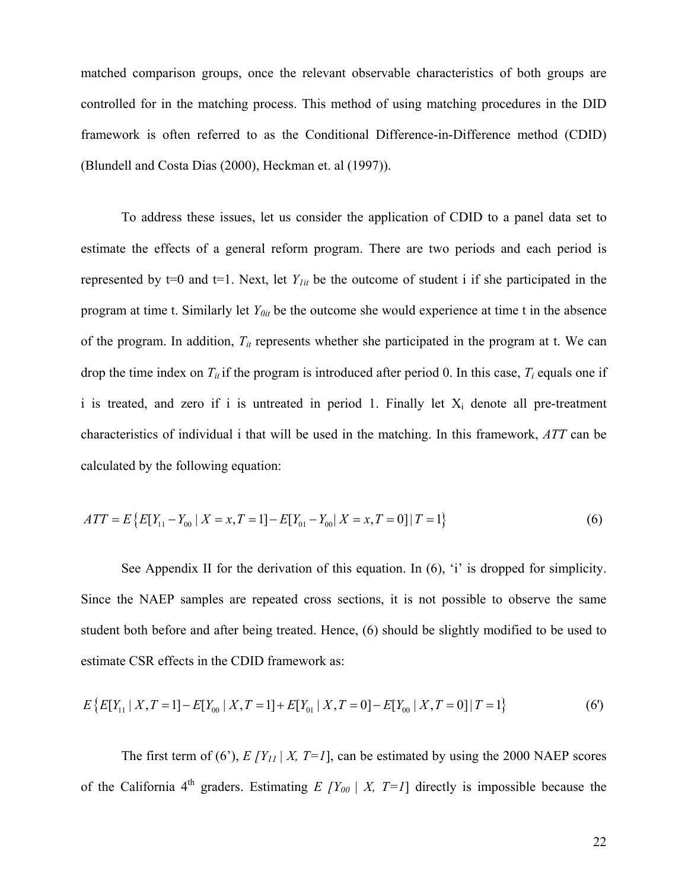matched comparison groups, once the relevant observable characteristics of both groups are controlled for in the matching process. This method of using matching procedures in the DID framework is often referred to as the Conditional Difference-in-Difference method (CDID) (Blundell and Costa Dias (2000), Heckman et. al (1997)).

To address these issues, let us consider the application of CDID to a panel data set to estimate the effects of a general reform program. There are two periods and each period is represented by  $t=0$  and  $t=1$ . Next, let  $Y_{lit}$  be the outcome of student i if she participated in the program at time t. Similarly let *Y0it* be the outcome she would experience at time t in the absence of the program. In addition, *Tit* represents whether she participated in the program at t. We can drop the time index on  $T_{it}$  if the program is introduced after period 0. In this case,  $T_i$  equals one if i is treated, and zero if i is untreated in period 1. Finally let  $X_i$  denote all pre-treatment characteristics of individual i that will be used in the matching. In this framework, *ATT* can be calculated by the following equation:

$$
ATT = E\{E[Y_{11} - Y_{00} | X = x, T = 1] - E[Y_{01} - Y_{00} | X = x, T = 0]|T = 1\}
$$
\n
$$
(6)
$$

See Appendix II for the derivation of this equation. In (6), 'i' is dropped for simplicity. Since the NAEP samples are repeated cross sections, it is not possible to observe the same student both before and after being treated. Hence, (6) should be slightly modified to be used to estimate CSR effects in the CDID framework as:

$$
E\left\{E[Y_{11} \mid X, T=1] - E[Y_{00} \mid X, T=1] + E[Y_{01} \mid X, T=0] - E[Y_{00} \mid X, T=0] \mid T=1\right\}
$$
(6')

The first term of (6'),  $E[Y_{11} | X, T=1]$ , can be estimated by using the 2000 NAEP scores of the California 4<sup>th</sup> graders. Estimating *E*  $[Y_{00} | X, T=1]$  directly is impossible because the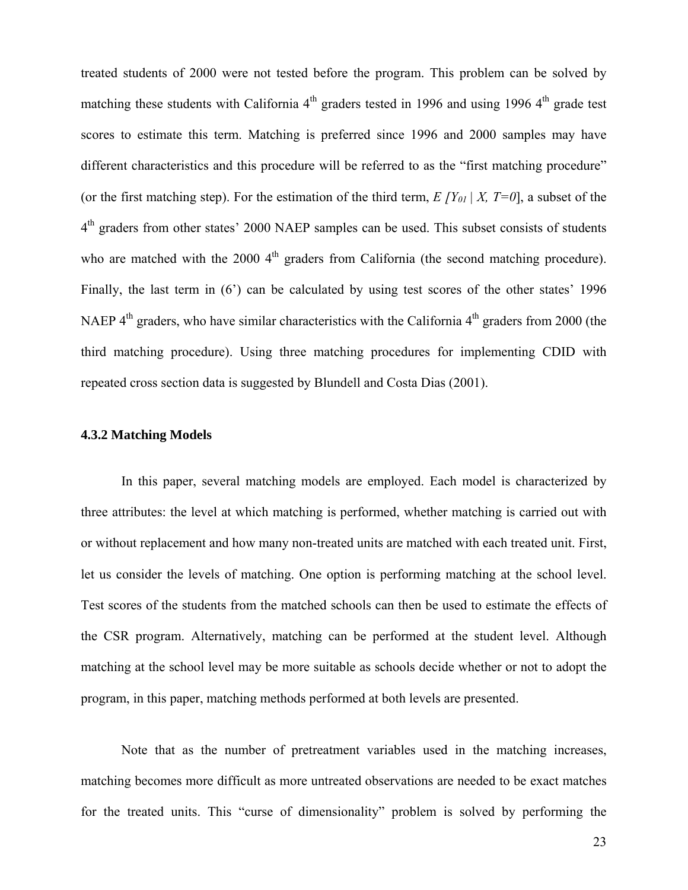treated students of 2000 were not tested before the program. This problem can be solved by matching these students with California 4<sup>th</sup> graders tested in 1996 and using 1996 4<sup>th</sup> grade test scores to estimate this term. Matching is preferred since 1996 and 2000 samples may have different characteristics and this procedure will be referred to as the "first matching procedure" (or the first matching step). For the estimation of the third term,  $E/Y_{01} | X, T=0$ , a subset of the 4<sup>th</sup> graders from other states' 2000 NAEP samples can be used. This subset consists of students who are matched with the 2000  $4<sup>th</sup>$  graders from California (the second matching procedure). Finally, the last term in (6<sup>o</sup>) can be calculated by using test scores of the other states' 1996 NAEP  $4<sup>th</sup>$  graders, who have similar characteristics with the California  $4<sup>th</sup>$  graders from 2000 (the third matching procedure). Using three matching procedures for implementing CDID with repeated cross section data is suggested by Blundell and Costa Dias (2001).

## **4.3.2 Matching Models**

In this paper, several matching models are employed. Each model is characterized by three attributes: the level at which matching is performed, whether matching is carried out with or without replacement and how many non-treated units are matched with each treated unit. First, let us consider the levels of matching. One option is performing matching at the school level. Test scores of the students from the matched schools can then be used to estimate the effects of the CSR program. Alternatively, matching can be performed at the student level. Although matching at the school level may be more suitable as schools decide whether or not to adopt the program, in this paper, matching methods performed at both levels are presented.

Note that as the number of pretreatment variables used in the matching increases, matching becomes more difficult as more untreated observations are needed to be exact matches for the treated units. This "curse of dimensionality" problem is solved by performing the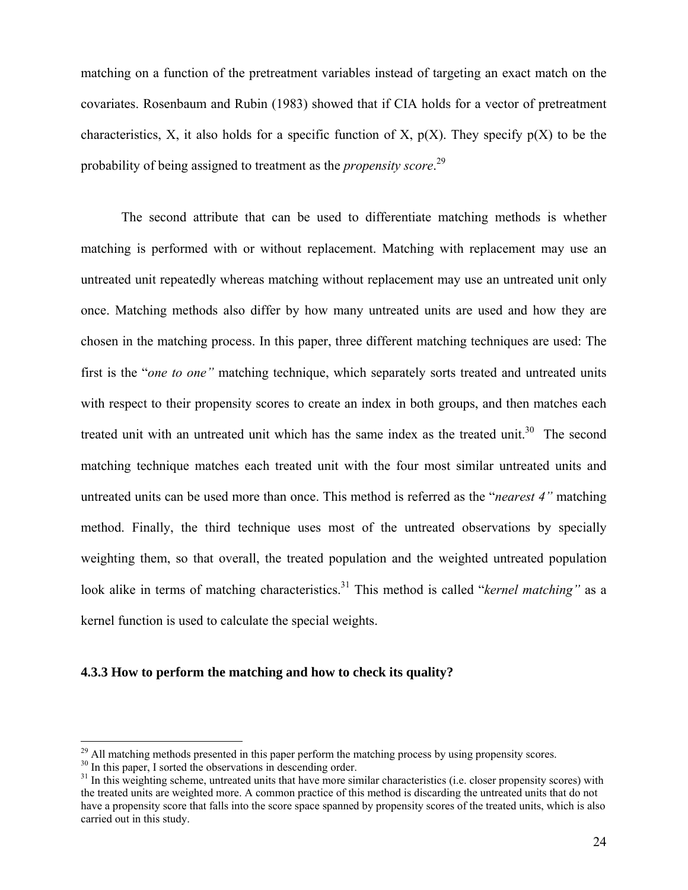matching on a function of the pretreatment variables instead of targeting an exact match on the covariates. Rosenbaum and Rubin (1983) showed that if CIA holds for a vector of pretreatment characteristics, X, it also holds for a specific function of X,  $p(X)$ . They specify  $p(X)$  to be the probability of being assigned to treatment as the *propensity score*. 29

The second attribute that can be used to differentiate matching methods is whether matching is performed with or without replacement. Matching with replacement may use an untreated unit repeatedly whereas matching without replacement may use an untreated unit only once. Matching methods also differ by how many untreated units are used and how they are chosen in the matching process. In this paper, three different matching techniques are used: The first is the "*one to one"* matching technique, which separately sorts treated and untreated units with respect to their propensity scores to create an index in both groups, and then matches each treated unit with an untreated unit which has the same index as the treated unit.<sup>30</sup> The second matching technique matches each treated unit with the four most similar untreated units and untreated units can be used more than once. This method is referred as the "*nearest 4"* matching method. Finally, the third technique uses most of the untreated observations by specially weighting them, so that overall, the treated population and the weighted untreated population look alike in terms of matching characteristics.<sup>31</sup> This method is called "*kernel matching*" as a kernel function is used to calculate the special weights.

## **4.3.3 How to perform the matching and how to check its quality?**

 $\overline{a}$ 

 $^{29}$  All matching methods presented in this paper perform the matching process by using propensity scores.

<sup>&</sup>lt;sup>30</sup> In this paper, I sorted the observations in descending order.

<sup>&</sup>lt;sup>31</sup> In this weighting scheme, untreated units that have more similar characteristics (i.e. closer propensity scores) with the treated units are weighted more. A common practice of this method is discarding the untreated units that do not have a propensity score that falls into the score space spanned by propensity scores of the treated units, which is also carried out in this study.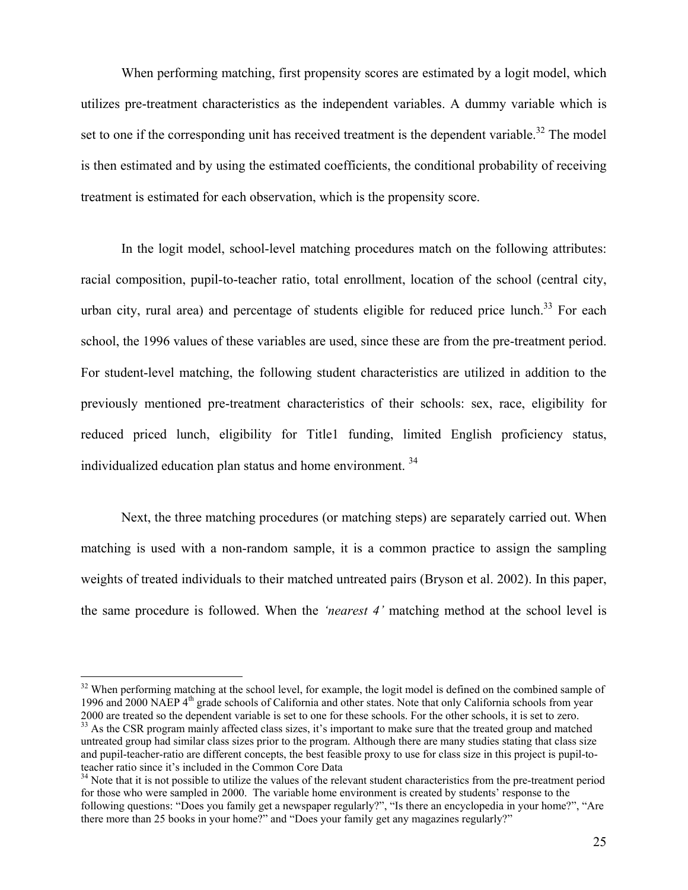When performing matching, first propensity scores are estimated by a logit model, which utilizes pre-treatment characteristics as the independent variables. A dummy variable which is set to one if the corresponding unit has received treatment is the dependent variable.<sup>32</sup> The model is then estimated and by using the estimated coefficients, the conditional probability of receiving treatment is estimated for each observation, which is the propensity score.

In the logit model, school-level matching procedures match on the following attributes: racial composition, pupil-to-teacher ratio, total enrollment, location of the school (central city, urban city, rural area) and percentage of students eligible for reduced price lunch.<sup>33</sup> For each school, the 1996 values of these variables are used, since these are from the pre-treatment period. For student-level matching, the following student characteristics are utilized in addition to the previously mentioned pre-treatment characteristics of their schools: sex, race, eligibility for reduced priced lunch, eligibility for Title1 funding, limited English proficiency status, individualized education plan status and home environment.<sup>34</sup>

Next, the three matching procedures (or matching steps) are separately carried out. When matching is used with a non-random sample, it is a common practice to assign the sampling weights of treated individuals to their matched untreated pairs (Bryson et al. 2002). In this paper, the same procedure is followed. When the *'nearest 4'* matching method at the school level is

<u>.</u>

<sup>&</sup>lt;sup>32</sup> When performing matching at the school level, for example, the logit model is defined on the combined sample of 1996 and 2000 NAEP 4<sup>th</sup> grade schools of California and other states. Note that only California schools from year 2000 are treated so the dependent variable is set to one for these schools. For the other schools, it is set to zero.<br><sup>33</sup> As the CSR program mainly affected class sizes, it's important to make sure that the treated group

untreated group had similar class sizes prior to the program. Although there are many studies stating that class size and pupil-teacher-ratio are different concepts, the best feasible proxy to use for class size in this project is pupil-to-

<sup>&</sup>lt;sup>34</sup> Note that it is not possible to utilize the values of the relevant student characteristics from the pre-treatment period for those who were sampled in 2000. The variable home environment is created by students' response to the following questions: "Does you family get a newspaper regularly?", "Is there an encyclopedia in your home?", "Are there more than 25 books in your home?" and "Does your family get any magazines regularly?"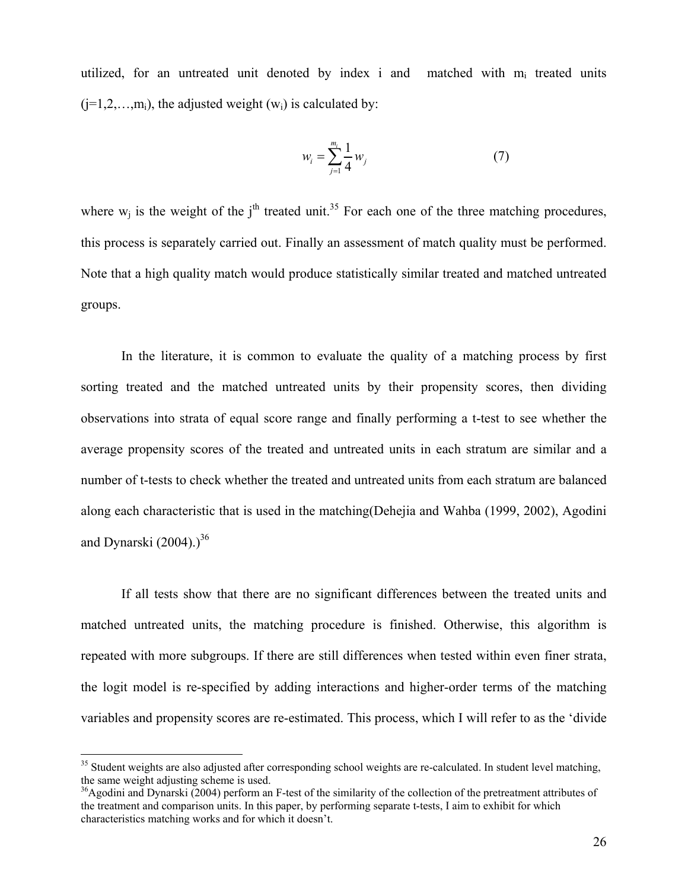utilized, for an untreated unit denoted by index i and matched with  $m_i$  treated units  $(i=1,2,...,m_i)$ , the adjusted weight  $(w_i)$  is calculated by:

$$
w_i = \sum_{j=1}^{m_i} \frac{1}{4} w_j \tag{7}
$$

where  $w_i$  is the weight of the j<sup>th</sup> treated unit.<sup>35</sup> For each one of the three matching procedures, this process is separately carried out. Finally an assessment of match quality must be performed. Note that a high quality match would produce statistically similar treated and matched untreated groups.

In the literature, it is common to evaluate the quality of a matching process by first sorting treated and the matched untreated units by their propensity scores, then dividing observations into strata of equal score range and finally performing a t-test to see whether the average propensity scores of the treated and untreated units in each stratum are similar and a number of t-tests to check whether the treated and untreated units from each stratum are balanced along each characteristic that is used in the matching(Dehejia and Wahba (1999, 2002), Agodini and Dynarski  $(2004)$ .)<sup>36</sup>

If all tests show that there are no significant differences between the treated units and matched untreated units, the matching procedure is finished. Otherwise, this algorithm is repeated with more subgroups. If there are still differences when tested within even finer strata, the logit model is re-specified by adding interactions and higher-order terms of the matching variables and propensity scores are re-estimated. This process, which I will refer to as the 'divide

 $\overline{a}$ 

<sup>&</sup>lt;sup>35</sup> Student weights are also adjusted after corresponding school weights are re-calculated. In student level matching, the same weight adjusting scheme is used.

<sup>&</sup>lt;sup>36</sup>Agodini and Dynarski (2004) perform an F-test of the similarity of the collection of the pretreatment attributes of the treatment and comparison units. In this paper, by performing separate t-tests, I aim to exhibit for which characteristics matching works and for which it doesn't.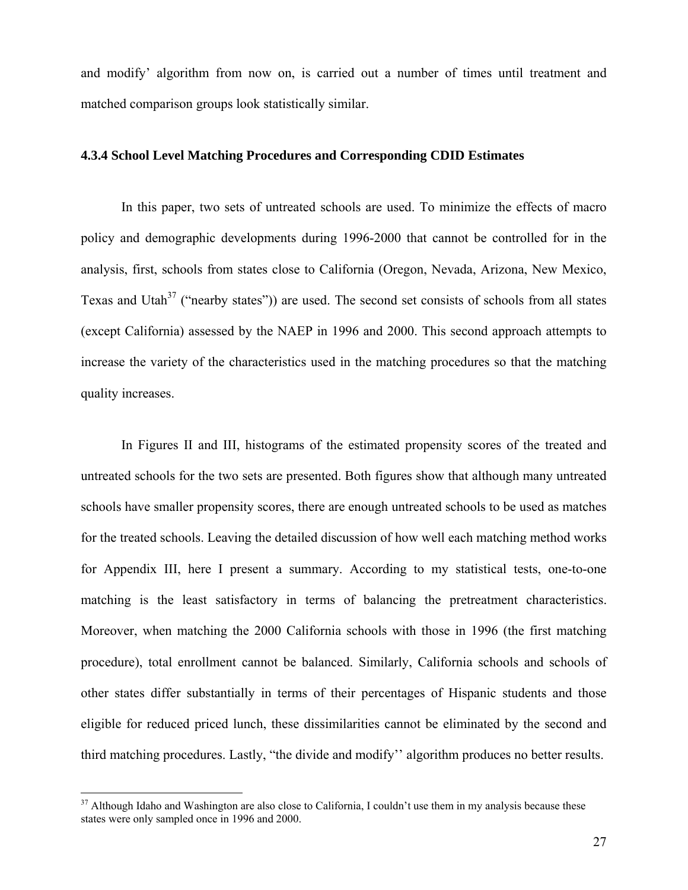and modify' algorithm from now on, is carried out a number of times until treatment and matched comparison groups look statistically similar.

## **4.3.4 School Level Matching Procedures and Corresponding CDID Estimates**

In this paper, two sets of untreated schools are used. To minimize the effects of macro policy and demographic developments during 1996-2000 that cannot be controlled for in the analysis, first, schools from states close to California (Oregon, Nevada, Arizona, New Mexico, Texas and Utah<sup>37</sup> ("nearby states")) are used. The second set consists of schools from all states (except California) assessed by the NAEP in 1996 and 2000. This second approach attempts to increase the variety of the characteristics used in the matching procedures so that the matching quality increases.

In Figures II and III, histograms of the estimated propensity scores of the treated and untreated schools for the two sets are presented. Both figures show that although many untreated schools have smaller propensity scores, there are enough untreated schools to be used as matches for the treated schools. Leaving the detailed discussion of how well each matching method works for Appendix III, here I present a summary. According to my statistical tests, one-to-one matching is the least satisfactory in terms of balancing the pretreatment characteristics. Moreover, when matching the 2000 California schools with those in 1996 (the first matching procedure), total enrollment cannot be balanced. Similarly, California schools and schools of other states differ substantially in terms of their percentages of Hispanic students and those eligible for reduced priced lunch, these dissimilarities cannot be eliminated by the second and third matching procedures. Lastly, "the divide and modify'' algorithm produces no better results.

<u>.</u>

 $37$  Although Idaho and Washington are also close to California, I couldn't use them in my analysis because these states were only sampled once in 1996 and 2000.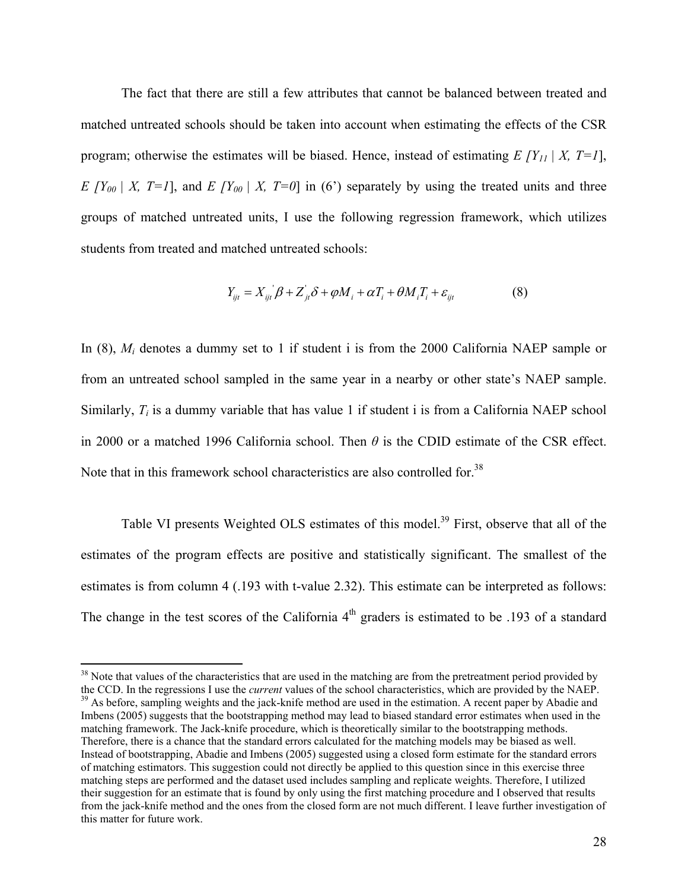The fact that there are still a few attributes that cannot be balanced between treated and matched untreated schools should be taken into account when estimating the effects of the CSR program; otherwise the estimates will be biased. Hence, instead of estimating  $E[Y_{11} | X, T=1]$ , *E*  $[Y_{00} | X, T=1]$ , and *E*  $[Y_{00} | X, T=0]$  in (6<sup>2</sup>) separately by using the treated units and three groups of matched untreated units, I use the following regression framework, which utilizes students from treated and matched untreated schools:

$$
Y_{ijt} = X_{ijt}\beta + Z_{jt}\delta + \varphi M_i + \alpha T_i + \theta M_i T_i + \varepsilon_{ijt}
$$
\n
$$
\tag{8}
$$

In (8),  $M_i$  denotes a dummy set to 1 if student i is from the 2000 California NAEP sample or from an untreated school sampled in the same year in a nearby or other state's NAEP sample. Similarly,  $T_i$  is a dummy variable that has value 1 if student i is from a California NAEP school in 2000 or a matched 1996 California school. Then *θ* is the CDID estimate of the CSR effect. Note that in this framework school characteristics are also controlled for.<sup>38</sup>

Table VI presents Weighted OLS estimates of this model.<sup>39</sup> First, observe that all of the estimates of the program effects are positive and statistically significant. The smallest of the estimates is from column 4 (.193 with t-value 2.32). This estimate can be interpreted as follows: The change in the test scores of the California  $4<sup>th</sup>$  graders is estimated to be .193 of a standard

 $\overline{a}$ 

 $38$  Note that values of the characteristics that are used in the matching are from the pretreatment period provided by the CCD. In the regressions I use the *current* values of the school characteristics, which are provided by the NAEP.<br><sup>39</sup> As before, sampling weights and the jack-knife method are used in the estimation. A recent paper by Imbens (2005) suggests that the bootstrapping method may lead to biased standard error estimates when used in the matching framework. The Jack-knife procedure, which is theoretically similar to the bootstrapping methods. Therefore, there is a chance that the standard errors calculated for the matching models may be biased as well. Instead of bootstrapping, Abadie and Imbens (2005) suggested using a closed form estimate for the standard errors of matching estimators. This suggestion could not directly be applied to this question since in this exercise three matching steps are performed and the dataset used includes sampling and replicate weights. Therefore, I utilized their suggestion for an estimate that is found by only using the first matching procedure and I observed that results from the jack-knife method and the ones from the closed form are not much different. I leave further investigation of this matter for future work.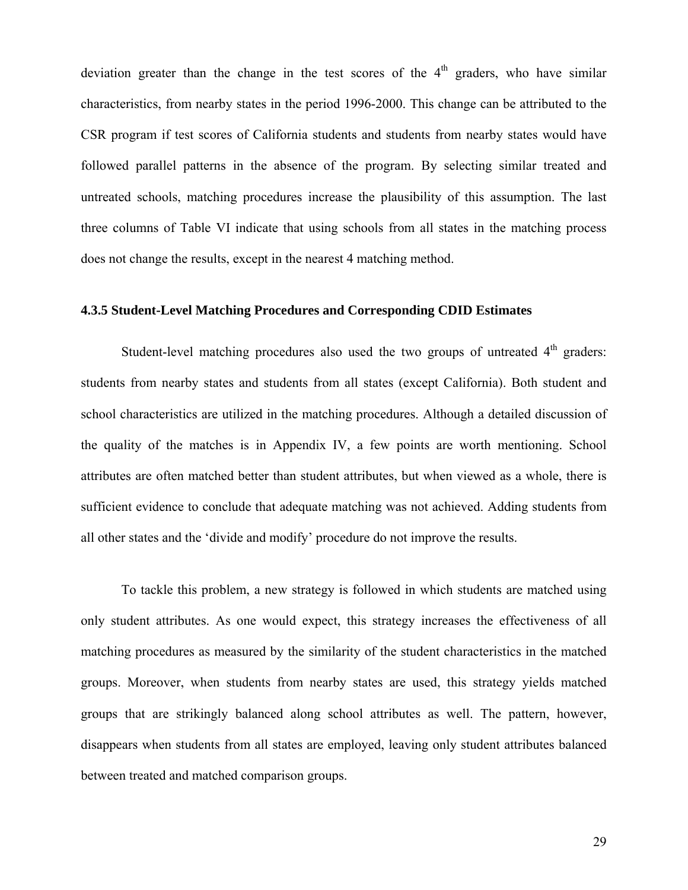deviation greater than the change in the test scores of the  $4<sup>th</sup>$  graders, who have similar characteristics, from nearby states in the period 1996-2000. This change can be attributed to the CSR program if test scores of California students and students from nearby states would have followed parallel patterns in the absence of the program. By selecting similar treated and untreated schools, matching procedures increase the plausibility of this assumption. The last three columns of Table VI indicate that using schools from all states in the matching process does not change the results, except in the nearest 4 matching method.

## **4.3.5 Student-Level Matching Procedures and Corresponding CDID Estimates**

Student-level matching procedures also used the two groups of untreated  $4<sup>th</sup>$  graders: students from nearby states and students from all states (except California). Both student and school characteristics are utilized in the matching procedures. Although a detailed discussion of the quality of the matches is in Appendix IV, a few points are worth mentioning. School attributes are often matched better than student attributes, but when viewed as a whole, there is sufficient evidence to conclude that adequate matching was not achieved. Adding students from all other states and the 'divide and modify' procedure do not improve the results.

To tackle this problem, a new strategy is followed in which students are matched using only student attributes. As one would expect, this strategy increases the effectiveness of all matching procedures as measured by the similarity of the student characteristics in the matched groups. Moreover, when students from nearby states are used, this strategy yields matched groups that are strikingly balanced along school attributes as well. The pattern, however, disappears when students from all states are employed, leaving only student attributes balanced between treated and matched comparison groups.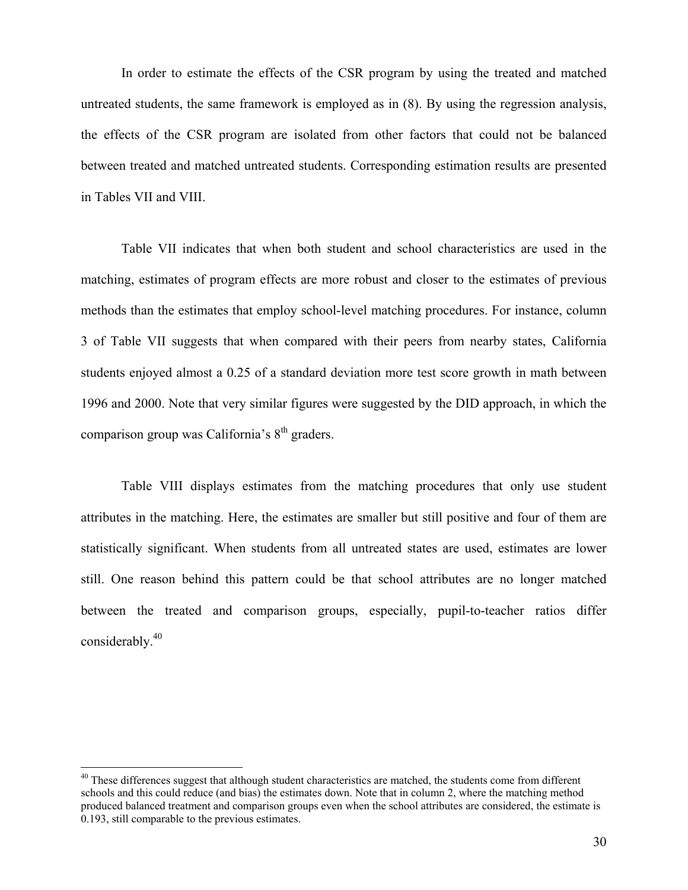In order to estimate the effects of the CSR program by using the treated and matched untreated students, the same framework is employed as in (8). By using the regression analysis, the effects of the CSR program are isolated from other factors that could not be balanced between treated and matched untreated students. Corresponding estimation results are presented in Tables VII and VIII.

Table VII indicates that when both student and school characteristics are used in the matching, estimates of program effects are more robust and closer to the estimates of previous methods than the estimates that employ school-level matching procedures. For instance, column 3 of Table VII suggests that when compared with their peers from nearby states, California students enjoyed almost a 0.25 of a standard deviation more test score growth in math between 1996 and 2000. Note that very similar figures were suggested by the DID approach, in which the comparison group was California's  $8<sup>th</sup>$  graders.

Table VIII displays estimates from the matching procedures that only use student attributes in the matching. Here, the estimates are smaller but still positive and four of them are statistically significant. When students from all untreated states are used, estimates are lower still. One reason behind this pattern could be that school attributes are no longer matched between the treated and comparison groups, especially, pupil-to-teacher ratios differ considerably.40

 $\overline{a}$ 

 $40$  These differences suggest that although student characteristics are matched, the students come from different schools and this could reduce (and bias) the estimates down. Note that in column 2, where the matching method produced balanced treatment and comparison groups even when the school attributes are considered, the estimate is 0.193, still comparable to the previous estimates.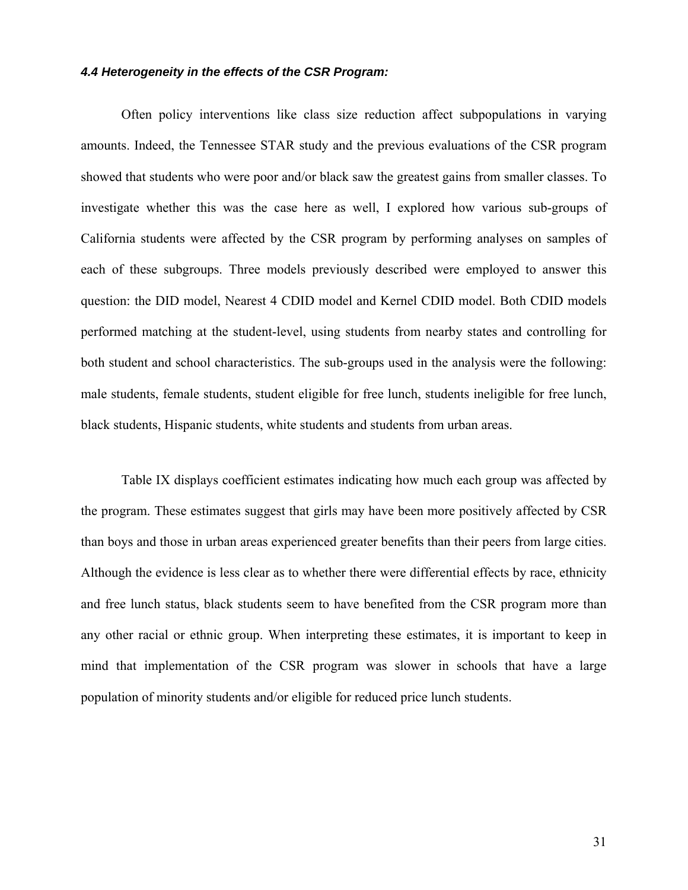## *4.4 Heterogeneity in the effects of the CSR Program:*

Often policy interventions like class size reduction affect subpopulations in varying amounts. Indeed, the Tennessee STAR study and the previous evaluations of the CSR program showed that students who were poor and/or black saw the greatest gains from smaller classes. To investigate whether this was the case here as well, I explored how various sub-groups of California students were affected by the CSR program by performing analyses on samples of each of these subgroups. Three models previously described were employed to answer this question: the DID model, Nearest 4 CDID model and Kernel CDID model. Both CDID models performed matching at the student-level, using students from nearby states and controlling for both student and school characteristics. The sub-groups used in the analysis were the following: male students, female students, student eligible for free lunch, students ineligible for free lunch, black students, Hispanic students, white students and students from urban areas.

Table IX displays coefficient estimates indicating how much each group was affected by the program. These estimates suggest that girls may have been more positively affected by CSR than boys and those in urban areas experienced greater benefits than their peers from large cities. Although the evidence is less clear as to whether there were differential effects by race, ethnicity and free lunch status, black students seem to have benefited from the CSR program more than any other racial or ethnic group. When interpreting these estimates, it is important to keep in mind that implementation of the CSR program was slower in schools that have a large population of minority students and/or eligible for reduced price lunch students.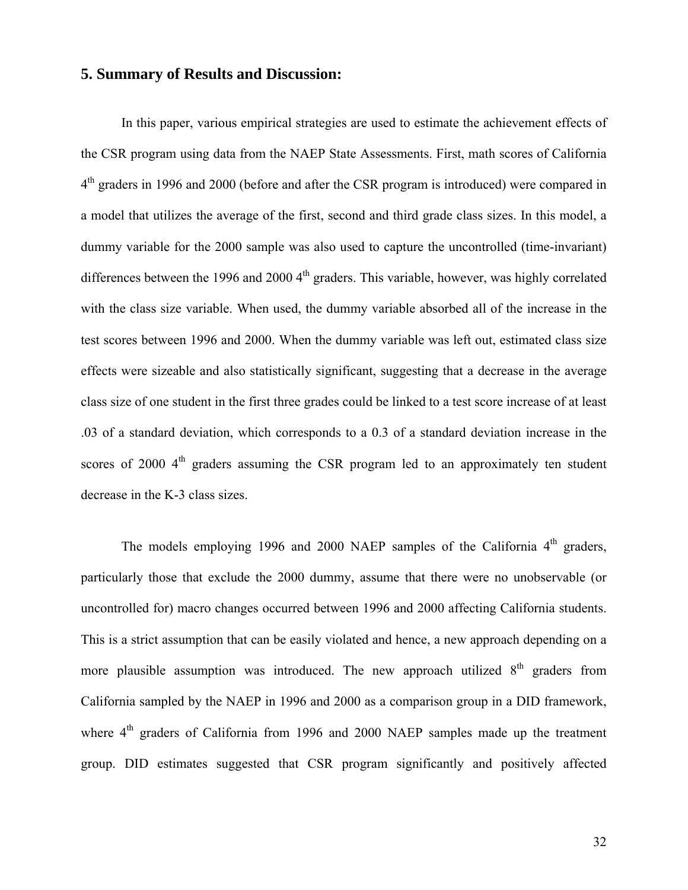# **5. Summary of Results and Discussion:**

In this paper, various empirical strategies are used to estimate the achievement effects of the CSR program using data from the NAEP State Assessments. First, math scores of California 4<sup>th</sup> graders in 1996 and 2000 (before and after the CSR program is introduced) were compared in a model that utilizes the average of the first, second and third grade class sizes. In this model, a dummy variable for the 2000 sample was also used to capture the uncontrolled (time-invariant) differences between the 1996 and 2000  $4<sup>th</sup>$  graders. This variable, however, was highly correlated with the class size variable. When used, the dummy variable absorbed all of the increase in the test scores between 1996 and 2000. When the dummy variable was left out, estimated class size effects were sizeable and also statistically significant, suggesting that a decrease in the average class size of one student in the first three grades could be linked to a test score increase of at least .03 of a standard deviation, which corresponds to a 0.3 of a standard deviation increase in the scores of 2000  $4<sup>th</sup>$  graders assuming the CSR program led to an approximately ten student decrease in the K-3 class sizes.

The models employing 1996 and 2000 NAEP samples of the California  $4<sup>th</sup>$  graders, particularly those that exclude the 2000 dummy, assume that there were no unobservable (or uncontrolled for) macro changes occurred between 1996 and 2000 affecting California students. This is a strict assumption that can be easily violated and hence, a new approach depending on a more plausible assumption was introduced. The new approach utilized  $8<sup>th</sup>$  graders from California sampled by the NAEP in 1996 and 2000 as a comparison group in a DID framework, where  $4<sup>th</sup>$  graders of California from 1996 and 2000 NAEP samples made up the treatment group. DID estimates suggested that CSR program significantly and positively affected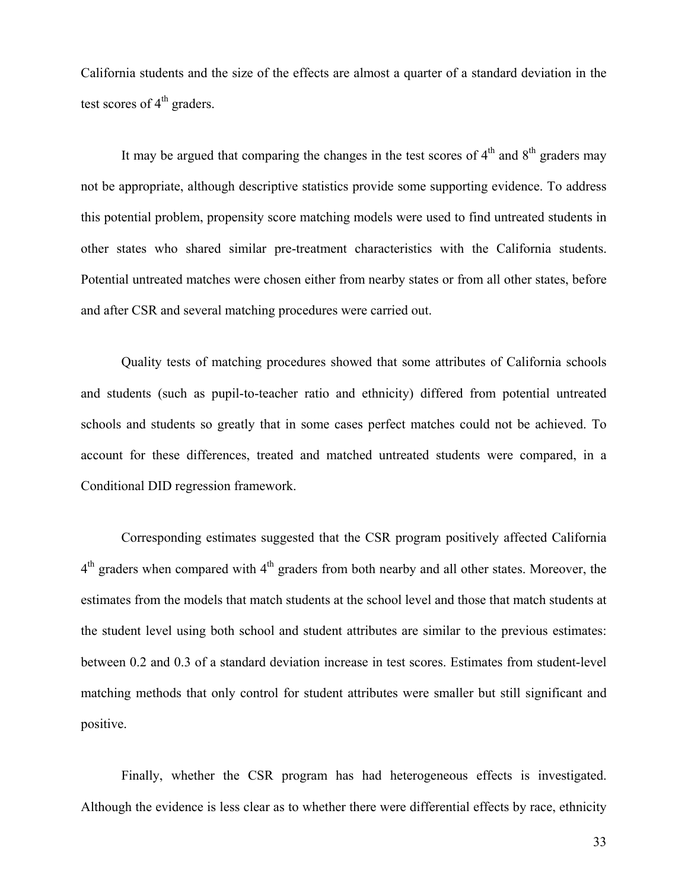California students and the size of the effects are almost a quarter of a standard deviation in the test scores of  $4<sup>th</sup>$  graders.

It may be argued that comparing the changes in the test scores of  $4<sup>th</sup>$  and  $8<sup>th</sup>$  graders may not be appropriate, although descriptive statistics provide some supporting evidence. To address this potential problem, propensity score matching models were used to find untreated students in other states who shared similar pre-treatment characteristics with the California students. Potential untreated matches were chosen either from nearby states or from all other states, before and after CSR and several matching procedures were carried out.

Quality tests of matching procedures showed that some attributes of California schools and students (such as pupil-to-teacher ratio and ethnicity) differed from potential untreated schools and students so greatly that in some cases perfect matches could not be achieved. To account for these differences, treated and matched untreated students were compared, in a Conditional DID regression framework.

Corresponding estimates suggested that the CSR program positively affected California  $4<sup>th</sup>$  graders when compared with  $4<sup>th</sup>$  graders from both nearby and all other states. Moreover, the estimates from the models that match students at the school level and those that match students at the student level using both school and student attributes are similar to the previous estimates: between 0.2 and 0.3 of a standard deviation increase in test scores. Estimates from student-level matching methods that only control for student attributes were smaller but still significant and positive.

Finally, whether the CSR program has had heterogeneous effects is investigated. Although the evidence is less clear as to whether there were differential effects by race, ethnicity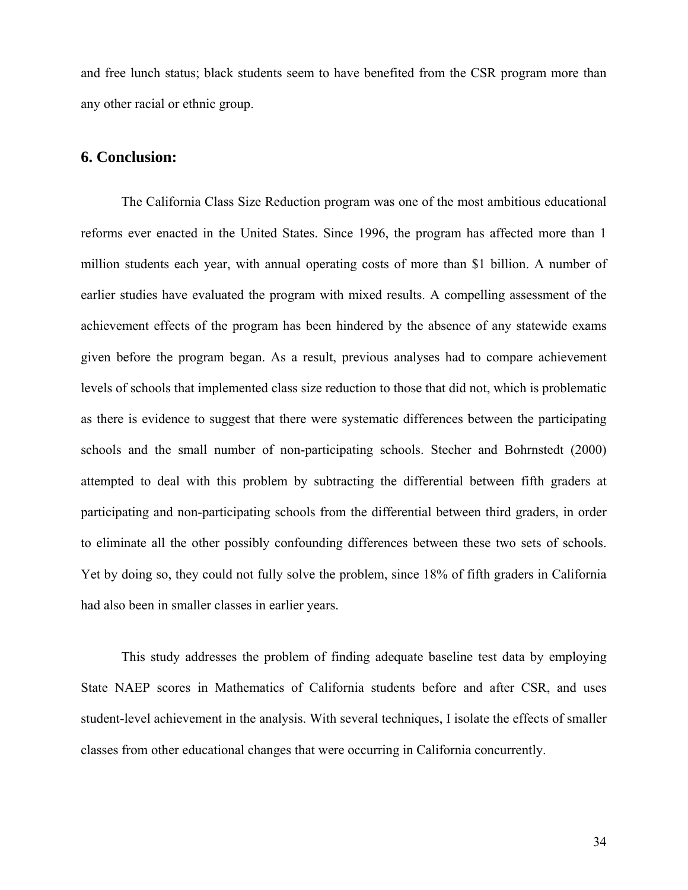and free lunch status; black students seem to have benefited from the CSR program more than any other racial or ethnic group.

# **6. Conclusion:**

The California Class Size Reduction program was one of the most ambitious educational reforms ever enacted in the United States. Since 1996, the program has affected more than 1 million students each year, with annual operating costs of more than \$1 billion. A number of earlier studies have evaluated the program with mixed results. A compelling assessment of the achievement effects of the program has been hindered by the absence of any statewide exams given before the program began. As a result, previous analyses had to compare achievement levels of schools that implemented class size reduction to those that did not, which is problematic as there is evidence to suggest that there were systematic differences between the participating schools and the small number of non-participating schools. Stecher and Bohrnstedt (2000) attempted to deal with this problem by subtracting the differential between fifth graders at participating and non-participating schools from the differential between third graders, in order to eliminate all the other possibly confounding differences between these two sets of schools. Yet by doing so, they could not fully solve the problem, since 18% of fifth graders in California had also been in smaller classes in earlier years.

This study addresses the problem of finding adequate baseline test data by employing State NAEP scores in Mathematics of California students before and after CSR, and uses student-level achievement in the analysis. With several techniques, I isolate the effects of smaller classes from other educational changes that were occurring in California concurrently.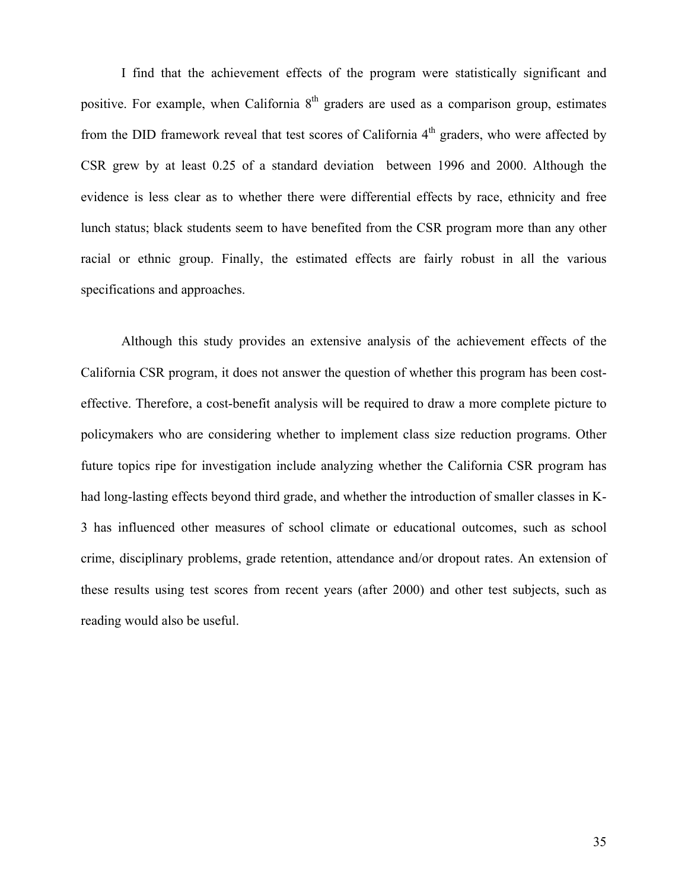I find that the achievement effects of the program were statistically significant and positive. For example, when California  $8<sup>th</sup>$  graders are used as a comparison group, estimates from the DID framework reveal that test scores of California 4<sup>th</sup> graders, who were affected by CSR grew by at least 0.25 of a standard deviation between 1996 and 2000. Although the evidence is less clear as to whether there were differential effects by race, ethnicity and free lunch status; black students seem to have benefited from the CSR program more than any other racial or ethnic group. Finally, the estimated effects are fairly robust in all the various specifications and approaches.

Although this study provides an extensive analysis of the achievement effects of the California CSR program, it does not answer the question of whether this program has been costeffective. Therefore, a cost-benefit analysis will be required to draw a more complete picture to policymakers who are considering whether to implement class size reduction programs. Other future topics ripe for investigation include analyzing whether the California CSR program has had long-lasting effects beyond third grade, and whether the introduction of smaller classes in K-3 has influenced other measures of school climate or educational outcomes, such as school crime, disciplinary problems, grade retention, attendance and/or dropout rates. An extension of these results using test scores from recent years (after 2000) and other test subjects, such as reading would also be useful.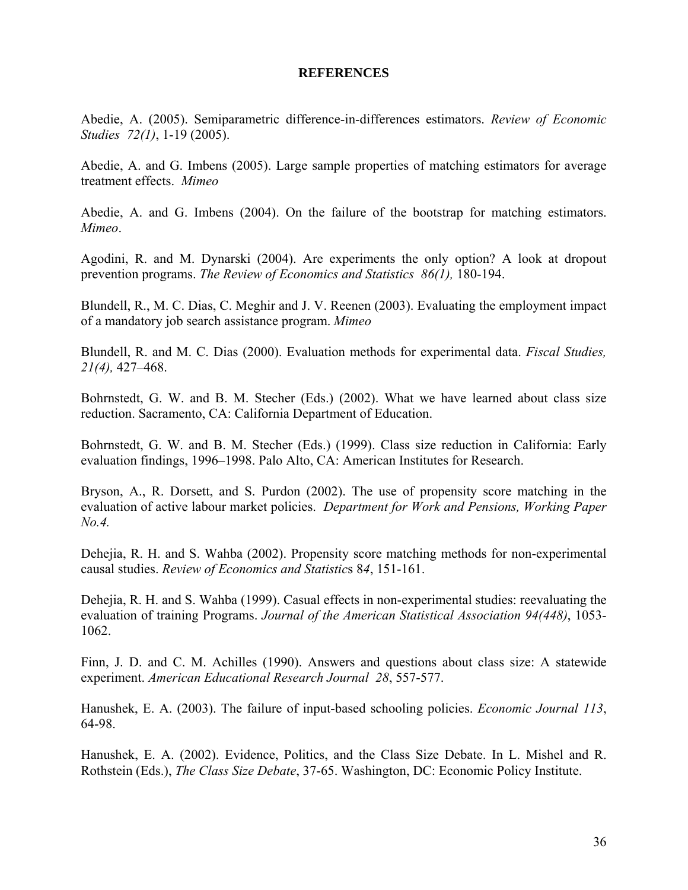## **REFERENCES**

Abedie, A. (2005). Semiparametric difference-in-differences estimators. *Review of Economic Studies 72(1)*, 1-19 (2005).

Abedie, A. and G. Imbens (2005). Large sample properties of matching estimators for average treatment effects. *Mimeo*

Abedie, A. and G. Imbens (2004). On the failure of the bootstrap for matching estimators. *Mimeo*.

Agodini, R. and M. Dynarski (2004). Are experiments the only option? A look at dropout prevention programs. *The Review of Economics and Statistics 86(1),* 180-194.

Blundell, R., M. C. Dias, C. Meghir and J. V. Reenen (2003). Evaluating the employment impact of a mandatory job search assistance program. *Mimeo* 

Blundell, R. and M. C. Dias (2000). Evaluation methods for experimental data. *Fiscal Studies, 21(4),* 427–468.

Bohrnstedt, G. W. and B. M. Stecher (Eds.) (2002). What we have learned about class size reduction. Sacramento, CA: California Department of Education.

Bohrnstedt, G. W. and B. M. Stecher (Eds.) (1999). Class size reduction in California: Early evaluation findings, 1996–1998. Palo Alto, CA: American Institutes for Research.

Bryson, A., R. Dorsett, and S. Purdon (2002). The use of propensity score matching in the evaluation of active labour market policies. *Department for Work and Pensions, Working Paper No.4.* 

Dehejia, R. H. and S. Wahba (2002). Propensity score matching methods for non-experimental causal studies. *Review of Economics and Statistic*s 8*4*, 151-161.

Dehejia, R. H. and S. Wahba (1999). Casual effects in non-experimental studies: reevaluating the evaluation of training Programs. *Journal of the American Statistical Association 94(448)*, 1053- 1062.

Finn, J. D. and C. M. Achilles (1990). Answers and questions about class size: A statewide experiment. *American Educational Research Journal 28*, 557-577.

Hanushek, E. A. (2003). The failure of input-based schooling policies. *Economic Journal 113*, 64-98.

Hanushek, E. A. (2002). Evidence, Politics, and the Class Size Debate. In L. Mishel and R. Rothstein (Eds.), *The Class Size Debate*, 37-65. Washington, DC: Economic Policy Institute.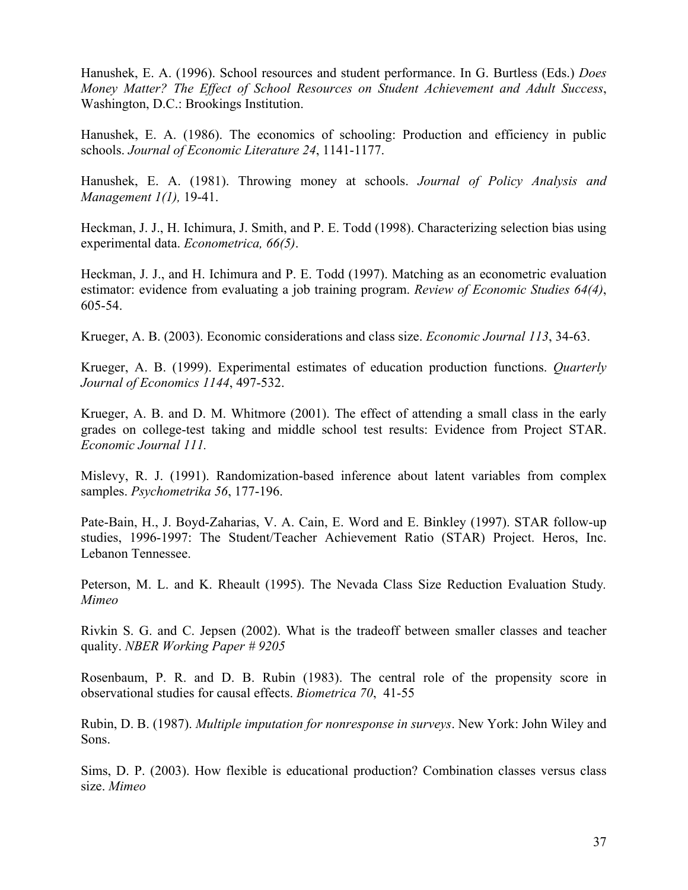Hanushek, E. A. (1996). School resources and student performance. In G. Burtless (Eds.) *Does Money Matter? The Effect of School Resources on Student Achievement and Adult Success*, Washington, D.C.: Brookings Institution.

Hanushek, E. A. (1986). The economics of schooling: Production and efficiency in public schools. *Journal of Economic Literature 24*, 1141-1177.

Hanushek, E. A. (1981). Throwing money at schools. *Journal of Policy Analysis and Management 1(1),* 19-41.

Heckman, J. J., H. Ichimura, J. Smith, and P. E. Todd (1998). Characterizing selection bias using experimental data. *Econometrica, 66(5)*.

Heckman, J. J., and H. Ichimura and P. E. Todd (1997). Matching as an econometric evaluation estimator: evidence from evaluating a job training program. *Review of Economic Studies 64(4)*, 605-54.

Krueger, A. B. (2003). Economic considerations and class size. *Economic Journal 113*, 34-63.

Krueger, A. B. (1999). Experimental estimates of education production functions. *Quarterly Journal of Economics 1144*, 497-532.

Krueger, A. B. and D. M. Whitmore (2001). The effect of attending a small class in the early grades on college-test taking and middle school test results: Evidence from Project STAR. *Economic Journal 111.*

Mislevy, R. J. (1991). Randomization-based inference about latent variables from complex samples. *Psychometrika 56*, 177-196.

Pate-Bain, H., J. Boyd-Zaharias, V. A. Cain, E. Word and E. Binkley (1997). STAR follow-up studies, 1996-1997: The Student/Teacher Achievement Ratio (STAR) Project. Heros, Inc. Lebanon Tennessee.

Peterson, M. L. and K. Rheault (1995). The Nevada Class Size Reduction Evaluation Study*. Mimeo*

Rivkin S. G. and C. Jepsen (2002). What is the tradeoff between smaller classes and teacher quality. *NBER Working Paper # 9205* 

Rosenbaum, P. R. and D. B. Rubin (1983). The central role of the propensity score in observational studies for causal effects. *Biometrica 70*, 41-55

Rubin, D. B. (1987). *Multiple imputation for nonresponse in surveys*. New York: John Wiley and Sons.

Sims, D. P. (2003). How flexible is educational production? Combination classes versus class size. *Mimeo*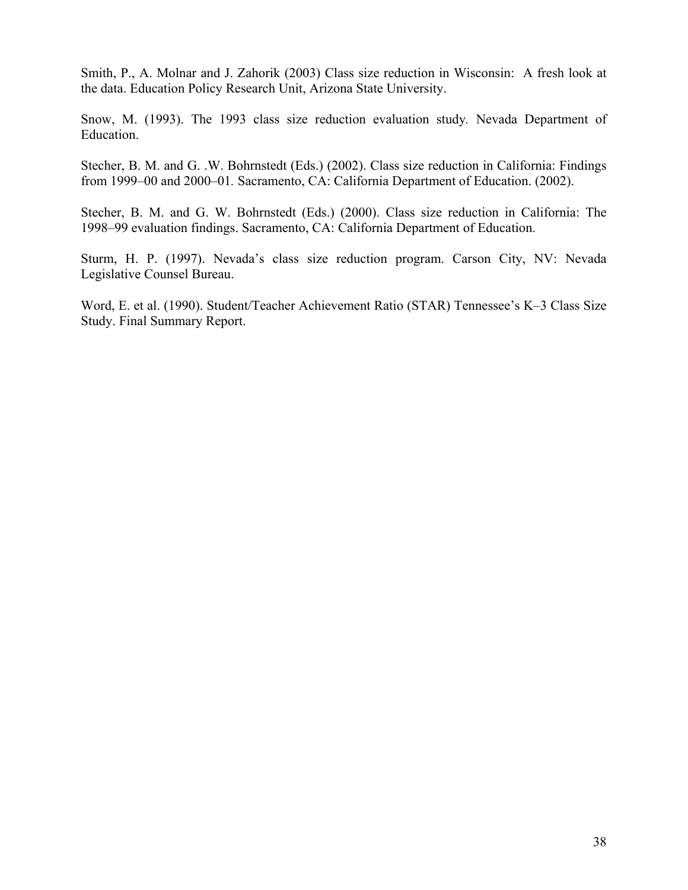Smith, P., A. Molnar and J. Zahorik (2003) Class size reduction in Wisconsin: A fresh look at the data. Education Policy Research Unit, Arizona State University.

Snow, M. (1993). The 1993 class size reduction evaluation study*.* Nevada Department of Education.

Stecher, B. M. and G. .W. Bohrnstedt (Eds.) (2002). Class size reduction in California: Findings from 1999–00 and 2000–01*.* Sacramento, CA: California Department of Education. (2002).

Stecher, B. M. and G. W. Bohrnstedt (Eds.) (2000). Class size reduction in California: The 1998–99 evaluation findings. Sacramento, CA: California Department of Education.

Sturm, H. P. (1997). Nevada's class size reduction program. Carson City, NV: Nevada Legislative Counsel Bureau.

Word, E. et al. (1990). Student/Teacher Achievement Ratio (STAR) Tennessee's K–3 Class Size Study. Final Summary Report.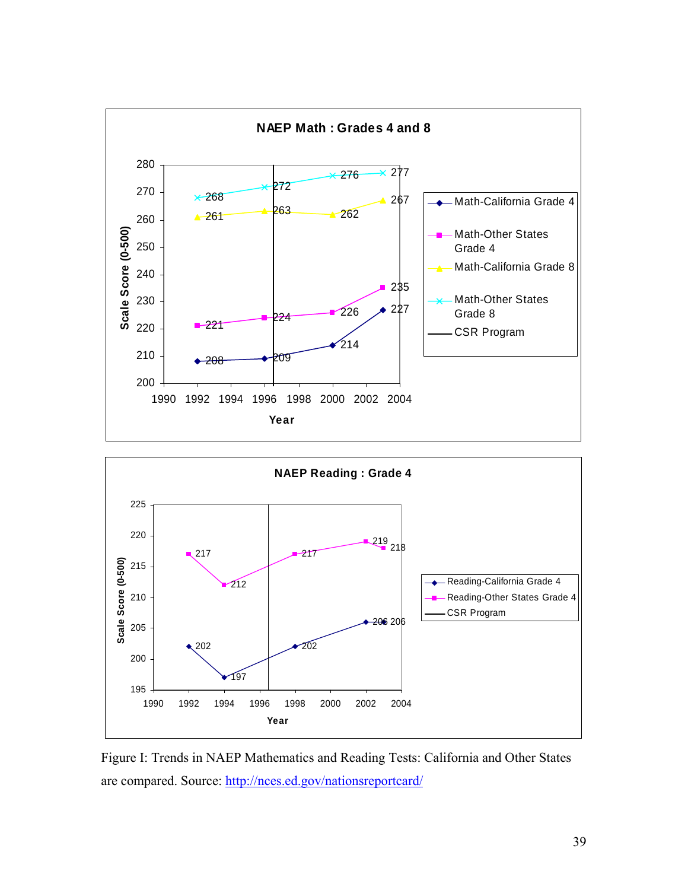



Figure I: Trends in NAEP Mathematics and Reading Tests: California and Other States are compared. Source: http://nces.ed.gov/nationsreportcard/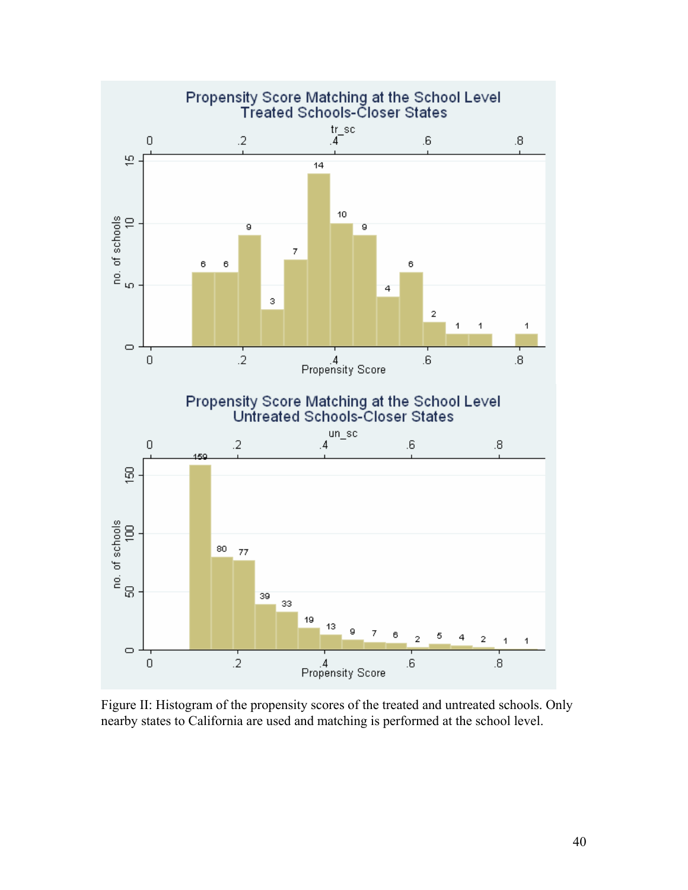

Figure II: Histogram of the propensity scores of the treated and untreated schools. Only nearby states to California are used and matching is performed at the school level.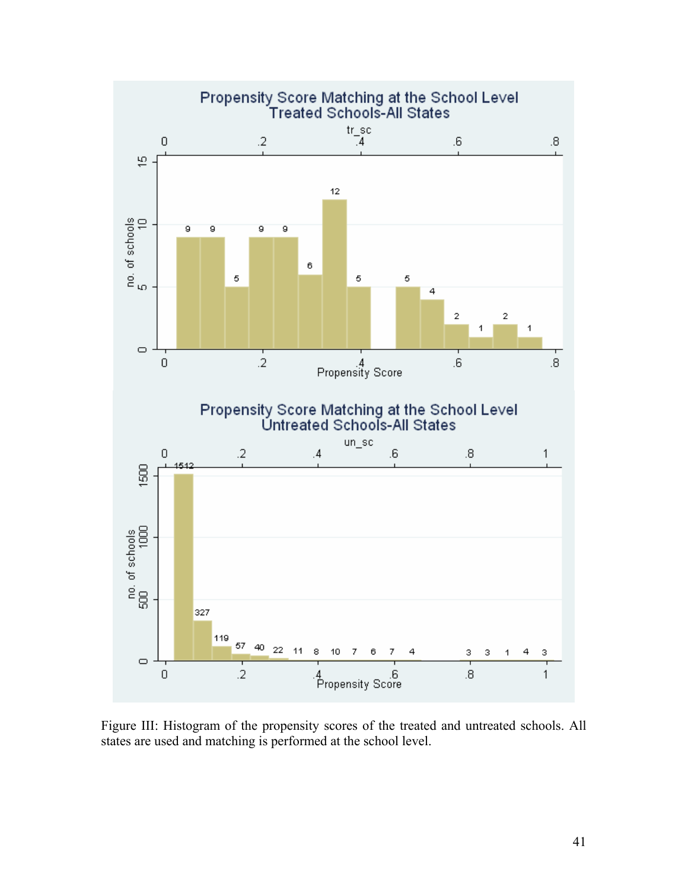

Figure III: Histogram of the propensity scores of the treated and untreated schools. All states are used and matching is performed at the school level.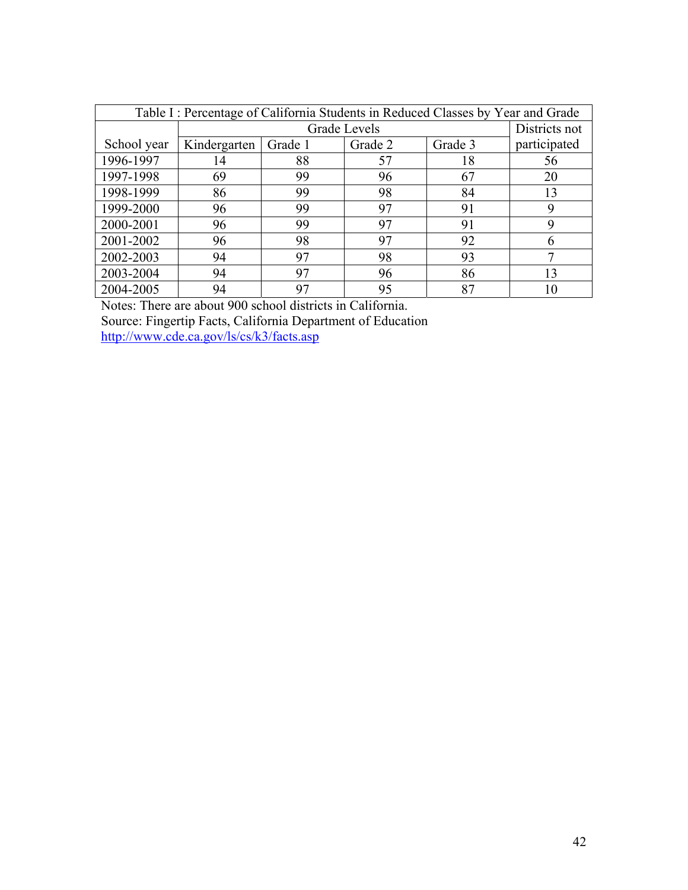| Table I: Percentage of California Students in Reduced Classes by Year and Grade |              |         |              |         |               |  |  |
|---------------------------------------------------------------------------------|--------------|---------|--------------|---------|---------------|--|--|
|                                                                                 |              |         | Grade Levels |         | Districts not |  |  |
| School year                                                                     | Kindergarten | Grade 1 | Grade 2      | Grade 3 | participated  |  |  |
| 1996-1997                                                                       | 14           | 88      | 57           | 18      | 56            |  |  |
| 1997-1998                                                                       | 69           | 99      | 96           | 67      | 20            |  |  |
| 1998-1999                                                                       | 86           | 99      | 98           | 84      | 13            |  |  |
| 1999-2000                                                                       | 96           | 99      | 97           | 91      | 9             |  |  |
| 2000-2001                                                                       | 96           | 99      | 97           | 91      |               |  |  |
| 2001-2002                                                                       | 96           | 98      | 97           | 92      | 6             |  |  |
| 2002-2003                                                                       | 94           | 97      | 98           | 93      |               |  |  |
| 2003-2004                                                                       | 94           | 97      | 96           | 86      | 13            |  |  |
| 2004-2005                                                                       | 94           | 97      | 95           | 87      | 10            |  |  |

Notes: There are about 900 school districts in California. Source: Fingertip Facts, California Department of Education http://www.cde.ca.gov/ls/cs/k3/facts.asp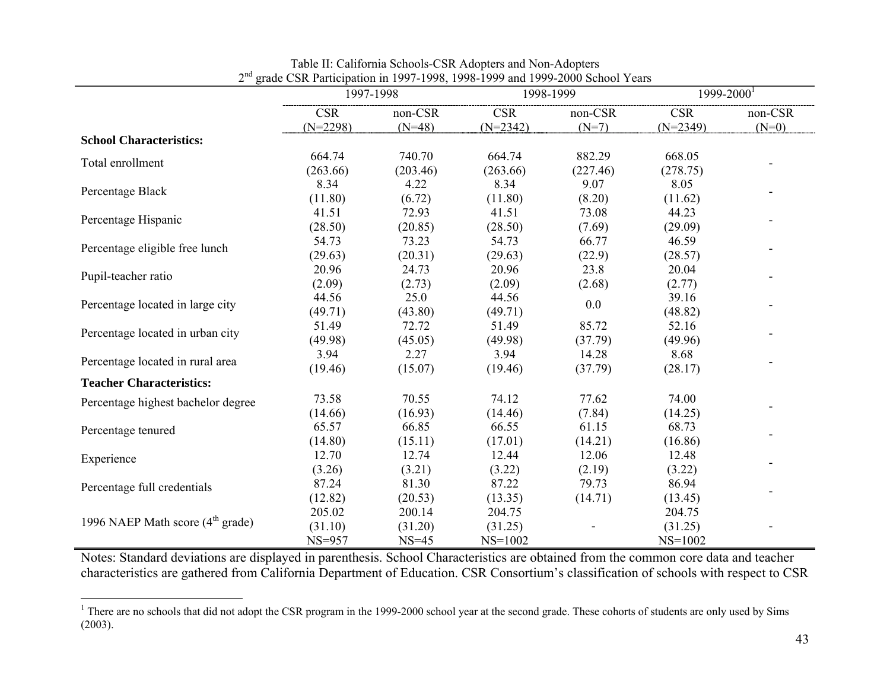|                                            | $\beta$ and $\beta$ of Tarticipation in 1997 1999, 1990 1999 and 1999 2000 behoor Teams | 1997-1998 |            | 1998-1999 | $1999 - 2000^1$ |         |
|--------------------------------------------|-----------------------------------------------------------------------------------------|-----------|------------|-----------|-----------------|---------|
|                                            | <b>CSR</b>                                                                              | non-CSR   | <b>CSR</b> | non-CSR   | <b>CSR</b>      | non-CSR |
|                                            | $(N=2298)$                                                                              | $(N=48)$  | $(N=2342)$ | $(N=7)$   | $(N=2349)$      | $(N=0)$ |
| <b>School Characteristics:</b>             |                                                                                         |           |            |           |                 |         |
|                                            | 664.74                                                                                  | 740.70    | 664.74     | 882.29    | 668.05          |         |
| Total enrollment                           | (263.66)                                                                                | (203.46)  | (263.66)   | (227.46)  | (278.75)        |         |
|                                            | 8.34                                                                                    | 4.22      | 8.34       | 9.07      | 8.05            |         |
| Percentage Black                           | (11.80)                                                                                 | (6.72)    | (11.80)    | (8.20)    | (11.62)         |         |
|                                            | 41.51                                                                                   | 72.93     | 41.51      | 73.08     | 44.23           |         |
| Percentage Hispanic                        | (28.50)                                                                                 | (20.85)   | (28.50)    | (7.69)    | (29.09)         |         |
|                                            | 54.73                                                                                   | 73.23     | 54.73      | 66.77     | 46.59           |         |
| Percentage eligible free lunch             | (29.63)                                                                                 | (20.31)   | (29.63)    | (22.9)    | (28.57)         |         |
|                                            | 20.96                                                                                   | 24.73     | 20.96      | 23.8      | 20.04           |         |
| Pupil-teacher ratio                        | (2.09)                                                                                  | (2.73)    | (2.09)     | (2.68)    | (2.77)          |         |
| Percentage located in large city           | 44.56                                                                                   | 25.0      | 44.56      |           | 39.16           |         |
|                                            | (49.71)                                                                                 | (43.80)   | (49.71)    | 0.0       | (48.82)         |         |
| Percentage located in urban city           | 51.49                                                                                   | 72.72     | 51.49      | 85.72     | 52.16           |         |
|                                            | (49.98)                                                                                 | (45.05)   | (49.98)    | (37.79)   | (49.96)         |         |
|                                            | 3.94                                                                                    | 2.27      | 3.94       | 14.28     | 8.68            |         |
| Percentage located in rural area           | (19.46)                                                                                 | (15.07)   | (19.46)    | (37.79)   | (28.17)         |         |
| <b>Teacher Characteristics:</b>            |                                                                                         |           |            |           |                 |         |
| Percentage highest bachelor degree         | 73.58                                                                                   | 70.55     | 74.12      | 77.62     | 74.00           |         |
|                                            | (14.66)                                                                                 | (16.93)   | (14.46)    | (7.84)    | (14.25)         |         |
| Percentage tenured                         | 65.57                                                                                   | 66.85     | 66.55      | 61.15     | 68.73           |         |
|                                            | (14.80)                                                                                 | (15.11)   | (17.01)    | (14.21)   | (16.86)         |         |
| Experience                                 | 12.70                                                                                   | 12.74     | 12.44      | 12.06     | 12.48           |         |
|                                            | (3.26)                                                                                  | (3.21)    | (3.22)     | (2.19)    | (3.22)          |         |
| Percentage full credentials                | 87.24                                                                                   | 81.30     | 87.22      | 79.73     | 86.94           |         |
|                                            | (12.82)                                                                                 | (20.53)   | (13.35)    | (14.71)   | (13.45)         |         |
|                                            | 205.02                                                                                  | 200.14    | 204.75     |           | 204.75          |         |
| 1996 NAEP Math score $(4th \text{ grade})$ | (31.10)                                                                                 | (31.20)   | (31.25)    |           | (31.25)         |         |
|                                            | $NS=957$                                                                                | $NS=45$   | $NS=1002$  |           | $NS=1002$       |         |

Table II: California Schools-CSR Adopters and Non-Adopters 2<sup>nd</sup> grade CSR Participation in 1997-1998, 1998-1999 and 1999-2000 School Years

Notes: Standard deviations are displayed in parenthesis. School Characteristics are obtained from the common core data and teacher characteristics are gathered from California Department of Education. CSR Consortium's classification of schools with respect to CSR

<sup>&</sup>lt;sup>1</sup> There are no schools that did not adopt the CSR program in the 1999-2000 school year at the second grade. These cohorts of students are only used by Sims (2003).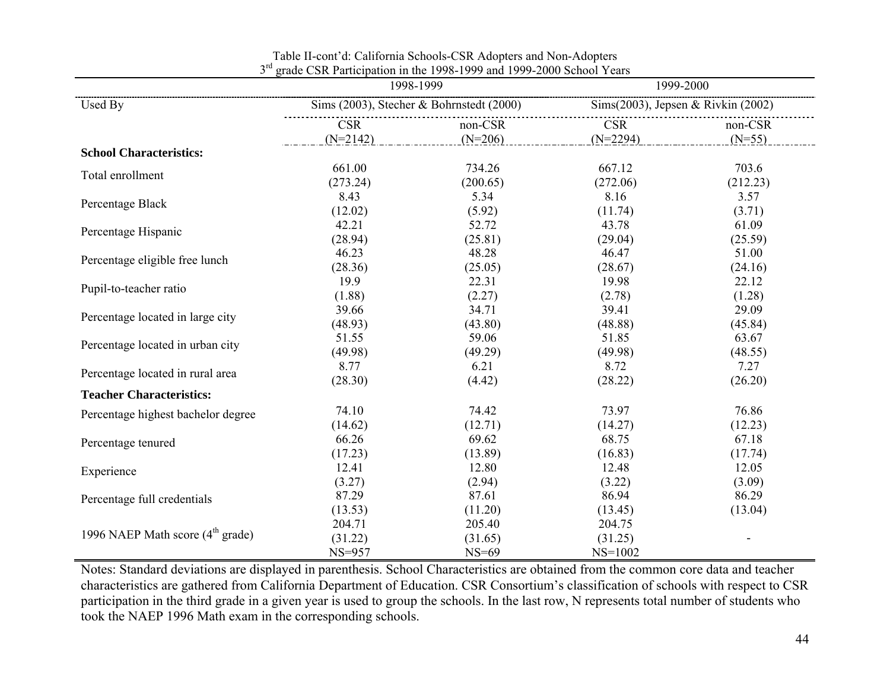|                                            |                              | 1998-1999                                |                                    | 1999-2000 |
|--------------------------------------------|------------------------------|------------------------------------------|------------------------------------|-----------|
| Used By                                    |                              | Sims (2003), Stecher & Bohrnstedt (2000) | Sims(2003), Jepsen & Rivkin (2002) |           |
|                                            | <b>CSR</b>                   | non-CSR                                  | <b>CSR</b>                         | non-CSR   |
|                                            | $(N=2142)$                   | $(N=206)$                                | $(N=2294)$                         | $(N=55)$  |
| <b>School Characteristics:</b>             |                              |                                          |                                    |           |
| Total enrollment                           | 661.00                       | 734.26                                   | 667.12                             | 703.6     |
|                                            | (273.24)                     | (200.65)                                 | (272.06)                           | (212.23)  |
| Percentage Black                           | 8.43                         | 5.34                                     | 8.16                               | 3.57      |
|                                            | (12.02)                      | (5.92)                                   | (11.74)                            | (3.71)    |
| Percentage Hispanic                        | 42.21                        | 52.72                                    | 43.78                              | 61.09     |
|                                            | (28.94)                      | (25.81)                                  | (29.04)                            | (25.59)   |
| Percentage eligible free lunch             | 46.23                        | 48.28                                    | 46.47                              | 51.00     |
|                                            | (28.36)                      | (25.05)                                  | (28.67)                            | (24.16)   |
| Pupil-to-teacher ratio                     | 19.9                         | 22.31                                    | 19.98                              | 22.12     |
| Percentage located in large city           | (1.88)                       | (2.27)                                   | (2.78)                             | (1.28)    |
|                                            | 39.66                        | 34.71                                    | 39.41                              | 29.09     |
| Percentage located in urban city           | (48.93)                      | (43.80)                                  | (48.88)                            | (45.84)   |
|                                            | 51.55                        | 59.06                                    | 51.85                              | 63.67     |
| Percentage located in rural area           | (49.98)                      | (49.29)                                  | (49.98)                            | (48.55)   |
|                                            | 8.77                         | 6.21                                     | 8.72                               | 7.27      |
| <b>Teacher Characteristics:</b>            | (28.30)                      | (4.42)                                   | (28.22)                            | (26.20)   |
| Percentage highest bachelor degree         | 74.10                        | 74.42                                    | 73.97                              | 76.86     |
| Percentage tenured                         | (14.62)                      | (12.71)                                  | (14.27)                            | (12.23)   |
|                                            | 66.26                        | 69.62                                    | 68.75                              | 67.18     |
| Experience                                 | (17.23)                      | (13.89)                                  | (16.83)                            | (17.74)   |
|                                            | 12.41                        | 12.80                                    | 12.48                              | 12.05     |
| Percentage full credentials                | (3.27)                       | (2.94)                                   | (3.22)                             | (3.09)    |
|                                            | 87.29                        | 87.61                                    | 86.94                              | 86.29     |
| 1996 NAEP Math score $(4th \text{ grade})$ | (13.53)<br>204.71<br>(31.22) | (11.20)<br>205.40<br>(31.65)             | (13.45)<br>204.75<br>(31.25)       | (13.04)   |
|                                            | $NS=957$                     | $NS=69$                                  | $NS=1002$                          |           |

Table II-cont'd: California Schools-CSR Adopters and Non-Adopters 3<sup>rd</sup> grade CSR Participation in the 1998-1999 and 1999-2000 School Years

Notes: Standard deviations are displayed in parenthesis. School Characteristics are obtained from the common core data and teacher characteristics are gathered from California Department of Education. CSR Consortium's classification of schools with respect to CSR participation in the third grade in a given year is used to group the schools. In the last row, N represents total number of students who took the NAEP 1996 Math exam in the corresponding schools.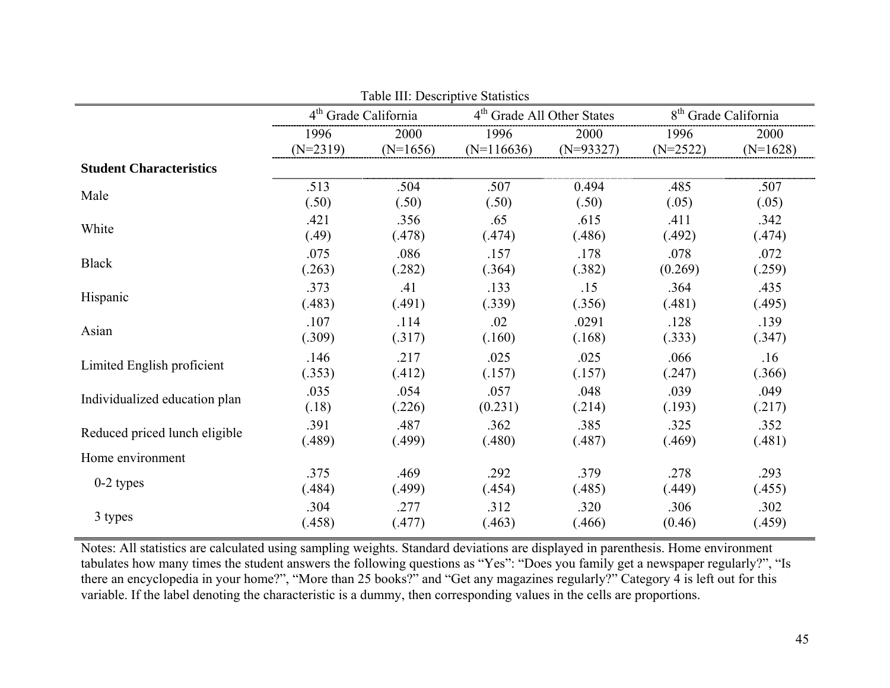|                                |            | Table III: Descriptive Statistics |                                                                            |             |            |            |  |
|--------------------------------|------------|-----------------------------------|----------------------------------------------------------------------------|-------------|------------|------------|--|
|                                |            | 4 <sup>th</sup> Grade California  | 8 <sup>th</sup> Grade California<br>4 <sup>th</sup> Grade All Other States |             |            |            |  |
|                                | 1996       | 2000                              | 1996                                                                       | 2000        | 1996       | 2000       |  |
|                                | $(N=2319)$ | $(N=1656)$                        | $(N=116636)$                                                               | $(N=93327)$ | $(N=2522)$ | $(N=1628)$ |  |
| <b>Student Characteristics</b> |            |                                   |                                                                            |             |            |            |  |
| Male                           | .513       | .504                              | .507                                                                       | 0.494       | .485       | .507       |  |
|                                | (.50)      | (.50)                             | (.50)                                                                      | (.50)       | (.05)      | (.05)      |  |
| White                          | .421       | .356                              | .65                                                                        | .615        | .411       | .342       |  |
|                                | (.49)      | (.478)                            | (.474)                                                                     | (.486)      | (.492)     | (.474)     |  |
| <b>Black</b>                   | .075       | .086                              | .157                                                                       | .178        | .078       | .072       |  |
|                                | (.263)     | (.282)                            | (.364)                                                                     | (.382)      | (0.269)    | (.259)     |  |
| Hispanic                       | .373       | .41                               | .133                                                                       | .15         | .364       | .435       |  |
|                                | (.483)     | (.491)                            | (.339)                                                                     | (.356)      | (.481)     | (.495)     |  |
| Asian                          | .107       | .114                              | .02                                                                        | .0291       | .128       | .139       |  |
|                                | (.309)     | (.317)                            | (.160)                                                                     | (.168)      | (.333)     | (.347)     |  |
| Limited English proficient     | .146       | .217                              | .025                                                                       | .025        | .066       | .16        |  |
|                                | (.353)     | (.412)                            | (.157)                                                                     | (.157)      | (.247)     | (.366)     |  |
| Individualized education plan  | .035       | .054                              | .057                                                                       | .048        | .039       | .049       |  |
|                                | (.18)      | (.226)                            | (0.231)                                                                    | (.214)      | (.193)     | (.217)     |  |
| Reduced priced lunch eligible  | .391       | .487                              | .362                                                                       | .385        | .325       | .352       |  |
|                                | (.489)     | (.499)                            | (.480)                                                                     | (.487)      | (.469)     | (.481)     |  |
| Home environment               |            |                                   |                                                                            |             |            |            |  |
| $0-2$ types                    | .375       | .469                              | .292                                                                       | .379        | .278       | .293       |  |
|                                | (.484)     | (.499)                            | (.454)                                                                     | (.485)      | (.449)     | (.455)     |  |
| 3 types                        | .304       | .277                              | .312                                                                       | .320        | .306       | .302       |  |
|                                | (.458)     | (.477)                            | (.463)                                                                     | (.466)      | (0.46)     | (.459)     |  |

Notes: All statistics are calculated using sampling weights. Standard deviations are displayed in parenthesis. Home environment tabulates how many times the student answers the following questions as "Yes": "Does you family get a newspaper regularly?", "Is there an encyclopedia in your home?", "More than 25 books?" and "Get any magazines regularly?" Category 4 is left out for this variable. If the label denoting the characteristic is a dummy, then corresponding values in the cells are proportions.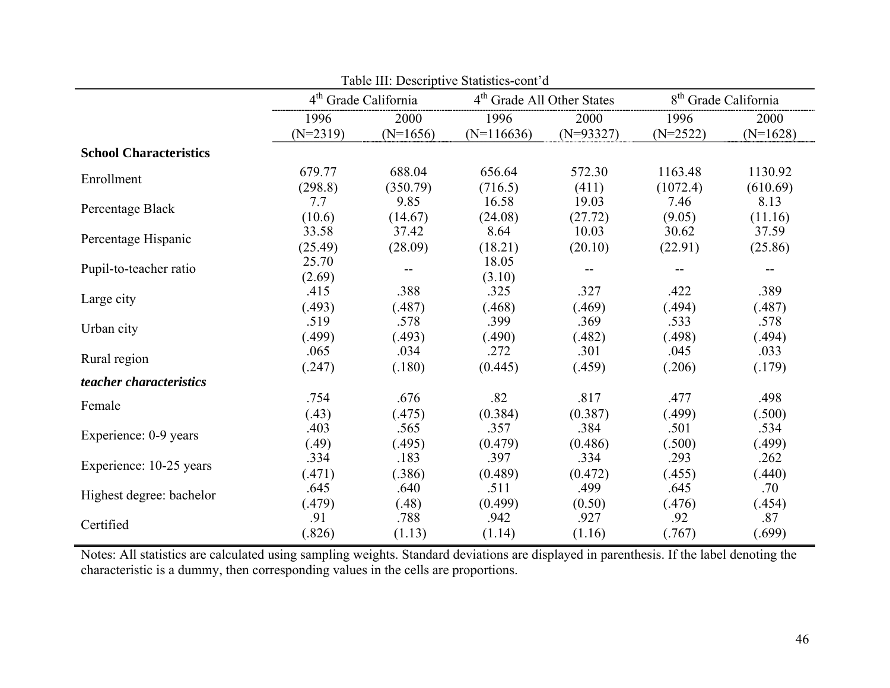|                               |            |                                  | Table III: Descriptive Statistics-cont'd |                                        |            |                                  |
|-------------------------------|------------|----------------------------------|------------------------------------------|----------------------------------------|------------|----------------------------------|
|                               |            | 4 <sup>th</sup> Grade California |                                          | 4 <sup>th</sup> Grade All Other States |            | 8 <sup>th</sup> Grade California |
|                               | 1996       | 2000                             | 1996                                     | 2000                                   | 1996       | 2000                             |
|                               | $(N=2319)$ | $(N=1656)$                       | $(N=116636)$                             | $(N=93327)$                            | $(N=2522)$ | $(N=1628)$                       |
| <b>School Characteristics</b> |            |                                  |                                          |                                        |            |                                  |
| Enrollment                    | 679.77     | 688.04                           | 656.64                                   | 572.30                                 | 1163.48    | 1130.92                          |
|                               | (298.8)    | (350.79)                         | (716.5)                                  | (411)                                  | (1072.4)   | (610.69)                         |
| Percentage Black              | 7.7        | 9.85                             | 16.58                                    | 19.03                                  | 7.46       | 8.13                             |
|                               | (10.6)     | (14.67)                          | (24.08)                                  | (27.72)                                | (9.05)     | (11.16)                          |
| Percentage Hispanic           | 33.58      | 37.42                            | 8.64                                     | 10.03                                  | 30.62      | 37.59                            |
|                               | (25.49)    | (28.09)                          | (18.21)                                  | (20.10)                                | (22.91)    | (25.86)                          |
| Pupil-to-teacher ratio        | 25.70      | --                               | 18.05                                    |                                        |            |                                  |
|                               | (2.69)     |                                  | (3.10)                                   |                                        |            |                                  |
| Large city                    | .415       | .388                             | .325                                     | .327                                   | .422       | .389                             |
|                               | (.493)     | (.487)                           | (.468)                                   | (.469)                                 | (.494)     | (.487)                           |
| Urban city                    | .519       | .578                             | .399                                     | .369                                   | .533       | .578                             |
|                               | (.499)     | (.493)                           | (.490)                                   | (.482)                                 | (.498)     | (.494)                           |
| Rural region                  | .065       | .034                             | .272                                     | .301                                   | .045       | .033                             |
|                               | (.247)     | (.180)                           | (0.445)                                  | (.459)                                 | (.206)     | (.179)                           |
| teacher characteristics       |            |                                  |                                          |                                        |            |                                  |
| Female                        | .754       | .676                             | .82                                      | .817                                   | .477       | .498                             |
|                               | (.43)      | (.475)                           | (0.384)                                  | (0.387)                                | (.499)     | (.500)                           |
| Experience: 0-9 years         | .403       | .565                             | .357                                     | .384                                   | .501       | .534                             |
|                               | (.49)      | (.495)                           | (0.479)                                  | (0.486)                                | (.500)     | (.499)                           |
| Experience: 10-25 years       | .334       | .183                             | .397                                     | .334                                   | .293       | .262                             |
|                               | (.471)     | (.386)                           | (0.489)                                  | (0.472)                                | (.455)     | (.440)                           |
| Highest degree: bachelor      | .645       | .640                             | .511                                     | .499                                   | .645       | .70                              |
|                               | (.479)     | (.48)                            | (0.499)                                  | (0.50)                                 | (.476)     | (.454)                           |
| Certified                     | .91        | .788                             | .942                                     | .927                                   | .92        | .87                              |
|                               | (.826)     | (1.13)                           | (1.14)                                   | (1.16)                                 | (.767)     | (.699)                           |

Notes: All statistics are calculated using sampling weights. Standard deviations are displayed in parenthesis. If the label denoting the characteristic is a dummy, then corresponding values in the cells are proportions.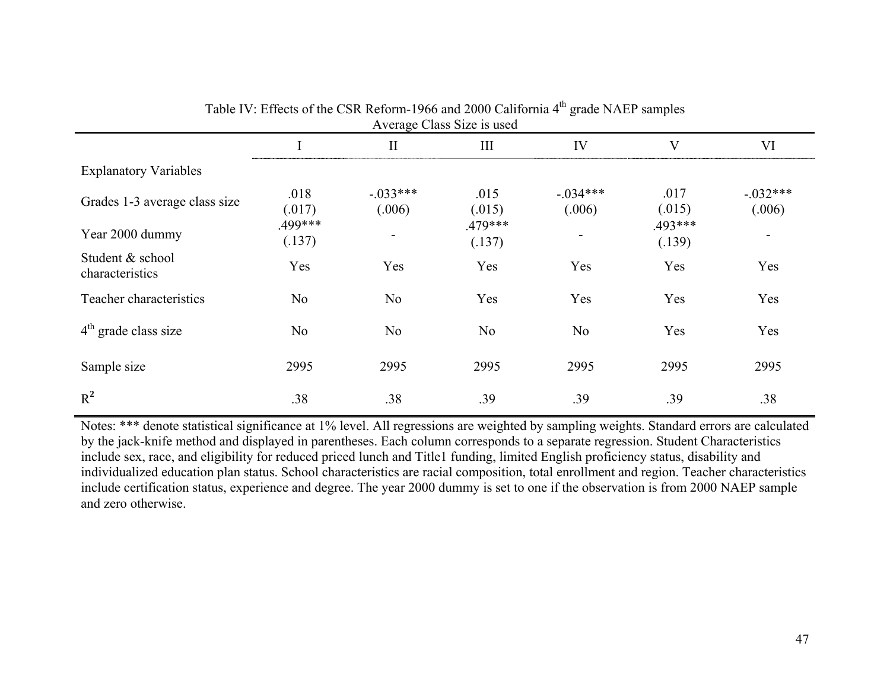|                                     | Average Class Size is used |                       |                   |                       |                   |                      |  |  |  |
|-------------------------------------|----------------------------|-----------------------|-------------------|-----------------------|-------------------|----------------------|--|--|--|
|                                     |                            | $\mathbf{I}$          | III               | IV                    | V                 | VI                   |  |  |  |
| <b>Explanatory Variables</b>        |                            |                       |                   |                       |                   |                      |  |  |  |
| Grades 1-3 average class size       | .018<br>(.017)             | $-0.033***$<br>(.006) | .015<br>(.015)    | $-0.034***$<br>(.006) | .017<br>(.015)    | $-.032***$<br>(.006) |  |  |  |
| Year 2000 dummy                     | .499***<br>(.137)          |                       | .479***<br>(.137) |                       | .493***<br>(.139) |                      |  |  |  |
| Student & school<br>characteristics | Yes                        | Yes                   | Yes               | Yes                   | Yes               | Yes                  |  |  |  |
| Teacher characteristics             | N <sub>0</sub>             | N <sub>0</sub>        | Yes               | Yes                   | Yes               | Yes                  |  |  |  |
| $4th$ grade class size              | N <sub>0</sub>             | N <sub>0</sub>        | N <sub>0</sub>    | N <sub>0</sub>        | Yes               | Yes                  |  |  |  |
| Sample size                         | 2995                       | 2995                  | 2995              | 2995                  | 2995              | 2995                 |  |  |  |
| $R^2$                               | .38                        | .38                   | .39               | .39                   | .39               | .38                  |  |  |  |

Table IV: Effects of the CSR Reform-1966 and 2000 California 4<sup>th</sup> grade NAEP samples

Notes: \*\*\* denote statistical significance at 1% level. All regressions are weighted by sampling weights. Standard errors are calculated by the jack-knife method and displayed in parentheses. Each column corresponds to a separate regression. Student Characteristics include sex, race, and eligibility for reduced priced lunch and Title1 funding, limited English proficiency status, disability and individualized education plan status. School characteristics are racial composition, total enrollment and region. Teacher characteristics include certification status, experience and degree. The year 2000 dummy is set to one if the observation is from 2000 NAEP sample and zero otherwise.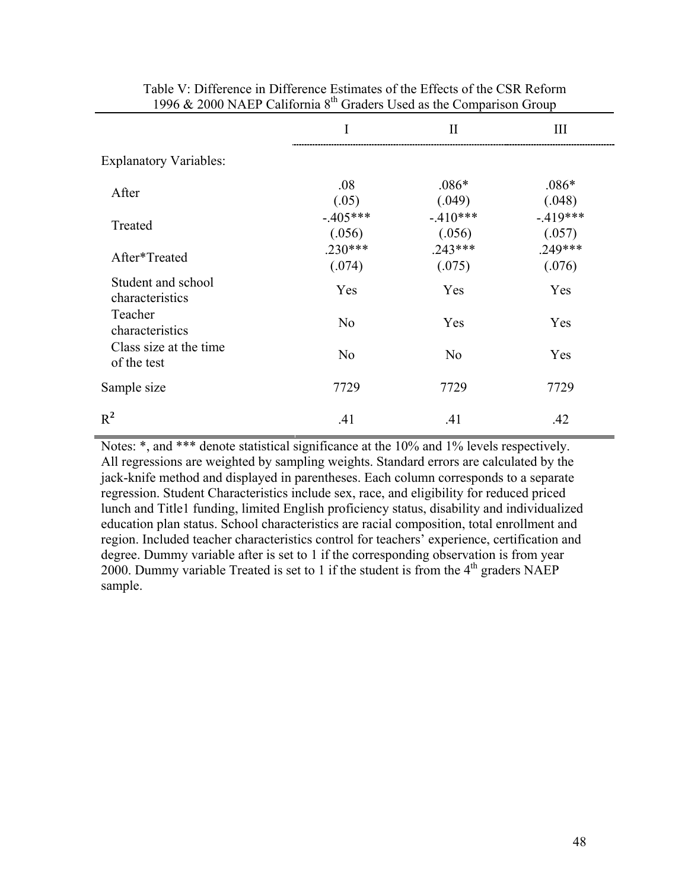|                                       | I                   | $\mathbf{I}$         | III                 |
|---------------------------------------|---------------------|----------------------|---------------------|
| <b>Explanatory Variables:</b>         |                     |                      |                     |
| After                                 | .08<br>(.05)        | $.086*$<br>(.049)    | $.086*$<br>(.048)   |
| Treated                               | $-405***$<br>(.056) | $-.410***$<br>(.056) | $-419***$<br>(.057) |
| After*Treated                         | $.230***$<br>(.074) | $.243***$<br>(.075)  | $.249***$<br>(.076) |
| Student and school<br>characteristics | Yes                 | Yes                  | Yes                 |
| Teacher<br>characteristics            | N <sub>0</sub>      | Yes                  | Yes                 |
| Class size at the time<br>of the test | N <sub>0</sub>      | N <sub>0</sub>       | Yes                 |
| Sample size                           | 7729                | 7729                 | 7729                |
| $R^2$                                 | .41                 | .41                  | .42                 |

Table V: Difference in Difference Estimates of the Effects of the CSR Reform 1996  $& 2000$  NAEP California  $8<sup>th</sup>$  Graders Used as the Comparison Group

Notes: \*, and \*\*\* denote statistical significance at the 10% and 1% levels respectively. All regressions are weighted by sampling weights. Standard errors are calculated by the jack-knife method and displayed in parentheses. Each column corresponds to a separate regression. Student Characteristics include sex, race, and eligibility for reduced priced lunch and Title1 funding, limited English proficiency status, disability and individualized education plan status. School characteristics are racial composition, total enrollment and region. Included teacher characteristics control for teachers' experience, certification and degree. Dummy variable after is set to 1 if the corresponding observation is from year 2000. Dummy variable Treated is set to 1 if the student is from the  $4<sup>th</sup>$  graders NAEP sample.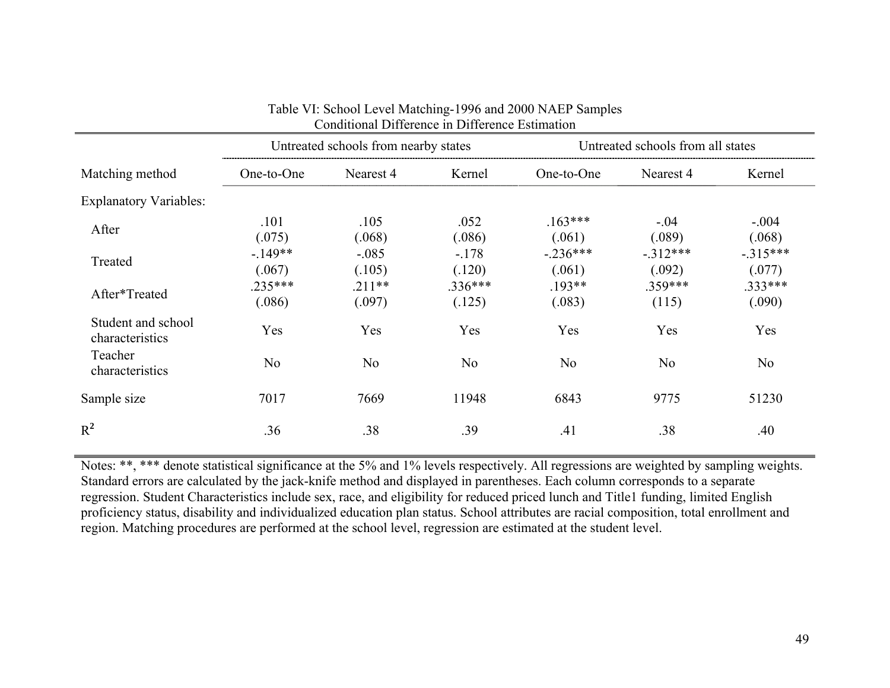|                                       |                     | Untreated schools from nearby states |                     |                      | Untreated schools from all states |                     |  |
|---------------------------------------|---------------------|--------------------------------------|---------------------|----------------------|-----------------------------------|---------------------|--|
| Matching method                       | One-to-One          | Nearest 4                            | Kernel              | One-to-One           | Nearest 4                         | Kernel              |  |
| <b>Explanatory Variables:</b>         |                     |                                      |                     |                      |                                   |                     |  |
| After                                 | .101<br>(.075)      | .105<br>(.068)                       | .052<br>(.086)      | $.163***$<br>(.061)  | $-.04$<br>(.089)                  | $-.004$<br>(.068)   |  |
| Treated                               | $-149**$<br>(.067)  | $-.085$<br>(.105)                    | $-178$<br>(.120)    | $-.236***$<br>(.061) | $-312***$<br>(.092)               | $-315***$<br>(.077) |  |
| After*Treated                         | $.235***$<br>(.086) | $.211**$<br>(.097)                   | $.336***$<br>(.125) | $.193**$<br>(.083)   | $.359***$<br>(115)                | .333***<br>(.090)   |  |
| Student and school<br>characteristics | Yes                 | Yes                                  | Yes                 | Yes                  | Yes                               | Yes                 |  |
| Teacher<br>characteristics            | N <sub>o</sub>      | N <sub>o</sub>                       | N <sub>o</sub>      | N <sub>o</sub>       | N <sub>0</sub>                    | N <sub>o</sub>      |  |
| Sample size                           | 7017                | 7669                                 | 11948               | 6843                 | 9775                              | 51230               |  |
| $R^2$                                 | .36                 | .38                                  | .39                 | .41                  | .38                               | .40                 |  |

#### Table VI: School Level Matching-1996 and 2000 NAEP Samples Conditional Difference in Difference Estimation

Notes: \*\*, \*\*\* denote statistical significance at the 5% and 1% levels respectively. All regressions are weighted by sampling weights. Standard errors are calculated by the jack-knife method and displayed in parentheses. Each column corresponds to a separate regression. Student Characteristics include sex, race, and eligibility for reduced priced lunch and Title1 funding, limited English proficiency status, disability and individualized education plan status. School attributes are racial composition, total enrollment and region. Matching procedures are performed at the school level, regression are estimated at the student level.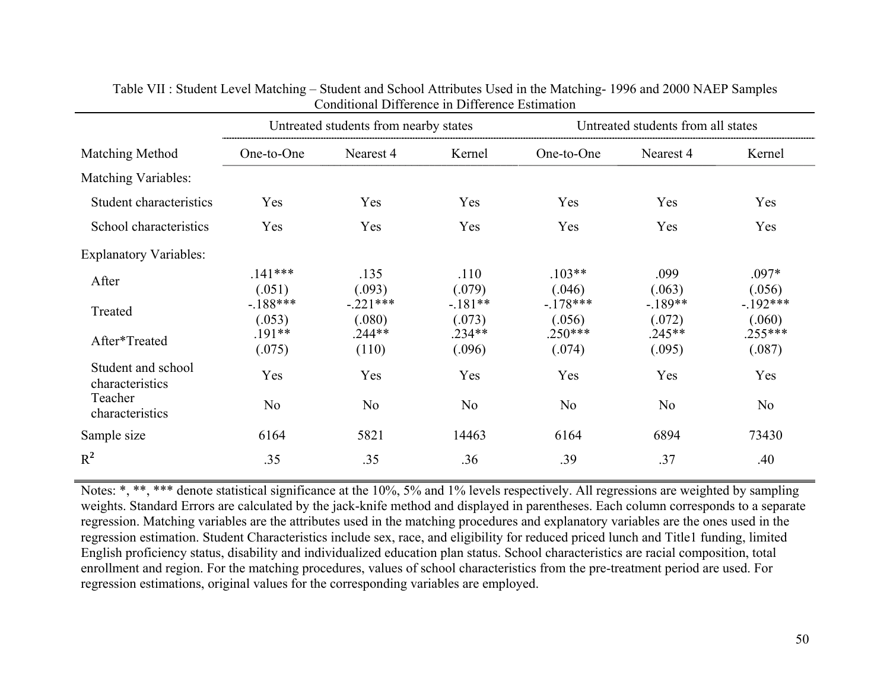|                                       |                     | Untreated students from nearby states |                     |                     | Untreated students from all states |                      |
|---------------------------------------|---------------------|---------------------------------------|---------------------|---------------------|------------------------------------|----------------------|
| Matching Method                       | One-to-One          | Nearest 4                             | Kernel              | One-to-One          | Nearest 4                          | Kernel               |
| <b>Matching Variables:</b>            |                     |                                       |                     |                     |                                    |                      |
| Student characteristics               | Yes                 | Yes                                   | Yes                 | Yes                 | Yes                                | Yes                  |
| School characteristics                | Yes                 | Yes                                   | Yes                 | Yes                 | Yes                                | Yes                  |
| <b>Explanatory Variables:</b>         |                     |                                       |                     |                     |                                    |                      |
| After                                 | $.141***$<br>(.051) | .135<br>(.093)                        | .110<br>(.079)      | $.103**$<br>(.046)  | .099<br>(.063)                     | $.097*$<br>(.056)    |
| Treated                               | $-188***$<br>(.053) | $-221***$<br>(.080)                   | $-.181**$<br>(.073) | $-178***$<br>(.056) | $-189**$<br>(.072)                 | $-.192***$<br>(.060) |
| After*Treated                         | $.191**$<br>(.075)  | $.244**$<br>(110)                     | $.234**$<br>(.096)  | $.250***$<br>(.074) | $.245**$<br>(.095)                 | $.255***$<br>(.087)  |
| Student and school<br>characteristics | Yes                 | Yes                                   | Yes                 | Yes                 | Yes                                | Yes                  |
| Teacher<br>characteristics            | N <sub>0</sub>      | N <sub>o</sub>                        | N <sub>o</sub>      | N <sub>o</sub>      | N <sub>o</sub>                     | N <sub>o</sub>       |
| Sample size                           | 6164                | 5821                                  | 14463               | 6164                | 6894                               | 73430                |
| $R^2$                                 | .35                 | .35                                   | .36                 | .39                 | .37                                | .40                  |

Table VII : Student Level Matching – Student and School Attributes Used in the Matching- 1996 and 2000 NAEP Samples Conditional Difference in Difference Estimation

Notes: \*, \*\*, \*\*\* denote statistical significance at the 10%, 5% and 1% levels respectively. All regressions are weighted by sampling weights. Standard Errors are calculated by the jack-knife method and displayed in parentheses. Each column corresponds to a separate regression. Matching variables are the attributes used in the matching procedures and explanatory variables are the ones used in the regression estimation. Student Characteristics include sex, race, and eligibility for reduced priced lunch and Title1 funding, limited English proficiency status, disability and individualized education plan status. School characteristics are racial composition, total enrollment and region. For the matching procedures, values of school characteristics from the pre-treatment period are used. For regression estimations, original values for the corresponding variables are employed.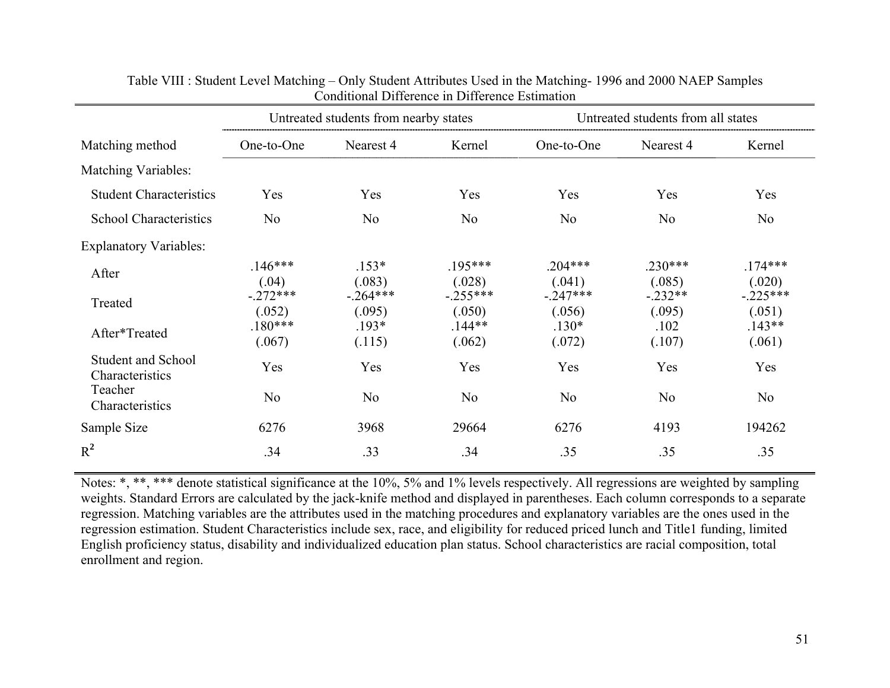|                                       |                      | Untreated students from nearby states |                      |                      | Untreated students from all states<br>Nearest 4 |                      |  |  |
|---------------------------------------|----------------------|---------------------------------------|----------------------|----------------------|-------------------------------------------------|----------------------|--|--|
| Matching method                       | One-to-One           | Nearest 4                             | Kernel               | One-to-One           |                                                 | Kernel               |  |  |
| <b>Matching Variables:</b>            |                      |                                       |                      |                      |                                                 |                      |  |  |
| <b>Student Characteristics</b>        | Yes                  | Yes                                   | Yes                  | Yes                  | Yes                                             | Yes                  |  |  |
| <b>School Characteristics</b>         | N <sub>o</sub>       | N <sub>o</sub>                        | N <sub>o</sub>       | N <sub>0</sub>       | N <sub>o</sub>                                  | N <sub>o</sub>       |  |  |
| <b>Explanatory Variables:</b>         |                      |                                       |                      |                      |                                                 |                      |  |  |
| After                                 | $.146***$<br>(.04)   | $.153*$<br>(.083)                     | $.195***$<br>(.028)  | $.204***$<br>(.041)  | $.230***$<br>(.085)                             | $.174***$<br>(.020)  |  |  |
| Treated                               | $-.272***$<br>(.052) | $-264***$<br>(.095)                   | $-.255***$<br>(.050) | $-.247***$<br>(.056) | $-.232**$<br>(.095)                             | $-.225***$<br>(.051) |  |  |
| After*Treated                         | $.180***$<br>(.067)  | $.193*$<br>(.115)                     | $.144**$<br>(.062)   | $.130*$<br>(.072)    | .102<br>(.107)                                  | $.143**$<br>(.061)   |  |  |
| Student and School<br>Characteristics | Yes                  | Yes                                   | Yes                  | Yes                  | Yes                                             | Yes                  |  |  |
| Teacher<br>Characteristics            | N <sub>o</sub>       | N <sub>o</sub>                        | N <sub>o</sub>       | N <sub>0</sub>       | N <sub>o</sub>                                  | N <sub>o</sub>       |  |  |
| Sample Size                           | 6276                 | 3968                                  | 29664                | 6276                 | 4193                                            | 194262               |  |  |
| $R^2$                                 | .34                  | .33                                   | .34                  | .35                  | .35                                             | .35                  |  |  |

# Table VIII : Student Level Matching – Only Student Attributes Used in the Matching- 1996 and 2000 NAEP Samples Conditional Difference in Difference Estimation

Notes: \*, \*\*, \*\*\* denote statistical significance at the 10%, 5% and 1% levels respectively. All regressions are weighted by sampling weights. Standard Errors are calculated by the jack-knife method and displayed in parentheses. Each column corresponds to a separate regression. Matching variables are the attributes used in the matching procedures and explanatory variables are the ones used in the regression estimation. Student Characteristics include sex, race, and eligibility for reduced priced lunch and Title1 funding, limited English proficiency status, disability and individualized education plan status. School characteristics are racial composition, total enrollment and region.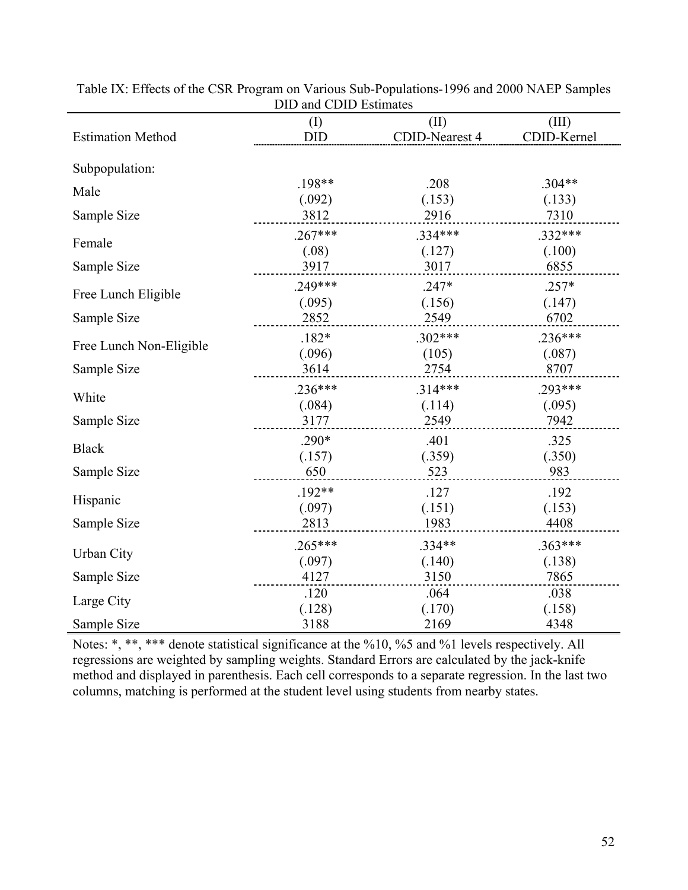|                          | $\cup$ DID DUUIN  |                        |                      |
|--------------------------|-------------------|------------------------|----------------------|
| <b>Estimation Method</b> | (I)<br><b>DID</b> | (II)<br>CDID-Nearest 4 | (III)<br>CDID-Kernel |
| Subpopulation:           |                   |                        |                      |
| Male                     | .198**            | .208                   | $.304**$             |
|                          | (.092)            | (.153)                 | (.133)               |
| Sample Size              | 3812              | 2916                   | 7310                 |
| Female                   | $.267***$         | .334***                | .332***              |
|                          | (.08)             | (.127)                 | (.100)               |
| Sample Size              | 3917              | 3017                   | 6855                 |
| Free Lunch Eligible      | .249***           | $.247*$                | $.257*$              |
|                          | (.095)            | (.156)                 | (.147)               |
| Sample Size              | 2852              | 2549                   | 6702                 |
| Free Lunch Non-Eligible  | $.182*$           | $.302***$              | $.236***$            |
|                          | (.096)            | (105)                  | (.087)               |
| Sample Size              | 3614              | 2754                   | 8707                 |
| White                    | $.236***$         | $.314***$              | $.293***$            |
|                          | (.084)            | (.114)                 | (.095)               |
| Sample Size              | 3177              | 2549                   | 7942                 |
|                          | $.290*$           | .401                   | .325                 |
| <b>Black</b>             | (.157)            | (.359)                 | (.350)               |
| Sample Size              | 650               | 523                    | 983                  |
| Hispanic                 | $.192**$          | .127                   | .192                 |
|                          | (.097)            | (.151)                 | (.153)               |
| Sample Size              | 2813              | 1983                   | 4408                 |
| <b>Urban City</b>        | $.265***$         | $.334**$               | $.363***$            |
|                          | (.097)            | (.140)                 | (.138)               |
| Sample Size              | 4127              | 3150                   | 7865                 |
| Large City               | .120              | .064                   | .038                 |
|                          | (.128)            | (.170)                 | (.158)               |
| Sample Size              | 3188              | 2169                   | 4348                 |

Table IX: Effects of the CSR Program on Various Sub-Populations-1996 and 2000 NAEP Samples DID and CDID Estimates

Notes: \*, \*\*, \*\*\* denote statistical significance at the %10, %5 and %1 levels respectively. All regressions are weighted by sampling weights. Standard Errors are calculated by the jack-knife method and displayed in parenthesis. Each cell corresponds to a separate regression. In the last two columns, matching is performed at the student level using students from nearby states.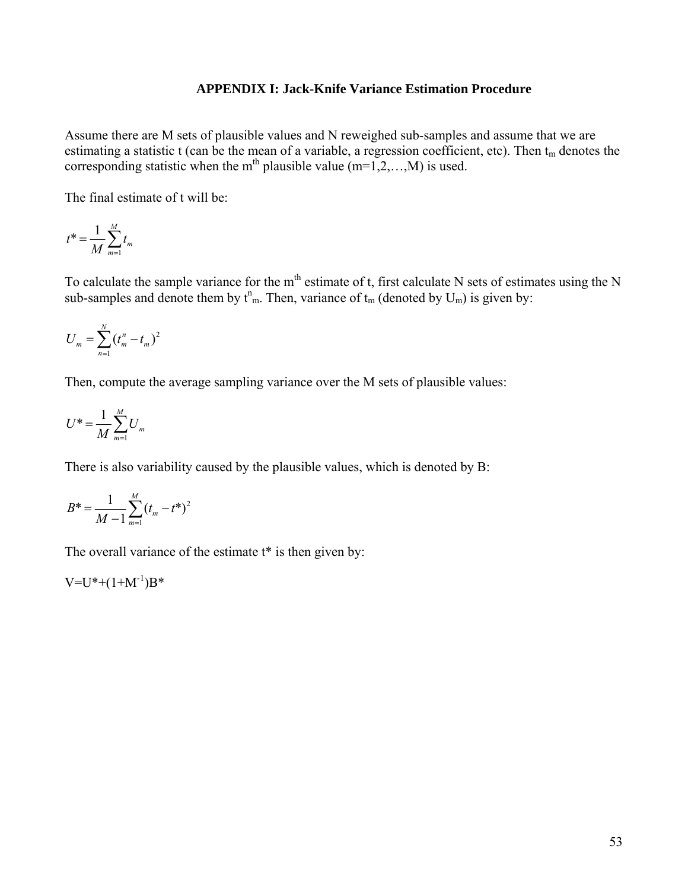## **APPENDIX I: Jack-Knife Variance Estimation Procedure**

Assume there are M sets of plausible values and N reweighed sub-samples and assume that we are estimating a statistic t (can be the mean of a variable, a regression coefficient, etc). Then  $t_m$  denotes the corresponding statistic when the m<sup>th</sup> plausible value  $(m=1,2,...,M)$  is used.

The final estimate of t will be:

$$
t^* = \frac{1}{M} \sum_{m=1}^{M} t_m
$$

To calculate the sample variance for the  $m<sup>th</sup>$  estimate of t, first calculate N sets of estimates using the N sub-samples and denote them by  $t_{m}^{n}$ . Then, variance of  $t_{m}$  (denoted by  $U_{m}$ ) is given by:

$$
U_m = \sum_{n=1}^{N} (t_m^n - t_m)^2
$$

Then, compute the average sampling variance over the M sets of plausible values:

$$
U^* = \frac{1}{M} \sum_{m=1}^{M} U_m
$$

There is also variability caused by the plausible values, which is denoted by B:

$$
B^* = \frac{1}{M-1} \sum_{m=1}^{M} (t_m - t^*)^2
$$

The overall variance of the estimate  $t^*$  is then given by:

 $V=U^*+(1+M^{-1})B^*$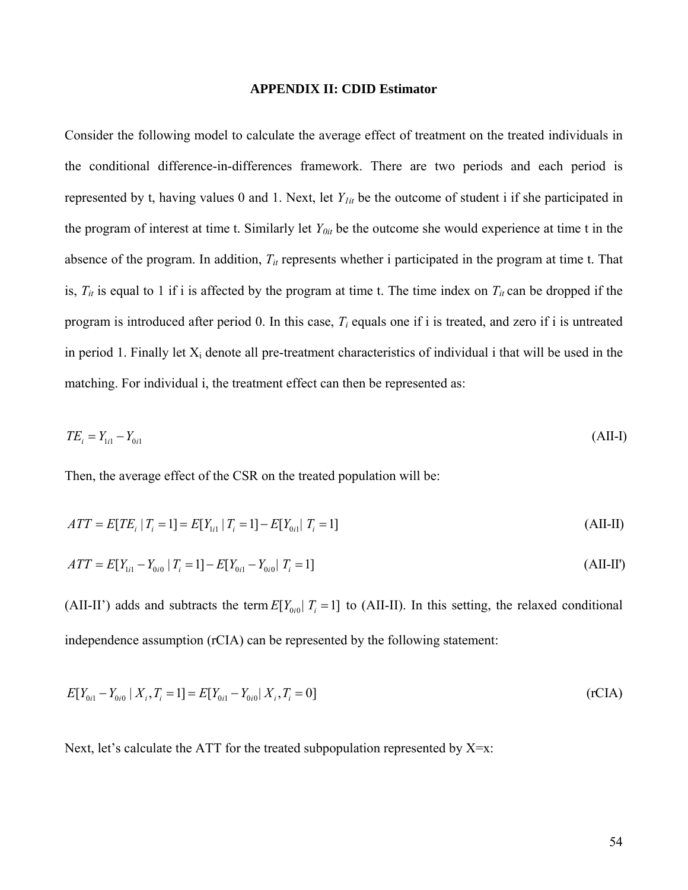#### **APPENDIX II: CDID Estimator**

Consider the following model to calculate the average effect of treatment on the treated individuals in the conditional difference-in-differences framework. There are two periods and each period is represented by t, having values 0 and 1. Next, let *Y1it* be the outcome of student i if she participated in the program of interest at time t. Similarly let *Y0it* be the outcome she would experience at time t in the absence of the program. In addition,  $T_{it}$  represents whether i participated in the program at time t. That is,  $T_{it}$  is equal to 1 if i is affected by the program at time t. The time index on  $T_{it}$  can be dropped if the program is introduced after period 0. In this case, *Ti* equals one if i is treated, and zero if i is untreated in period 1. Finally let  $X_i$  denote all pre-treatment characteristics of individual i that will be used in the matching. For individual i, the treatment effect can then be represented as:

$$
TE_i = Y_{1i1} - Y_{0i1} \tag{All-I}
$$

Then, the average effect of the CSR on the treated population will be:

$$
ATT = E[TE_i | T_i = 1] = E[Y_{1i} | T_i = 1] - E[Y_{0i} | T_i = 1]
$$
\n(AII-II)

$$
ATT = E[Y_{1i1} - Y_{0i0} | T_i = 1] - E[Y_{0i1} - Y_{0i0} | T_i = 1]
$$
\n(AII-II')

(AII-II') adds and subtracts the term  $E[Y_{0i} | T_i = 1]$  to (AII-II). In this setting, the relaxed conditional independence assumption (rCIA) can be represented by the following statement:

$$
E[Y_{0i1} - Y_{0i0} | X_i, T_i = 1] = E[Y_{0i1} - Y_{0i0} | X_i, T_i = 0]
$$
\n(rCIA)

Next, let's calculate the ATT for the treated subpopulation represented by X=x: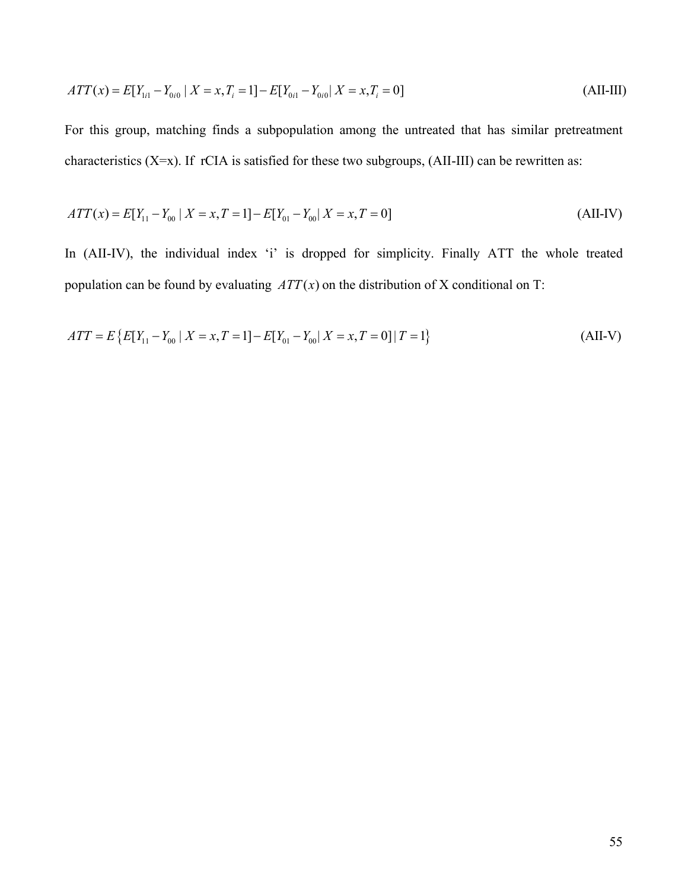$$
ATT(x) = E[Y_{1i1} - Y_{0i0} | X = x, T_i = 1] - E[Y_{0i1} - Y_{0i0} | X = x, T_i = 0]
$$
\n(AII-III)

For this group, matching finds a subpopulation among the untreated that has similar pretreatment characteristics  $(X=x)$ . If rCIA is satisfied for these two subgroups,  $(AII-III)$  can be rewritten as:

$$
ATT(x) = E[Y_{11} - Y_{00} | X = x, T = 1] - E[Y_{01} - Y_{00} | X = x, T = 0]
$$
\n(AII-IV)

In (AII-IV), the individual index 'i' is dropped for simplicity. Finally ATT the whole treated population can be found by evaluating  $ATT(x)$  on the distribution of X conditional on T:

$$
ATT = E\{E[Y_{11} - Y_{00} \mid X = x, T = 1] - E[Y_{01} - Y_{00} \mid X = x, T = 0] \mid T = 1\}
$$
\n(AII-V)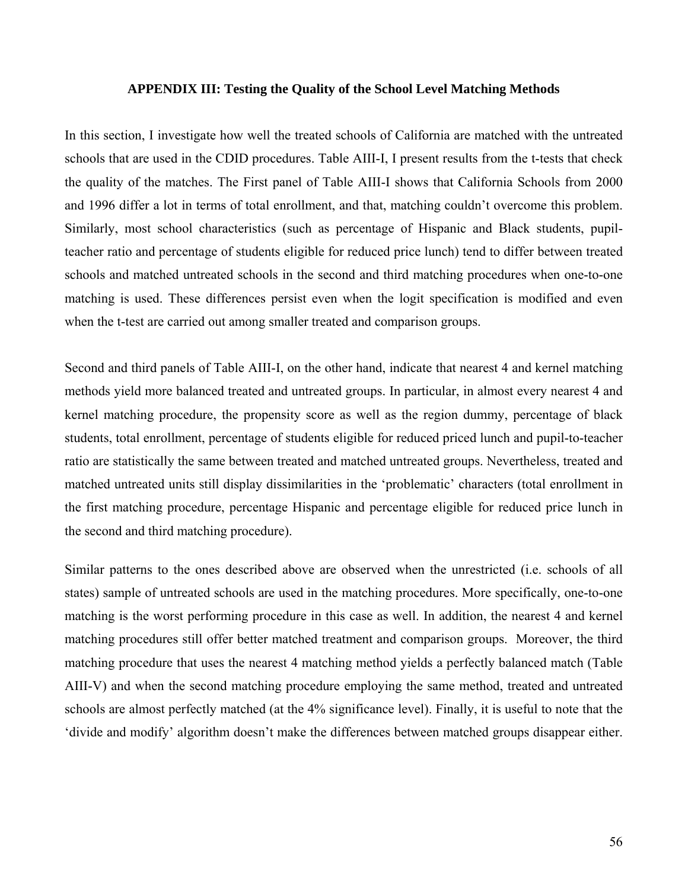### **APPENDIX III: Testing the Quality of the School Level Matching Methods**

In this section, I investigate how well the treated schools of California are matched with the untreated schools that are used in the CDID procedures. Table AIII-I, I present results from the t-tests that check the quality of the matches. The First panel of Table AIII-I shows that California Schools from 2000 and 1996 differ a lot in terms of total enrollment, and that, matching couldn't overcome this problem. Similarly, most school characteristics (such as percentage of Hispanic and Black students, pupilteacher ratio and percentage of students eligible for reduced price lunch) tend to differ between treated schools and matched untreated schools in the second and third matching procedures when one-to-one matching is used. These differences persist even when the logit specification is modified and even when the t-test are carried out among smaller treated and comparison groups.

Second and third panels of Table AIII-I, on the other hand, indicate that nearest 4 and kernel matching methods yield more balanced treated and untreated groups. In particular, in almost every nearest 4 and kernel matching procedure, the propensity score as well as the region dummy, percentage of black students, total enrollment, percentage of students eligible for reduced priced lunch and pupil-to-teacher ratio are statistically the same between treated and matched untreated groups. Nevertheless, treated and matched untreated units still display dissimilarities in the 'problematic' characters (total enrollment in the first matching procedure, percentage Hispanic and percentage eligible for reduced price lunch in the second and third matching procedure).

Similar patterns to the ones described above are observed when the unrestricted (i.e. schools of all states) sample of untreated schools are used in the matching procedures. More specifically, one-to-one matching is the worst performing procedure in this case as well. In addition, the nearest 4 and kernel matching procedures still offer better matched treatment and comparison groups. Moreover, the third matching procedure that uses the nearest 4 matching method yields a perfectly balanced match (Table AIII-V) and when the second matching procedure employing the same method, treated and untreated schools are almost perfectly matched (at the 4% significance level). Finally, it is useful to note that the 'divide and modify' algorithm doesn't make the differences between matched groups disappear either.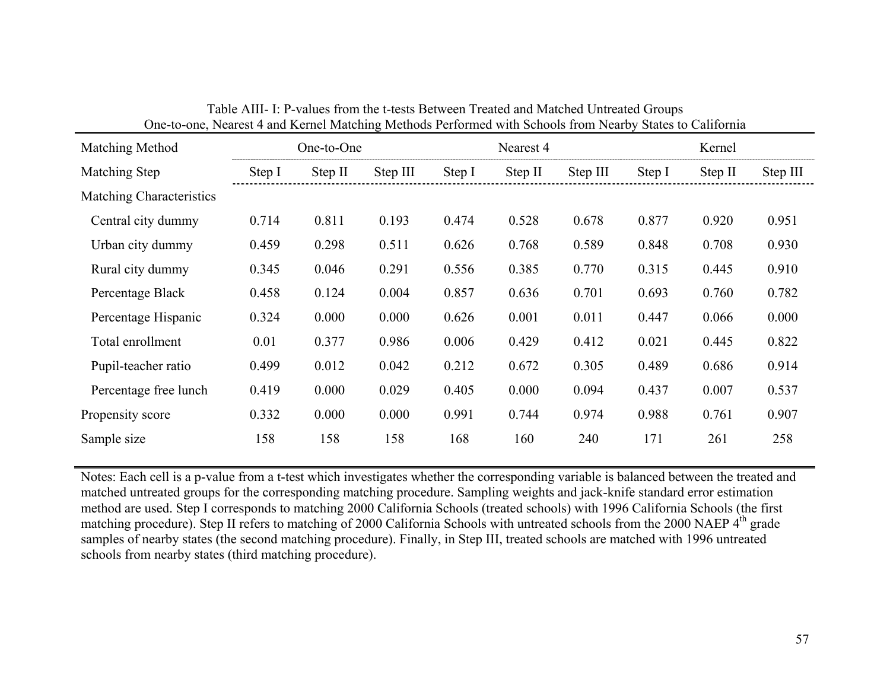| Matching Method                 |        | One-to-One |          |        | Nearest 4 |          |        | Kernel  |          |
|---------------------------------|--------|------------|----------|--------|-----------|----------|--------|---------|----------|
| Matching Step                   | Step I | Step II    | Step III | Step I | Step II   | Step III | Step I | Step II | Step III |
| <b>Matching Characteristics</b> |        |            |          |        |           |          |        |         |          |
| Central city dummy              | 0.714  | 0.811      | 0.193    | 0.474  | 0.528     | 0.678    | 0.877  | 0.920   | 0.951    |
| Urban city dummy                | 0.459  | 0.298      | 0.511    | 0.626  | 0.768     | 0.589    | 0.848  | 0.708   | 0.930    |
| Rural city dummy                | 0.345  | 0.046      | 0.291    | 0.556  | 0.385     | 0.770    | 0.315  | 0.445   | 0.910    |
| Percentage Black                | 0.458  | 0.124      | 0.004    | 0.857  | 0.636     | 0.701    | 0.693  | 0.760   | 0.782    |
| Percentage Hispanic             | 0.324  | 0.000      | 0.000    | 0.626  | 0.001     | 0.011    | 0.447  | 0.066   | 0.000    |
| Total enrollment                | 0.01   | 0.377      | 0.986    | 0.006  | 0.429     | 0.412    | 0.021  | 0.445   | 0.822    |
| Pupil-teacher ratio             | 0.499  | 0.012      | 0.042    | 0.212  | 0.672     | 0.305    | 0.489  | 0.686   | 0.914    |
| Percentage free lunch           | 0.419  | 0.000      | 0.029    | 0.405  | 0.000     | 0.094    | 0.437  | 0.007   | 0.537    |
| Propensity score                | 0.332  | 0.000      | 0.000    | 0.991  | 0.744     | 0.974    | 0.988  | 0.761   | 0.907    |
| Sample size                     | 158    | 158        | 158      | 168    | 160       | 240      | 171    | 261     | 258      |

| Table AIII- I: P-values from the t-tests Between Treated and Matched Untreated Groups                     |  |
|-----------------------------------------------------------------------------------------------------------|--|
| One-to-one, Nearest 4 and Kernel Matching Methods Performed with Schools from Nearby States to California |  |

Notes: Each cell is a p-value from a t-test which investigates whether the corresponding variable is balanced between the treated and matched untreated groups for the corresponding matching procedure. Sampling weights and jack-knife standard error estimation method are used. Step I corresponds to matching 2000 California Schools (treated schools) with 1996 California Schools (the first matching procedure). Step II refers to matching of 2000 California Schools with untreated schools from the 2000 NAEP 4<sup>th</sup> grade samples of nearby states (the second matching procedure). Finally, in Step III, treated schools are matched with 1996 untreated schools from nearby states (third matching procedure).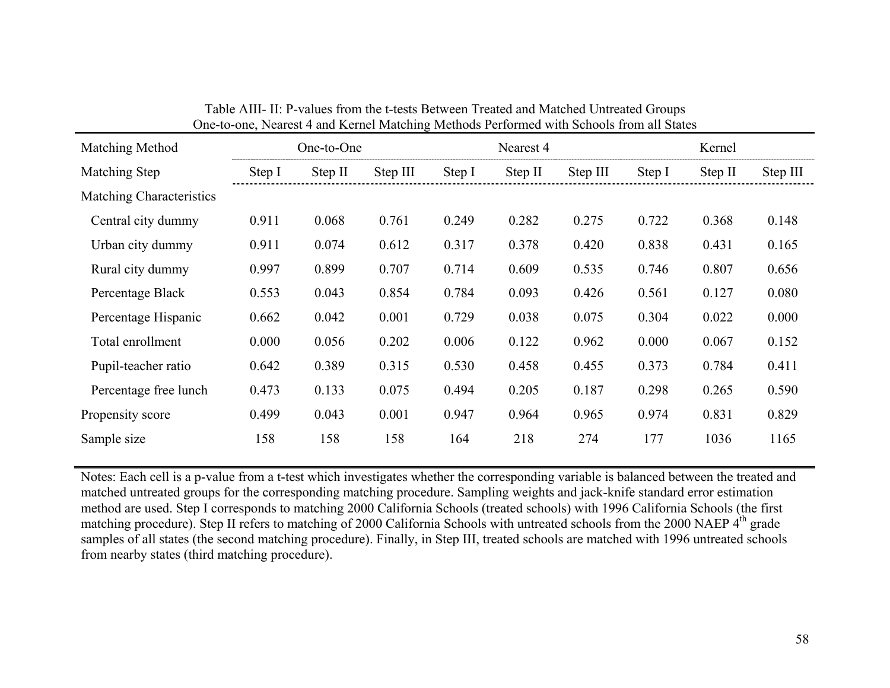| Matching Method          | One-to-One |         |          |        | Nearest 4 |          | Kernel |         |          |
|--------------------------|------------|---------|----------|--------|-----------|----------|--------|---------|----------|
| Matching Step            | Step I     | Step II | Step III | Step I | Step II   | Step III | Step I | Step II | Step III |
| Matching Characteristics |            |         |          |        |           |          |        |         |          |
| Central city dummy       | 0.911      | 0.068   | 0.761    | 0.249  | 0.282     | 0.275    | 0.722  | 0.368   | 0.148    |
| Urban city dummy         | 0.911      | 0.074   | 0.612    | 0.317  | 0.378     | 0.420    | 0.838  | 0.431   | 0.165    |
| Rural city dummy         | 0.997      | 0.899   | 0.707    | 0.714  | 0.609     | 0.535    | 0.746  | 0.807   | 0.656    |
| Percentage Black         | 0.553      | 0.043   | 0.854    | 0.784  | 0.093     | 0.426    | 0.561  | 0.127   | 0.080    |
| Percentage Hispanic      | 0.662      | 0.042   | 0.001    | 0.729  | 0.038     | 0.075    | 0.304  | 0.022   | 0.000    |
| Total enrollment         | 0.000      | 0.056   | 0.202    | 0.006  | 0.122     | 0.962    | 0.000  | 0.067   | 0.152    |
| Pupil-teacher ratio      | 0.642      | 0.389   | 0.315    | 0.530  | 0.458     | 0.455    | 0.373  | 0.784   | 0.411    |
| Percentage free lunch    | 0.473      | 0.133   | 0.075    | 0.494  | 0.205     | 0.187    | 0.298  | 0.265   | 0.590    |
| Propensity score         | 0.499      | 0.043   | 0.001    | 0.947  | 0.964     | 0.965    | 0.974  | 0.831   | 0.829    |
| Sample size              | 158        | 158     | 158      | 164    | 218       | 274      | 177    | 1036    | 1165     |

| Table AIII- II: P-values from the t-tests Between Treated and Matched Untreated Groups   |
|------------------------------------------------------------------------------------------|
| One-to-one, Nearest 4 and Kernel Matching Methods Performed with Schools from all States |

Notes: Each cell is a p-value from a t-test which investigates whether the corresponding variable is balanced between the treated and matched untreated groups for the corresponding matching procedure. Sampling weights and jack-knife standard error estimation method are used. Step I corresponds to matching 2000 California Schools (treated schools) with 1996 California Schools (the first matching procedure). Step II refers to matching of 2000 California Schools with untreated schools from the 2000 NAEP 4<sup>th</sup> grade samples of all states (the second matching procedure). Finally, in Step III, treated schools are matched with 1996 untreated schools from nearby states (third matching procedure).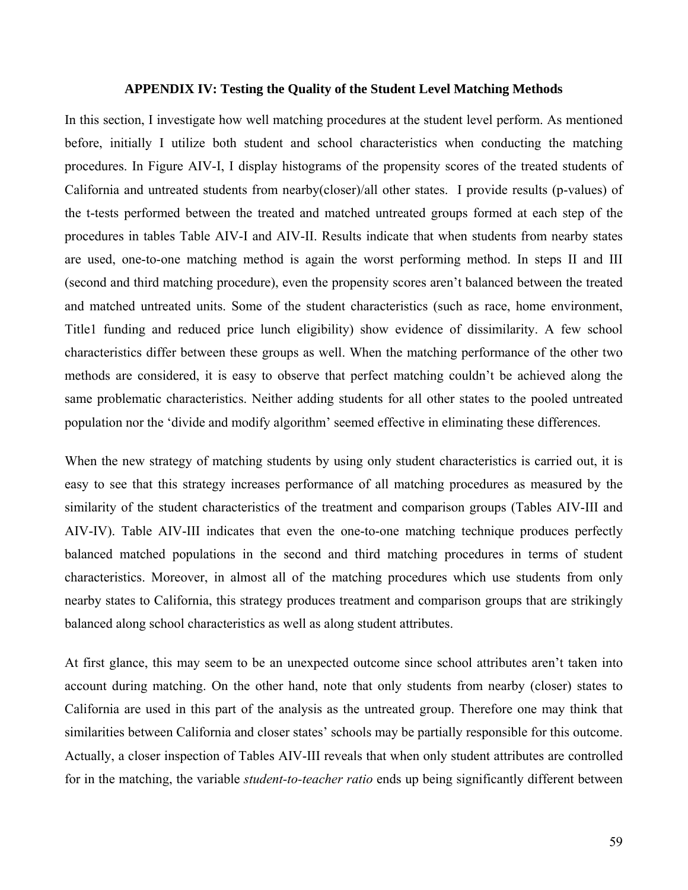#### **APPENDIX IV: Testing the Quality of the Student Level Matching Methods**

In this section, I investigate how well matching procedures at the student level perform. As mentioned before, initially I utilize both student and school characteristics when conducting the matching procedures. In Figure AIV-I, I display histograms of the propensity scores of the treated students of California and untreated students from nearby(closer)/all other states. I provide results (p-values) of the t-tests performed between the treated and matched untreated groups formed at each step of the procedures in tables Table AIV-I and AIV-II. Results indicate that when students from nearby states are used, one-to-one matching method is again the worst performing method. In steps II and III (second and third matching procedure), even the propensity scores aren't balanced between the treated and matched untreated units. Some of the student characteristics (such as race, home environment, Title1 funding and reduced price lunch eligibility) show evidence of dissimilarity. A few school characteristics differ between these groups as well. When the matching performance of the other two methods are considered, it is easy to observe that perfect matching couldn't be achieved along the same problematic characteristics. Neither adding students for all other states to the pooled untreated population nor the 'divide and modify algorithm' seemed effective in eliminating these differences.

When the new strategy of matching students by using only student characteristics is carried out, it is easy to see that this strategy increases performance of all matching procedures as measured by the similarity of the student characteristics of the treatment and comparison groups (Tables AIV-III and AIV-IV). Table AIV-III indicates that even the one-to-one matching technique produces perfectly balanced matched populations in the second and third matching procedures in terms of student characteristics. Moreover, in almost all of the matching procedures which use students from only nearby states to California, this strategy produces treatment and comparison groups that are strikingly balanced along school characteristics as well as along student attributes.

At first glance, this may seem to be an unexpected outcome since school attributes aren't taken into account during matching. On the other hand, note that only students from nearby (closer) states to California are used in this part of the analysis as the untreated group. Therefore one may think that similarities between California and closer states' schools may be partially responsible for this outcome. Actually, a closer inspection of Tables AIV-III reveals that when only student attributes are controlled for in the matching, the variable *student-to-teacher ratio* ends up being significantly different between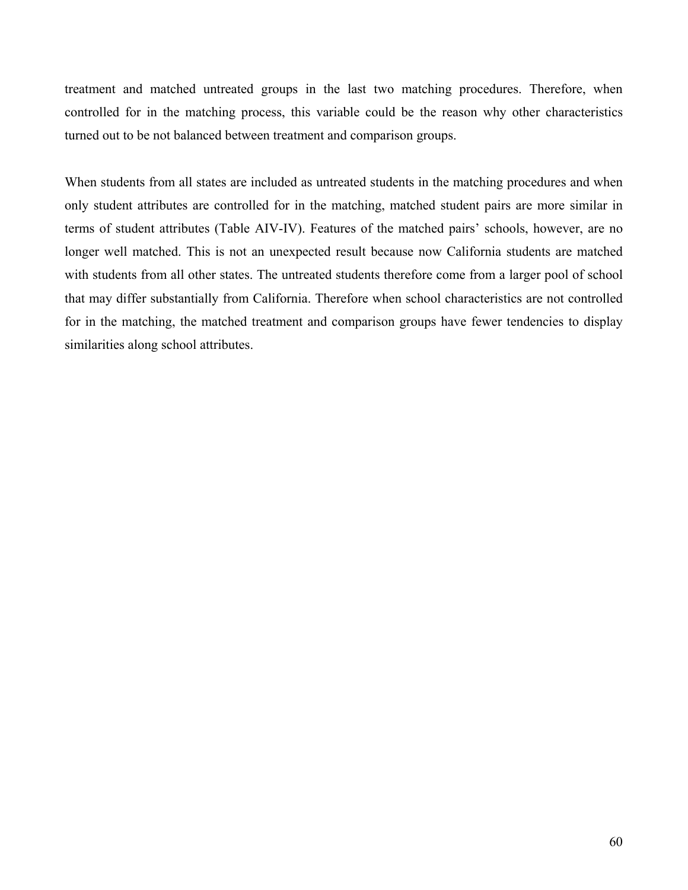treatment and matched untreated groups in the last two matching procedures. Therefore, when controlled for in the matching process, this variable could be the reason why other characteristics turned out to be not balanced between treatment and comparison groups.

When students from all states are included as untreated students in the matching procedures and when only student attributes are controlled for in the matching, matched student pairs are more similar in terms of student attributes (Table AIV-IV). Features of the matched pairs' schools, however, are no longer well matched. This is not an unexpected result because now California students are matched with students from all other states. The untreated students therefore come from a larger pool of school that may differ substantially from California. Therefore when school characteristics are not controlled for in the matching, the matched treatment and comparison groups have fewer tendencies to display similarities along school attributes.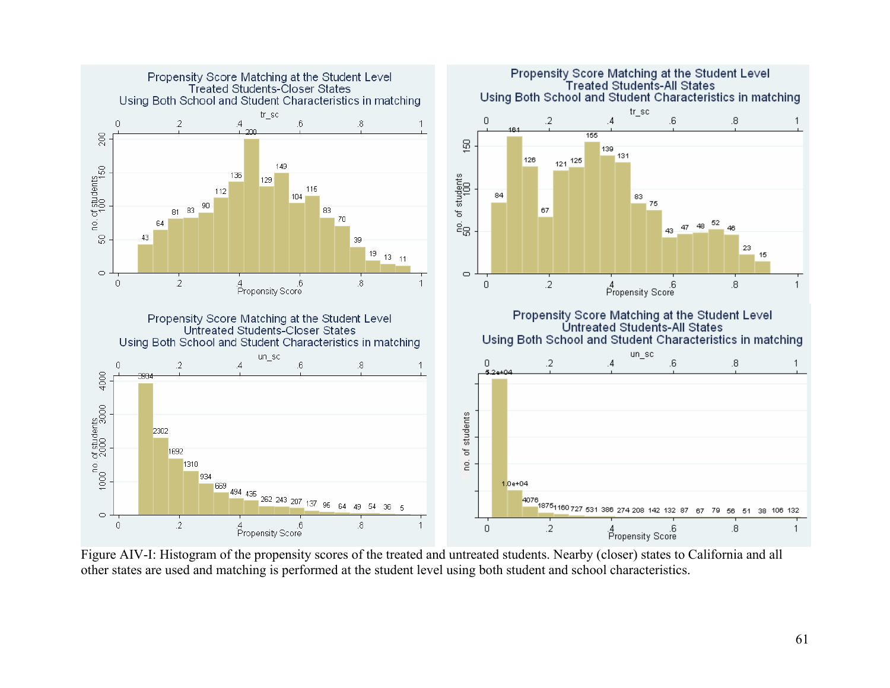

Figure AIV-I: Histogram of the propensity scores of the treated and untreated students. Nearby (closer) states to California and all other states are used and matching is performed at the student level using both student and school characteristics.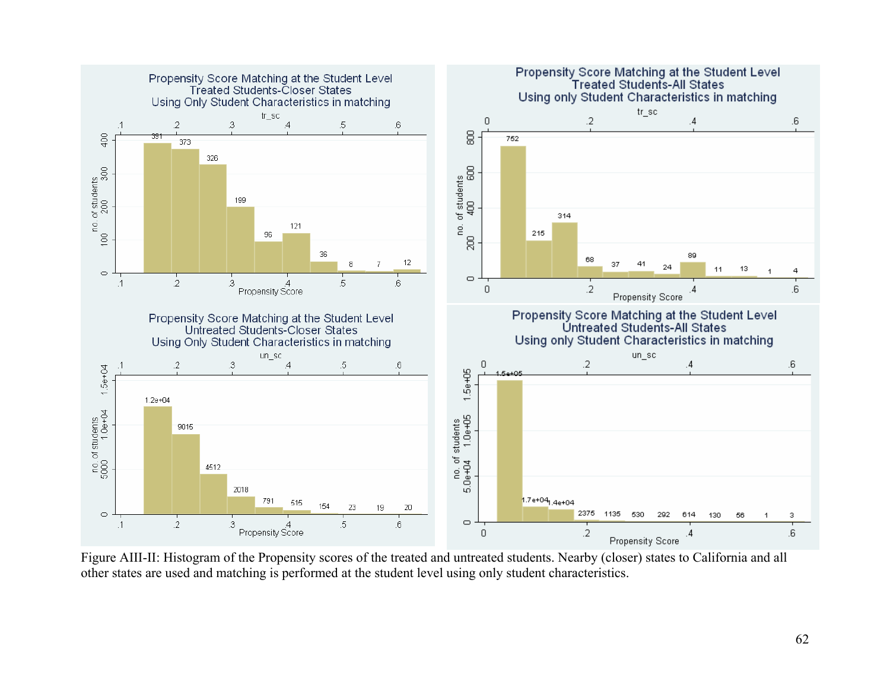

Figure AIII-II: Histogram of the Propensity scores of the treated and untreated students. Nearby (closer) states to California and all other states are used and matching is performed at the student level using only student characteristics.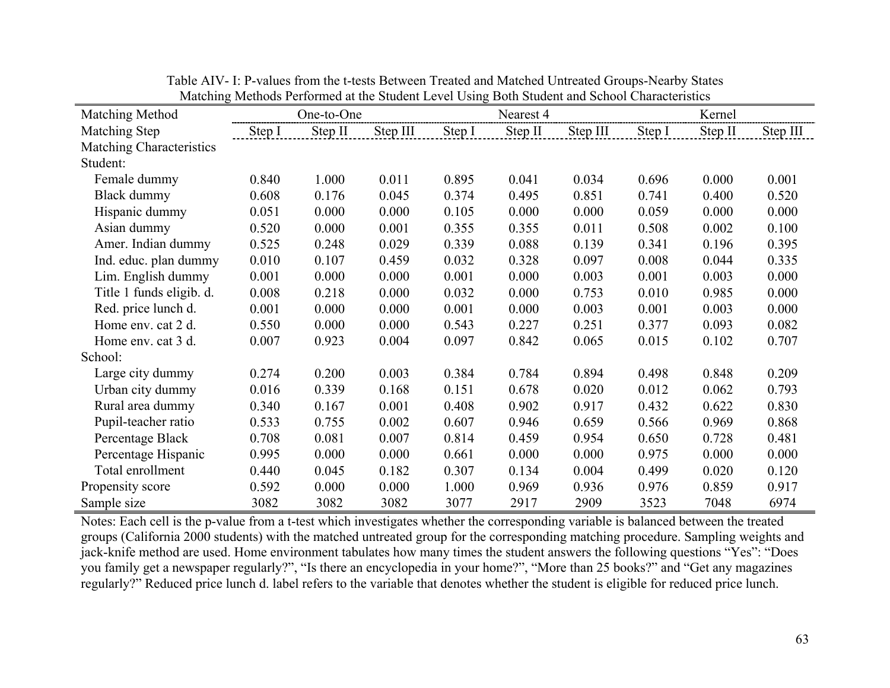|                                 | <u>nateming nictious i chomica at the station Ecver Osing Doth station and school Characteristics</u> |            |          |        |           |          |        |         |          |
|---------------------------------|-------------------------------------------------------------------------------------------------------|------------|----------|--------|-----------|----------|--------|---------|----------|
| Matching Method                 |                                                                                                       | One-to-One |          |        | Nearest 4 |          |        | Kernel  |          |
| Matching Step                   | Step I                                                                                                | Step II    | Step III | Step I | Step II   | Step III | Step I | Step II | Step III |
| <b>Matching Characteristics</b> |                                                                                                       |            |          |        |           |          |        |         |          |
| Student:                        |                                                                                                       |            |          |        |           |          |        |         |          |
| Female dummy                    | 0.840                                                                                                 | 1.000      | 0.011    | 0.895  | 0.041     | 0.034    | 0.696  | 0.000   | 0.001    |
| Black dummy                     | 0.608                                                                                                 | 0.176      | 0.045    | 0.374  | 0.495     | 0.851    | 0.741  | 0.400   | 0.520    |
| Hispanic dummy                  | 0.051                                                                                                 | 0.000      | 0.000    | 0.105  | 0.000     | 0.000    | 0.059  | 0.000   | 0.000    |
| Asian dummy                     | 0.520                                                                                                 | 0.000      | 0.001    | 0.355  | 0.355     | 0.011    | 0.508  | 0.002   | 0.100    |
| Amer. Indian dummy              | 0.525                                                                                                 | 0.248      | 0.029    | 0.339  | 0.088     | 0.139    | 0.341  | 0.196   | 0.395    |
| Ind. educ. plan dummy           | 0.010                                                                                                 | 0.107      | 0.459    | 0.032  | 0.328     | 0.097    | 0.008  | 0.044   | 0.335    |
| Lim. English dummy              | 0.001                                                                                                 | 0.000      | 0.000    | 0.001  | 0.000     | 0.003    | 0.001  | 0.003   | 0.000    |
| Title 1 funds eligib. d.        | 0.008                                                                                                 | 0.218      | 0.000    | 0.032  | 0.000     | 0.753    | 0.010  | 0.985   | 0.000    |
| Red. price lunch d.             | 0.001                                                                                                 | 0.000      | 0.000    | 0.001  | 0.000     | 0.003    | 0.001  | 0.003   | 0.000    |
| Home env. cat 2 d.              | 0.550                                                                                                 | 0.000      | 0.000    | 0.543  | 0.227     | 0.251    | 0.377  | 0.093   | 0.082    |
| Home env. cat 3 d.              | 0.007                                                                                                 | 0.923      | 0.004    | 0.097  | 0.842     | 0.065    | 0.015  | 0.102   | 0.707    |
| School:                         |                                                                                                       |            |          |        |           |          |        |         |          |
| Large city dummy                | 0.274                                                                                                 | 0.200      | 0.003    | 0.384  | 0.784     | 0.894    | 0.498  | 0.848   | 0.209    |
| Urban city dummy                | 0.016                                                                                                 | 0.339      | 0.168    | 0.151  | 0.678     | 0.020    | 0.012  | 0.062   | 0.793    |
| Rural area dummy                | 0.340                                                                                                 | 0.167      | 0.001    | 0.408  | 0.902     | 0.917    | 0.432  | 0.622   | 0.830    |
| Pupil-teacher ratio             | 0.533                                                                                                 | 0.755      | 0.002    | 0.607  | 0.946     | 0.659    | 0.566  | 0.969   | 0.868    |
| Percentage Black                | 0.708                                                                                                 | 0.081      | 0.007    | 0.814  | 0.459     | 0.954    | 0.650  | 0.728   | 0.481    |
| Percentage Hispanic             | 0.995                                                                                                 | 0.000      | 0.000    | 0.661  | 0.000     | 0.000    | 0.975  | 0.000   | 0.000    |
| Total enrollment                | 0.440                                                                                                 | 0.045      | 0.182    | 0.307  | 0.134     | 0.004    | 0.499  | 0.020   | 0.120    |
| Propensity score                | 0.592                                                                                                 | 0.000      | 0.000    | 1.000  | 0.969     | 0.936    | 0.976  | 0.859   | 0.917    |
| Sample size                     | 3082                                                                                                  | 3082       | 3082     | 3077   | 2917      | 2909     | 3523   | 7048    | 6974     |

Table AIV- I: P-values from the t-tests Between Treated and Matched Untreated Groups-Nearby States Matching Methods Performed at the Student Level Using Both Student and School Characteristics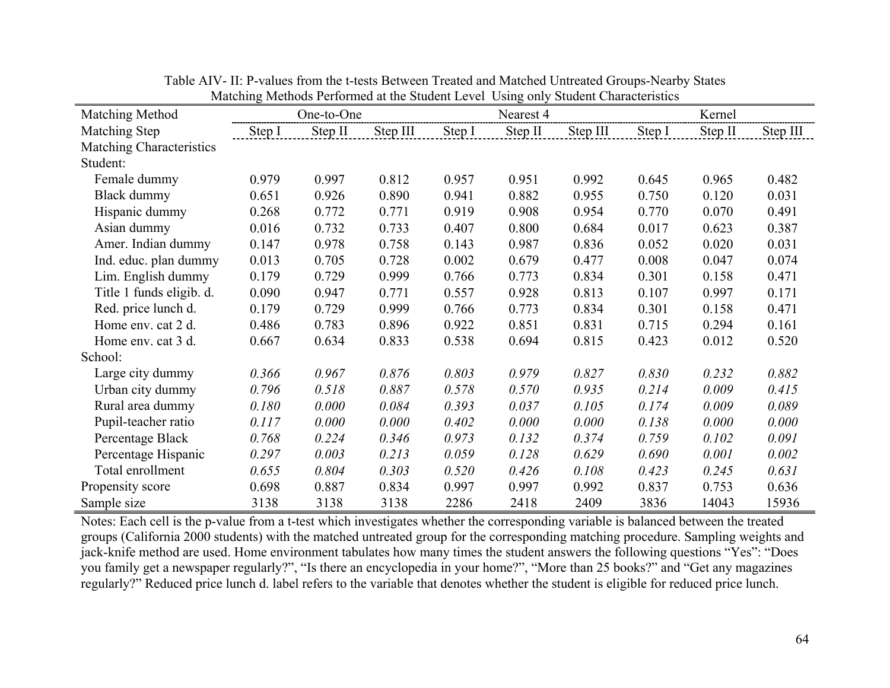| Matching Method          | matering methods I enormed at the statem Lever Comp only statem characteristics<br>One-to-One |         |          |        | Nearest 4 |          | Kernel |         |          |
|--------------------------|-----------------------------------------------------------------------------------------------|---------|----------|--------|-----------|----------|--------|---------|----------|
| Matching Step            | Step I                                                                                        | Step II | Step III | Step I | Step II   | Step III | Step I | Step II | Step III |
|                          |                                                                                               |         |          |        |           |          |        |         |          |
| Matching Characteristics |                                                                                               |         |          |        |           |          |        |         |          |
| Student:                 |                                                                                               |         |          |        |           |          |        |         |          |
| Female dummy             | 0.979                                                                                         | 0.997   | 0.812    | 0.957  | 0.951     | 0.992    | 0.645  | 0.965   | 0.482    |
| Black dummy              | 0.651                                                                                         | 0.926   | 0.890    | 0.941  | 0.882     | 0.955    | 0.750  | 0.120   | 0.031    |
| Hispanic dummy           | 0.268                                                                                         | 0.772   | 0.771    | 0.919  | 0.908     | 0.954    | 0.770  | 0.070   | 0.491    |
| Asian dummy              | 0.016                                                                                         | 0.732   | 0.733    | 0.407  | 0.800     | 0.684    | 0.017  | 0.623   | 0.387    |
| Amer. Indian dummy       | 0.147                                                                                         | 0.978   | 0.758    | 0.143  | 0.987     | 0.836    | 0.052  | 0.020   | 0.031    |
| Ind. educ. plan dummy    | 0.013                                                                                         | 0.705   | 0.728    | 0.002  | 0.679     | 0.477    | 0.008  | 0.047   | 0.074    |
| Lim. English dummy       | 0.179                                                                                         | 0.729   | 0.999    | 0.766  | 0.773     | 0.834    | 0.301  | 0.158   | 0.471    |
| Title 1 funds eligib. d. | 0.090                                                                                         | 0.947   | 0.771    | 0.557  | 0.928     | 0.813    | 0.107  | 0.997   | 0.171    |
| Red. price lunch d.      | 0.179                                                                                         | 0.729   | 0.999    | 0.766  | 0.773     | 0.834    | 0.301  | 0.158   | 0.471    |
| Home env. cat 2 d.       | 0.486                                                                                         | 0.783   | 0.896    | 0.922  | 0.851     | 0.831    | 0.715  | 0.294   | 0.161    |
| Home env. cat 3 d.       | 0.667                                                                                         | 0.634   | 0.833    | 0.538  | 0.694     | 0.815    | 0.423  | 0.012   | 0.520    |
| School:                  |                                                                                               |         |          |        |           |          |        |         |          |
| Large city dummy         | 0.366                                                                                         | 0.967   | 0.876    | 0.803  | 0.979     | 0.827    | 0.830  | 0.232   | 0.882    |
| Urban city dummy         | 0.796                                                                                         | 0.518   | 0.887    | 0.578  | 0.570     | 0.935    | 0.214  | 0.009   | 0.415    |
| Rural area dummy         | 0.180                                                                                         | 0.000   | 0.084    | 0.393  | 0.037     | 0.105    | 0.174  | 0.009   | 0.089    |
| Pupil-teacher ratio      | 0.117                                                                                         | 0.000   | 0.000    | 0.402  | 0.000     | 0.000    | 0.138  | 0.000   | 0.000    |
| Percentage Black         | 0.768                                                                                         | 0.224   | 0.346    | 0.973  | 0.132     | 0.374    | 0.759  | 0.102   | 0.091    |
| Percentage Hispanic      | 0.297                                                                                         | 0.003   | 0.213    | 0.059  | 0.128     | 0.629    | 0.690  | 0.001   | 0.002    |
| Total enrollment         | 0.655                                                                                         | 0.804   | 0.303    | 0.520  | 0.426     | 0.108    | 0.423  | 0.245   | 0.631    |
| Propensity score         | 0.698                                                                                         | 0.887   | 0.834    | 0.997  | 0.997     | 0.992    | 0.837  | 0.753   | 0.636    |
| Sample size              | 3138                                                                                          | 3138    | 3138     | 2286   | 2418      | 2409     | 3836   | 14043   | 15936    |

Table AIV- II: P-values from the t-tests Between Treated and Matched Untreated Groups-Nearby States Matching Methods Performed at the Student Level Using only Student Characteristics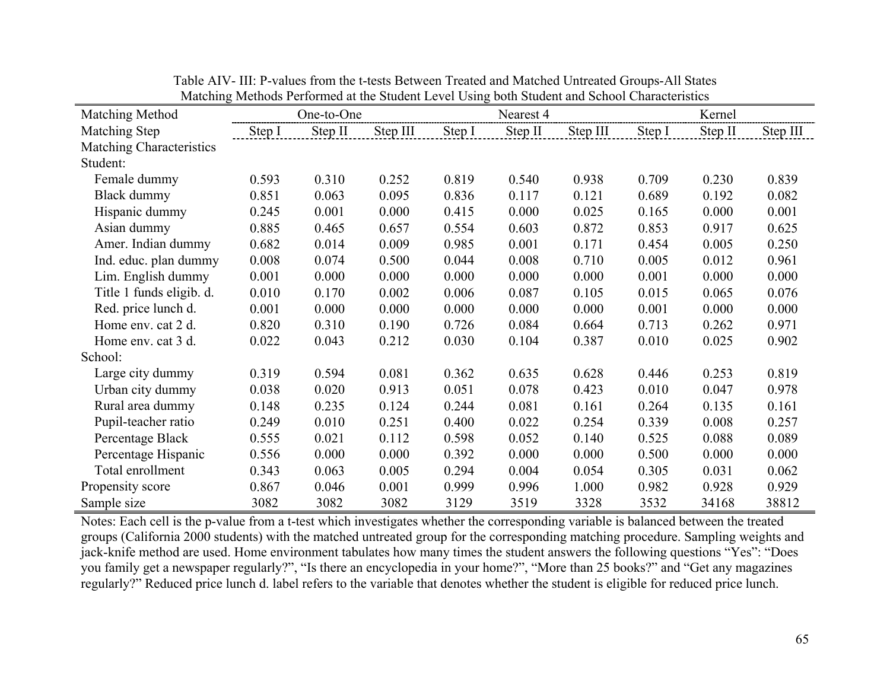| <u>nateling nichous i chonned at the stadent Lever Osing bour stadent and school Characteristics</u> |        |            |          |        |           |          |        |         |          |
|------------------------------------------------------------------------------------------------------|--------|------------|----------|--------|-----------|----------|--------|---------|----------|
| Matching Method                                                                                      |        | One-to-One |          |        | Nearest 4 |          |        | Kernel  |          |
| Matching Step                                                                                        | Step I | Step II    | Step III | Step I | Step II   | Step III | Step I | Step II | Step III |
| <b>Matching Characteristics</b>                                                                      |        |            |          |        |           |          |        |         |          |
| Student:                                                                                             |        |            |          |        |           |          |        |         |          |
| Female dummy                                                                                         | 0.593  | 0.310      | 0.252    | 0.819  | 0.540     | 0.938    | 0.709  | 0.230   | 0.839    |
| Black dummy                                                                                          | 0.851  | 0.063      | 0.095    | 0.836  | 0.117     | 0.121    | 0.689  | 0.192   | 0.082    |
| Hispanic dummy                                                                                       | 0.245  | 0.001      | 0.000    | 0.415  | 0.000     | 0.025    | 0.165  | 0.000   | 0.001    |
| Asian dummy                                                                                          | 0.885  | 0.465      | 0.657    | 0.554  | 0.603     | 0.872    | 0.853  | 0.917   | 0.625    |
| Amer. Indian dummy                                                                                   | 0.682  | 0.014      | 0.009    | 0.985  | 0.001     | 0.171    | 0.454  | 0.005   | 0.250    |
| Ind. educ. plan dummy                                                                                | 0.008  | 0.074      | 0.500    | 0.044  | 0.008     | 0.710    | 0.005  | 0.012   | 0.961    |
| Lim. English dummy                                                                                   | 0.001  | 0.000      | 0.000    | 0.000  | 0.000     | 0.000    | 0.001  | 0.000   | 0.000    |
| Title 1 funds eligib. d.                                                                             | 0.010  | 0.170      | 0.002    | 0.006  | 0.087     | 0.105    | 0.015  | 0.065   | 0.076    |
| Red. price lunch d.                                                                                  | 0.001  | 0.000      | 0.000    | 0.000  | 0.000     | 0.000    | 0.001  | 0.000   | 0.000    |
| Home env. cat 2 d.                                                                                   | 0.820  | 0.310      | 0.190    | 0.726  | 0.084     | 0.664    | 0.713  | 0.262   | 0.971    |
| Home env. cat 3 d.                                                                                   | 0.022  | 0.043      | 0.212    | 0.030  | 0.104     | 0.387    | 0.010  | 0.025   | 0.902    |
| School:                                                                                              |        |            |          |        |           |          |        |         |          |
| Large city dummy                                                                                     | 0.319  | 0.594      | 0.081    | 0.362  | 0.635     | 0.628    | 0.446  | 0.253   | 0.819    |
| Urban city dummy                                                                                     | 0.038  | 0.020      | 0.913    | 0.051  | 0.078     | 0.423    | 0.010  | 0.047   | 0.978    |
| Rural area dummy                                                                                     | 0.148  | 0.235      | 0.124    | 0.244  | 0.081     | 0.161    | 0.264  | 0.135   | 0.161    |
| Pupil-teacher ratio                                                                                  | 0.249  | 0.010      | 0.251    | 0.400  | 0.022     | 0.254    | 0.339  | 0.008   | 0.257    |
| Percentage Black                                                                                     | 0.555  | 0.021      | 0.112    | 0.598  | 0.052     | 0.140    | 0.525  | 0.088   | 0.089    |
| Percentage Hispanic                                                                                  | 0.556  | 0.000      | 0.000    | 0.392  | 0.000     | 0.000    | 0.500  | 0.000   | 0.000    |
| Total enrollment                                                                                     | 0.343  | 0.063      | 0.005    | 0.294  | 0.004     | 0.054    | 0.305  | 0.031   | 0.062    |
| Propensity score                                                                                     | 0.867  | 0.046      | 0.001    | 0.999  | 0.996     | 1.000    | 0.982  | 0.928   | 0.929    |
| Sample size                                                                                          | 3082   | 3082       | 3082     | 3129   | 3519      | 3328     | 3532   | 34168   | 38812    |

Table AIV- III: P-values from the t-tests Between Treated and Matched Untreated Groups-All States Matching Methods Performed at the Student Level Using both Student and School Characteristics